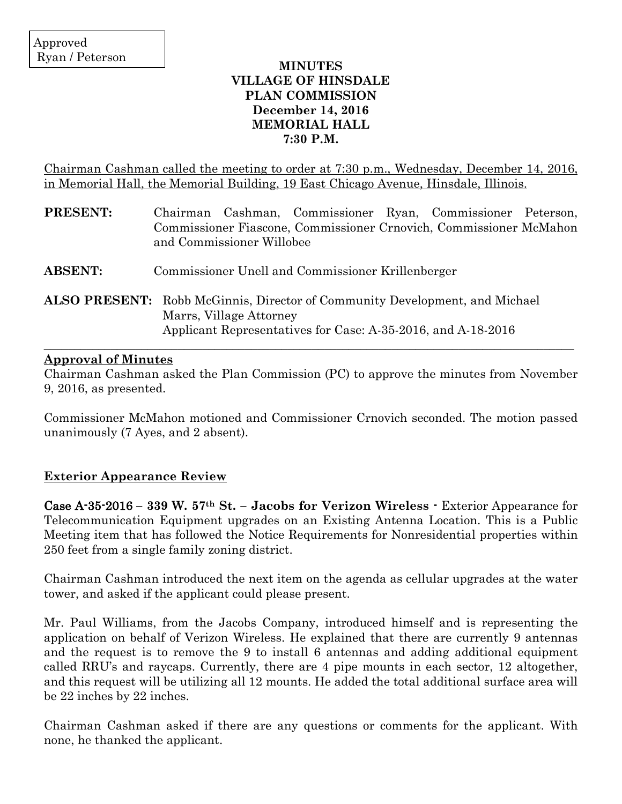# **MINUTES VILLAGE OF HINSDALE PLAN COMMISSION December 14, 2016 MEMORIAL HALL 7:30 P.M.**

Chairman Cashman called the meeting to order at 7:30 p.m., Wednesday, December 14, 2016, in Memorial Hall, the Memorial Building, 19 East Chicago Avenue, Hinsdale, Illinois.

| <b>PRESENT:</b> | Chairman Cashman, Commissioner Ryan, Commissioner Peterson,<br>Commissioner Fiascone, Commissioner Crnovich, Commissioner McMahon<br>and Commissioner Willobee                |
|-----------------|-------------------------------------------------------------------------------------------------------------------------------------------------------------------------------|
| <b>ABSENT:</b>  | Commissioner Unell and Commissioner Krillenberger                                                                                                                             |
|                 | <b>ALSO PRESENT:</b> Robb McGinnis, Director of Community Development, and Michael<br>Marrs, Village Attorney<br>Applicant Representatives for Case: A-35-2016, and A-18-2016 |

## **Approval of Minutes**

Chairman Cashman asked the Plan Commission (PC) to approve the minutes from November 9, 2016, as presented.

Commissioner McMahon motioned and Commissioner Crnovich seconded. The motion passed unanimously (7 Ayes, and 2 absent).

# **Exterior Appearance Review**

Case A-35-2016 **– 339 W. 57th St. – Jacobs for Verizon Wireless** - Exterior Appearance for Telecommunication Equipment upgrades on an Existing Antenna Location. This is a Public Meeting item that has followed the Notice Requirements for Nonresidential properties within 250 feet from a single family zoning district.

Chairman Cashman introduced the next item on the agenda as cellular upgrades at the water tower, and asked if the applicant could please present.

Mr. Paul Williams, from the Jacobs Company, introduced himself and is representing the application on behalf of Verizon Wireless. He explained that there are currently 9 antennas and the request is to remove the 9 to install 6 antennas and adding additional equipment called RRU's and raycaps. Currently, there are 4 pipe mounts in each sector, 12 altogether, and this request will be utilizing all 12 mounts. He added the total additional surface area will be 22 inches by 22 inches.

Chairman Cashman asked if there are any questions or comments for the applicant. With none, he thanked the applicant.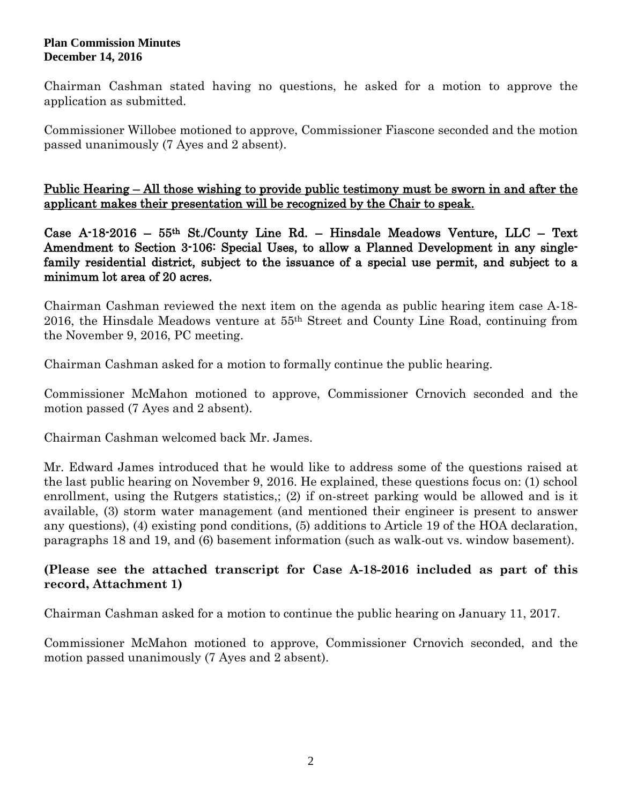### **Plan Commission Minutes December 14, 2016**

Chairman Cashman stated having no questions, he asked for a motion to approve the application as submitted.

Commissioner Willobee motioned to approve, Commissioner Fiascone seconded and the motion passed unanimously (7 Ayes and 2 absent).

Public Hearing – All those wishing to provide public testimony must be sworn in and after the applicant makes their presentation will be recognized by the Chair to speak.

Case A-18-2016 – 55th St./County Line Rd. – Hinsdale Meadows Venture, LLC – Text Amendment to Section 3-106: Special Uses, to allow a Planned Development in any singlefamily residential district, subject to the issuance of a special use permit, and subject to a minimum lot area of 20 acres.

Chairman Cashman reviewed the next item on the agenda as public hearing item case A-18- 2016, the Hinsdale Meadows venture at 55th Street and County Line Road, continuing from the November 9, 2016, PC meeting.

Chairman Cashman asked for a motion to formally continue the public hearing.

Commissioner McMahon motioned to approve, Commissioner Crnovich seconded and the motion passed (7 Ayes and 2 absent).

Chairman Cashman welcomed back Mr. James.

Mr. Edward James introduced that he would like to address some of the questions raised at the last public hearing on November 9, 2016. He explained, these questions focus on: (1) school enrollment, using the Rutgers statistics,; (2) if on-street parking would be allowed and is it available, (3) storm water management (and mentioned their engineer is present to answer any questions), (4) existing pond conditions, (5) additions to Article 19 of the HOA declaration, paragraphs 18 and 19, and (6) basement information (such as walk-out vs. window basement).

# **(Please see the attached transcript for Case A-18-2016 included as part of this record, Attachment 1)**

Chairman Cashman asked for a motion to continue the public hearing on January 11, 2017.

Commissioner McMahon motioned to approve, Commissioner Crnovich seconded, and the motion passed unanimously (7 Ayes and 2 absent).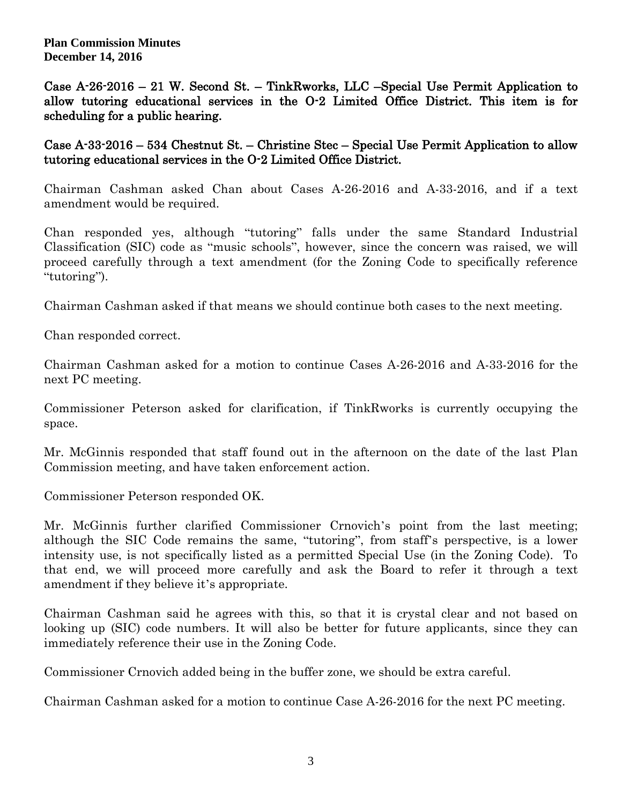**Plan Commission Minutes December 14, 2016**

Case A-26-2016 – 21 W. Second St. – TinkRworks, LLC –Special Use Permit Application to allow tutoring educational services in the O-2 Limited Office District. This item is for scheduling for a public hearing.

Case A-33-2016 – 534 Chestnut St. – Christine Stec – Special Use Permit Application to allow tutoring educational services in the O-2 Limited Office District.

Chairman Cashman asked Chan about Cases A-26-2016 and A-33-2016, and if a text amendment would be required.

Chan responded yes, although "tutoring" falls under the same Standard Industrial Classification (SIC) code as "music schools", however, since the concern was raised, we will proceed carefully through a text amendment (for the Zoning Code to specifically reference "tutoring").

Chairman Cashman asked if that means we should continue both cases to the next meeting.

Chan responded correct.

Chairman Cashman asked for a motion to continue Cases A-26-2016 and A-33-2016 for the next PC meeting.

Commissioner Peterson asked for clarification, if TinkRworks is currently occupying the space.

Mr. McGinnis responded that staff found out in the afternoon on the date of the last Plan Commission meeting, and have taken enforcement action.

Commissioner Peterson responded OK.

Mr. McGinnis further clarified Commissioner Crnovich's point from the last meeting; although the SIC Code remains the same, "tutoring", from staff's perspective, is a lower intensity use, is not specifically listed as a permitted Special Use (in the Zoning Code). To that end, we will proceed more carefully and ask the Board to refer it through a text amendment if they believe it's appropriate.

Chairman Cashman said he agrees with this, so that it is crystal clear and not based on looking up (SIC) code numbers. It will also be better for future applicants, since they can immediately reference their use in the Zoning Code.

Commissioner Crnovich added being in the buffer zone, we should be extra careful.

Chairman Cashman asked for a motion to continue Case A-26-2016 for the next PC meeting.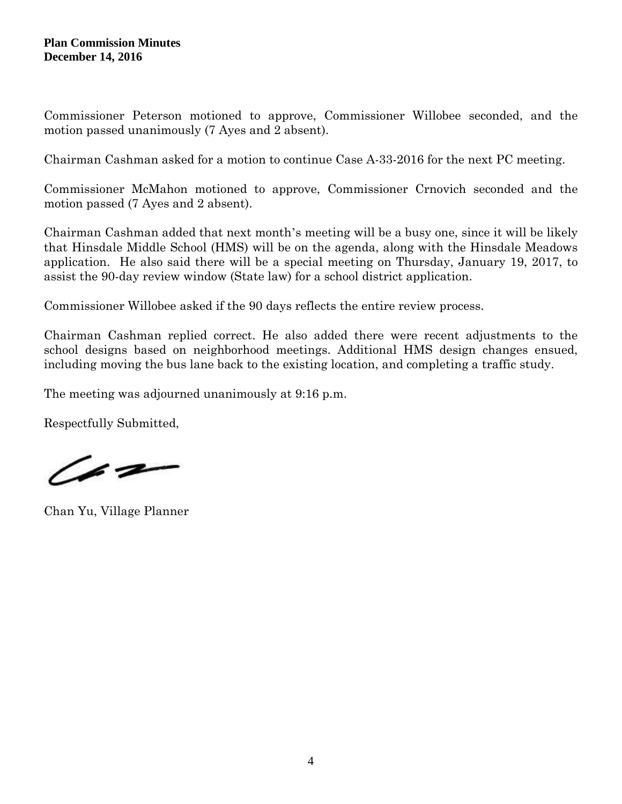Commissioner Peterson motioned to approve, Commissioner Willobee seconded, and the motion passed unanimously (7 Ayes and 2 absent).

Chairman Cashman asked for a motion to continue Case A-33-2016 for the next PC meeting.

Commissioner McMahon motioned to approve, Commissioner Crnovich seconded and the motion passed (7 Ayes and 2 absent).

Chairman Cashman added that next month's meeting will be a busy one, since it will be likely that Hinsdale Middle School (HMS) will be on the agenda, along with the Hinsdale Meadows application. He also said there will be a special meeting on Thursday, January 19, 2017, to assist the 90-day review window (State law) for a school district application.

Commissioner Willobee asked if the 90 days reflects the entire review process.

Chairman Cashman replied correct. He also added there were recent adjustments to the school designs based on neighborhood meetings. Additional HMS design changes ensued, including moving the bus lane back to the existing location, and completing a traffic study.

The meeting was adjourned unanimously at 9:16 p.m.

Respectfully Submitted,

 $42-$ 

Chan Yu, Village Planner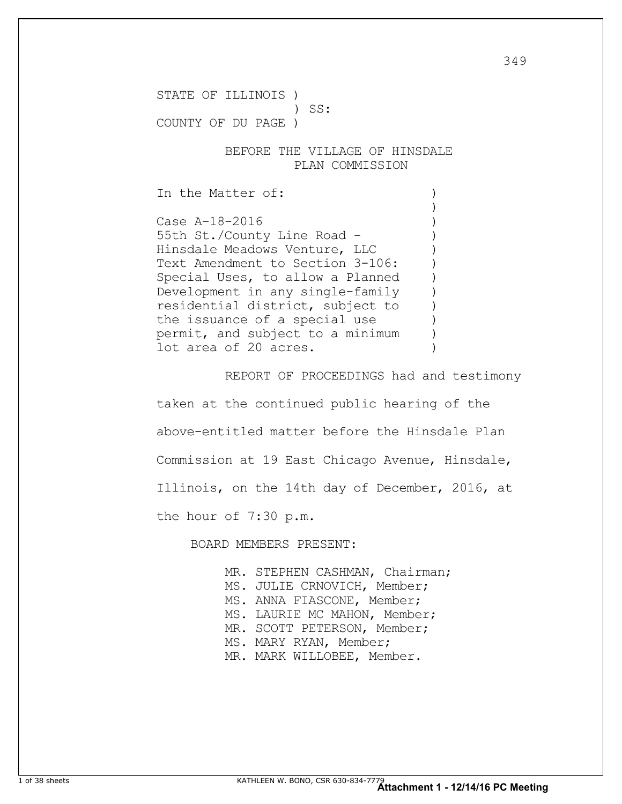STATE OF ILLINOIS )

) SS:

COUNTY OF DU PAGE )

 BEFORE THE VILLAGE OF HINSDALE PLAN COMMISSION

In the Matter of:  $\qquad \qquad$ 

Case A-18-2016 55th St./County Line Road -Hinsdale Meadows Venture, LLC ) Text Amendment to Section 3-106: Special Uses, to allow a Planned Development in any single-family ) residential district, subject to ) the issuance of a special use permit, and subject to a minimum ) lot area of 20 acres.

 $)$ 

REPORT OF PROCEEDINGS had and testimony

taken at the continued public hearing of the above-entitled matter before the Hinsdale Plan Commission at 19 East Chicago Avenue, Hinsdale, Illinois, on the 14th day of December, 2016, at the hour of 7:30 p.m.

BOARD MEMBERS PRESENT:

MR. STEPHEN CASHMAN, Chairman; MS. JULIE CRNOVICH, Member; MS. ANNA FIASCONE, Member; MS. LAURIE MC MAHON, Member; MR. SCOTT PETERSON, Member; MS. MARY RYAN, Member; MR. MARK WILLOBEE, Member.

349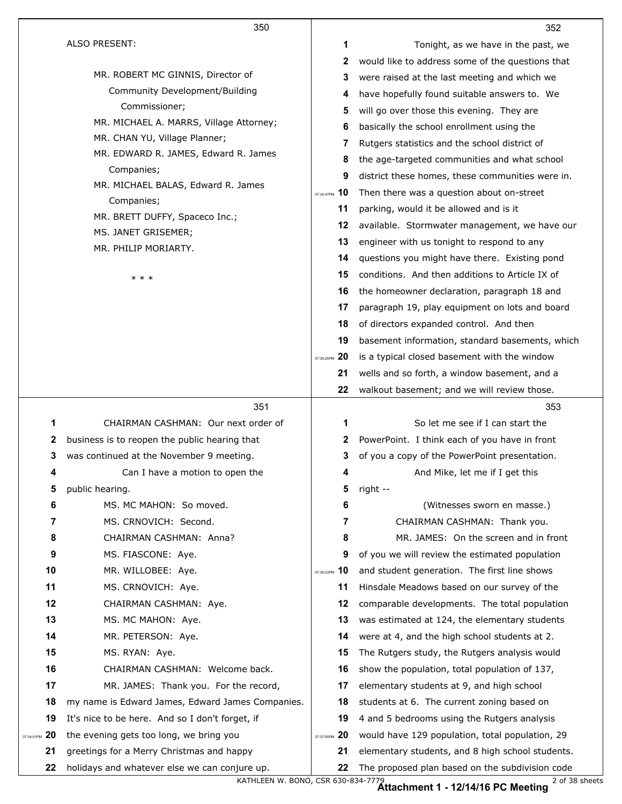|                  | 350                                              |               | 352                                              |
|------------------|--------------------------------------------------|---------------|--------------------------------------------------|
|                  | <b>ALSO PRESENT:</b>                             | 1             | Tonight, as we have in the past, we              |
|                  |                                                  | 2             | would like to address some of the questions that |
|                  | MR. ROBERT MC GINNIS, Director of                | 3             | were raised at the last meeting and which we     |
|                  | Community Development/Building                   | 4             | have hopefully found suitable answers to. We     |
|                  | Commissioner;                                    | 5             | will go over those this evening. They are        |
|                  | MR. MICHAEL A. MARRS, Village Attorney;          | 6             | basically the school enrollment using the        |
|                  | MR. CHAN YU, Village Planner;                    | 7             | Rutgers statistics and the school district of    |
|                  | MR. EDWARD R. JAMES, Edward R. James             | 8             | the age-targeted communities and what school     |
|                  | Companies;                                       | 9             | district these homes, these communities were in. |
|                  | MR. MICHAEL BALAS, Edward R. James               | 07:34:47PM 10 | Then there was a question about on-street        |
|                  | Companies;                                       | 11            | parking, would it be allowed and is it           |
|                  | MR. BRETT DUFFY, Spaceco Inc.;                   | 12            | available. Stormwater management, we have our    |
|                  | MS. JANET GRISEMER;<br>MR. PHILIP MORIARTY.      | 13            | engineer with us tonight to respond to any       |
|                  |                                                  | 14            | questions you might have there. Existing pond    |
|                  | * * *                                            | 15            | conditions. And then additions to Article IX of  |
|                  |                                                  | 16            | the homeowner declaration, paragraph 18 and      |
|                  |                                                  | 17            | paragraph 19, play equipment on lots and board   |
|                  |                                                  | 18            | of directors expanded control. And then          |
|                  |                                                  | 19            | basement information, standard basements, which  |
|                  |                                                  | 07:35:20PM 20 | is a typical closed basement with the window     |
|                  |                                                  | 21            | wells and so forth, a window basement, and a     |
|                  |                                                  | 22            | walkout basement; and we will review those.      |
|                  |                                                  |               |                                                  |
|                  | 351                                              |               | 353                                              |
| 1                | CHAIRMAN CASHMAN: Our next order of              | 1             | So let me see if I can start the                 |
| 2                | business is to reopen the public hearing that    | 2             | PowerPoint. I think each of you have in front    |
| 3                | was continued at the November 9 meeting.         | 3             | of you a copy of the PowerPoint presentation.    |
| 4                | Can I have a motion to open the                  | 4             | And Mike, let me if I get this                   |
| 5                | public hearing.                                  | 5             | right --                                         |
| 6                | MS. MC MAHON: So moved.                          | 6             | (Witnesses sworn en masse.)                      |
| 7                | MS. CRNOVICH: Second.                            | 7             | CHAIRMAN CASHMAN: Thank you.                     |
| 8                | CHAIRMAN CASHMAN: Anna?                          | 8             | MR. JAMES: On the screen and in front            |
| 9                | MS. FIASCONE: Aye.                               | 9             | of you we will review the estimated population   |
| 10               | MR. WILLOBEE: Aye.                               | 07:36:23PM 10 | and student generation. The first line shows     |
| 11               | MS. CRNOVICH: Aye.                               | 11            | Hinsdale Meadows based on our survey of the      |
| 12               | CHAIRMAN CASHMAN: Aye.                           | 12            | comparable developments. The total population    |
| 13               | MS. MC MAHON: Aye.                               | 13            | was estimated at 124, the elementary students    |
| 14               | MR. PETERSON: Aye.                               | 14            | were at 4, and the high school students at 2.    |
| 15               | MS. RYAN: Aye.                                   | 15            | The Rutgers study, the Rutgers analysis would    |
| 16               | CHAIRMAN CASHMAN: Welcome back.                  | 16            | show the population, total population of 137,    |
| 17               | MR. JAMES: Thank you. For the record,            | 17            | elementary students at 9, and high school        |
| 18               | my name is Edward James, Edward James Companies. | 18            | students at 6. The current zoning based on       |
| 19               | It's nice to be here. And so I don't forget, if  | 19            | 4 and 5 bedrooms using the Rutgers analysis      |
| 20<br>07:34:01PM | the evening gets too long, we bring you          | 07:37:05PM 20 | would have 129 population, total population, 29  |
| 21               | greetings for a Merry Christmas and happy        | 21            | elementary students, and 8 high school students. |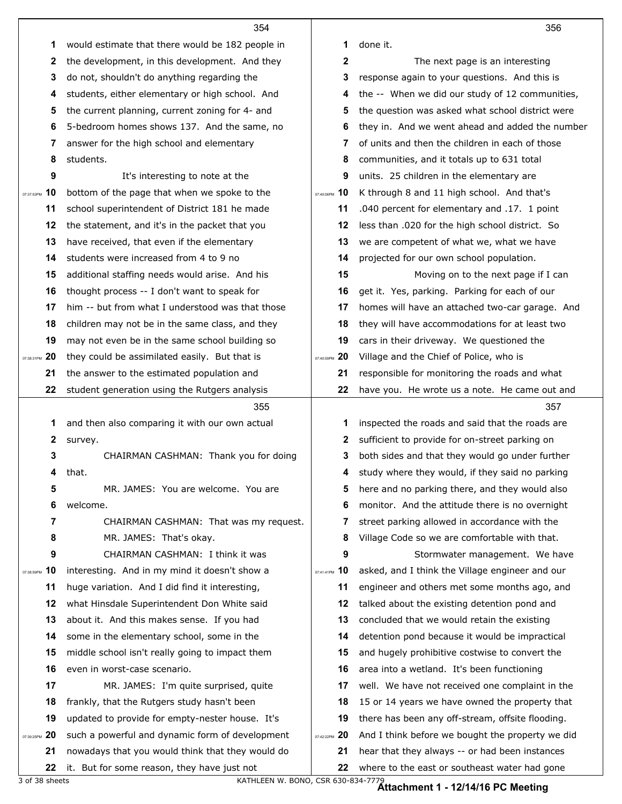|                  | 354                                                                                             |               | 356                                                                                             |
|------------------|-------------------------------------------------------------------------------------------------|---------------|-------------------------------------------------------------------------------------------------|
| 1                | would estimate that there would be 182 people in                                                | 1             | done it.                                                                                        |
| 2                | the development, in this development. And they                                                  | 2             | The next page is an interesting                                                                 |
| 3                | do not, shouldn't do anything regarding the                                                     | 3             | response again to your questions. And this is                                                   |
| 4                | students, either elementary or high school. And                                                 | 4             | the -- When we did our study of 12 communities,                                                 |
| 5                | the current planning, current zoning for 4- and                                                 | 5             | the question was asked what school district were                                                |
| 6                | 5-bedroom homes shows 137. And the same, no                                                     | 6             | they in. And we went ahead and added the number                                                 |
| 7                | answer for the high school and elementary                                                       | 7             | of units and then the children in each of those                                                 |
| 8                | students.                                                                                       | 8             | communities, and it totals up to 631 total                                                      |
| 9                | It's interesting to note at the                                                                 | 9             | units. 25 children in the elementary are                                                        |
| 10<br>07:37:53PM | bottom of the page that when we spoke to the                                                    | 07:40:06PM 10 | K through 8 and 11 high school. And that's                                                      |
| 11               | school superintendent of District 181 he made                                                   | 11            | .040 percent for elementary and .17. 1 point                                                    |
| 12               | the statement, and it's in the packet that you                                                  | 12            | less than .020 for the high school district. So                                                 |
| 13               | have received, that even if the elementary                                                      | 13            | we are competent of what we, what we have                                                       |
| 14               | students were increased from 4 to 9 no                                                          | 14            | projected for our own school population.                                                        |
| 15               | additional staffing needs would arise. And his                                                  | 15            | Moving on to the next page if I can                                                             |
| 16               | thought process -- I don't want to speak for                                                    | 16            | get it. Yes, parking. Parking for each of our                                                   |
| 17               | him -- but from what I understood was that those                                                | 17            | homes will have an attached two-car garage. And                                                 |
| 18               | children may not be in the same class, and they                                                 | 18            | they will have accommodations for at least two                                                  |
| 19               | may not even be in the same school building so                                                  | 19            | cars in their driveway. We questioned the                                                       |
| 20<br>07:38:31PM | they could be assimilated easily. But that is                                                   | 07:40:59PM 20 | Village and the Chief of Police, who is                                                         |
| 21               | the answer to the estimated population and                                                      | 21            | responsible for monitoring the roads and what                                                   |
| 22               | student generation using the Rutgers analysis                                                   | 22            | have you. He wrote us a note. He came out and                                                   |
|                  |                                                                                                 |               |                                                                                                 |
|                  | 355                                                                                             |               | 357                                                                                             |
| 1                | and then also comparing it with our own actual                                                  | 1             | inspected the roads and said that the roads are                                                 |
| 2                | survey.                                                                                         | 2             | sufficient to provide for on-street parking on                                                  |
| 3                | CHAIRMAN CASHMAN: Thank you for doing                                                           | 3             | both sides and that they would go under further                                                 |
| 4                | that.                                                                                           | 4             | study where they would, if they said no parking                                                 |
| 5                | MR. JAMES: You are welcome. You are                                                             | 5             | here and no parking there, and they would also                                                  |
| 6                | welcome.                                                                                        | 6             | monitor. And the attitude there is no overnight                                                 |
| 7                | CHAIRMAN CASHMAN: That was my request.                                                          | 7             | street parking allowed in accordance with the                                                   |
| 8                | MR. JAMES: That's okay.                                                                         | 8             | Village Code so we are comfortable with that.                                                   |
| 9                | CHAIRMAN CASHMAN: I think it was                                                                | 9             | Stormwater management. We have                                                                  |
| 10<br>07:38:59PM | interesting. And in my mind it doesn't show a                                                   | 07:41:41PM 10 | asked, and I think the Village engineer and our                                                 |
| 11               | huge variation. And I did find it interesting,                                                  | 11            | engineer and others met some months ago, and                                                    |
| 12               | what Hinsdale Superintendent Don White said                                                     | 12            | talked about the existing detention pond and                                                    |
| 13               | about it. And this makes sense. If you had                                                      | 13            | concluded that we would retain the existing                                                     |
| 14               | some in the elementary school, some in the                                                      | 14            | detention pond because it would be impractical                                                  |
| 15               | middle school isn't really going to impact them                                                 | 15            | and hugely prohibitive costwise to convert the                                                  |
| 16               | even in worst-case scenario.                                                                    | 16            | area into a wetland. It's been functioning                                                      |
| 17               | MR. JAMES: I'm quite surprised, quite                                                           | 17            | well. We have not received one complaint in the                                                 |
| 18               | frankly, that the Rutgers study hasn't been                                                     | 18            | 15 or 14 years we have owned the property that                                                  |
| 19               | updated to provide for empty-nester house. It's                                                 | 19            | there has been any off-stream, offsite flooding.                                                |
| 20               | such a powerful and dynamic form of development                                                 | 07:42:22PM 20 | And I think before we bought the property we did                                                |
| 07:39:25PM<br>21 | nowadays that you would think that they would do<br>it. But for some reason, they have just not | 21            | hear that they always -- or had been instances<br>where to the east or southeast water had gone |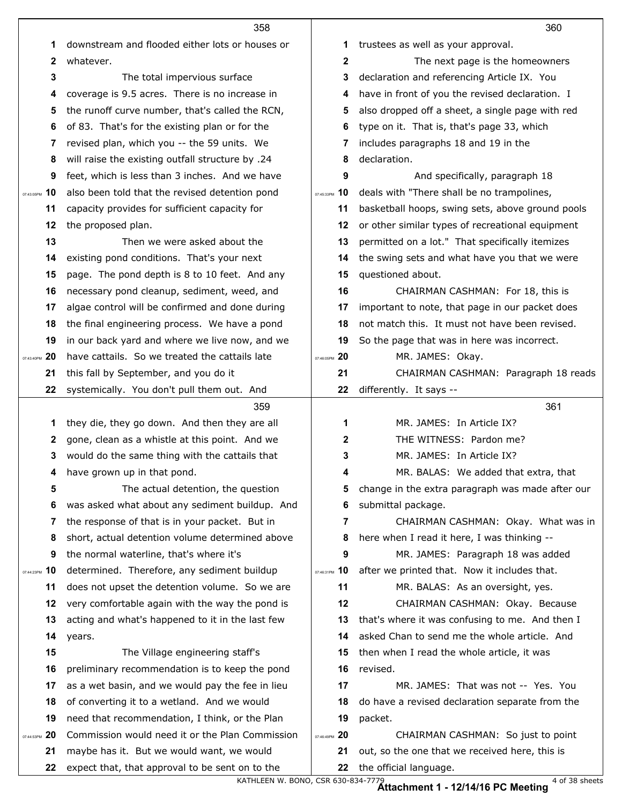|                  | 358                                              |                  | 360                                                                      |
|------------------|--------------------------------------------------|------------------|--------------------------------------------------------------------------|
| 1                | downstream and flooded either lots or houses or  | 1                | trustees as well as your approval.                                       |
| 2                | whatever.                                        | 2                | The next page is the homeowners                                          |
| 3                | The total impervious surface                     | 3                | declaration and referencing Article IX. You                              |
| 4                | coverage is 9.5 acres. There is no increase in   | 4                | have in front of you the revised declaration. I                          |
| 5                | the runoff curve number, that's called the RCN,  | 5                | also dropped off a sheet, a single page with red                         |
| 6                | of 83. That's for the existing plan or for the   | 6                | type on it. That is, that's page 33, which                               |
| 7                | revised plan, which you -- the 59 units. We      | 7                | includes paragraphs 18 and 19 in the                                     |
| 8                | will raise the existing outfall structure by .24 | 8                | declaration.                                                             |
| 9                | feet, which is less than 3 inches. And we have   | 9                | And specifically, paragraph 18                                           |
| 10<br>07:43:05PM | also been told that the revised detention pond   | 10<br>07:45:33PM | deals with "There shall be no trampolines,                               |
| 11               | capacity provides for sufficient capacity for    | 11               | basketball hoops, swing sets, above ground pools                         |
| 12               | the proposed plan.                               | 12               | or other similar types of recreational equipment                         |
| 13               | Then we were asked about the                     | 13               | permitted on a lot." That specifically itemizes                          |
| 14               | existing pond conditions. That's your next       | 14               | the swing sets and what have you that we were                            |
| 15               | page. The pond depth is 8 to 10 feet. And any    | 15               | questioned about.                                                        |
| 16               | necessary pond cleanup, sediment, weed, and      | 16               | CHAIRMAN CASHMAN: For 18, this is                                        |
| 17               | algae control will be confirmed and done during  | 17               | important to note, that page in our packet does                          |
| 18               | the final engineering process. We have a pond    | 18               | not match this. It must not have been revised.                           |
| 19               | in our back yard and where we live now, and we   | 19               | So the page that was in here was incorrect.                              |
| 20<br>07:43:40PM | have cattails. So we treated the cattails late   | 07:46:05PM 20    | MR. JAMES: Okay.                                                         |
| 21               | this fall by September, and you do it            | 21               | CHAIRMAN CASHMAN: Paragraph 18 reads                                     |
| 22               | systemically. You don't pull them out. And       | 22               | differently. It says --                                                  |
|                  |                                                  |                  |                                                                          |
|                  | 359                                              |                  | 361                                                                      |
| 1                | they die, they go down. And then they are all    | 1                | MR. JAMES: In Article IX?                                                |
| 2                | gone, clean as a whistle at this point. And we   | 2                | THE WITNESS: Pardon me?                                                  |
| 3                | would do the same thing with the cattails that   | 3                | MR. JAMES: In Article IX?                                                |
| 4                | have grown up in that pond.                      | 4                | MR. BALAS: We added that extra, that                                     |
| 5                | The actual detention, the question               | 5                | change in the extra paragraph was made after our                         |
| 6                | was asked what about any sediment buildup. And   | 6                | submittal package.                                                       |
| 7                | the response of that is in your packet. But in   | 7                | CHAIRMAN CASHMAN: Okay. What was in                                      |
| 8                | short, actual detention volume determined above  | 8                | here when I read it here, I was thinking --                              |
| 9                | the normal waterline, that's where it's          | 9                | MR. JAMES: Paragraph 18 was added                                        |
| 10<br>07:44:23PM | determined. Therefore, any sediment buildup      | 10<br>07:46:31PM | after we printed that. Now it includes that.                             |
| 11               | does not upset the detention volume. So we are   | 11               | MR. BALAS: As an oversight, yes.                                         |
| 12               | very comfortable again with the way the pond is  | $12 \,$          | CHAIRMAN CASHMAN: Okay. Because                                          |
| 13               | acting and what's happened to it in the last few | 13               | that's where it was confusing to me. And then I                          |
| 14               | years.                                           | 14               | asked Chan to send me the whole article. And                             |
| 15               | The Village engineering staff's                  | 15               | then when I read the whole article, it was                               |
| 16               | preliminary recommendation is to keep the pond   | 16               | revised.                                                                 |
| 17               | as a wet basin, and we would pay the fee in lieu | 17               | MR. JAMES: That was not -- Yes. You                                      |
| 18               | of converting it to a wetland. And we would      | 18               | do have a revised declaration separate from the                          |
| 19               | need that recommendation, I think, or the Plan   | 19               | packet.                                                                  |
| 20<br>07:44:53PM | Commission would need it or the Plan Commission  | 07:46:49PM 20    | CHAIRMAN CASHMAN: So just to point                                       |
| 21               | maybe has it. But we would want, we would        | 21               | out, so the one that we received here, this is<br>the official language. |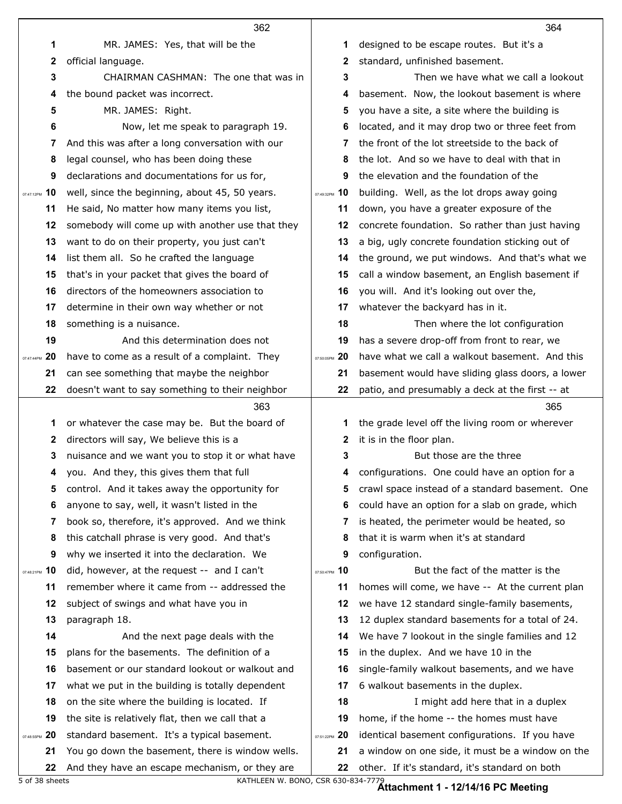|                    | 362                                                                                                |               | 364                                                                                                |
|--------------------|----------------------------------------------------------------------------------------------------|---------------|----------------------------------------------------------------------------------------------------|
| 1                  | MR. JAMES: Yes, that will be the                                                                   | 1             | designed to be escape routes. But it's a                                                           |
| $\mathbf{2}$       | official language.                                                                                 | 2             | standard, unfinished basement.                                                                     |
| 3                  | CHAIRMAN CASHMAN: The one that was in                                                              | 3             | Then we have what we call a lookout                                                                |
| 4                  | the bound packet was incorrect.                                                                    | 4             | basement. Now, the lookout basement is where                                                       |
| 5                  | MR. JAMES: Right.                                                                                  | 5             | you have a site, a site where the building is                                                      |
| 6                  | Now, let me speak to paragraph 19.                                                                 | 6             | located, and it may drop two or three feet from                                                    |
| 7                  | And this was after a long conversation with our                                                    | 7             | the front of the lot streetside to the back of                                                     |
| 8                  | legal counsel, who has been doing these                                                            | 8             | the lot. And so we have to deal with that in                                                       |
| 9                  | declarations and documentations for us for,                                                        | 9             | the elevation and the foundation of the                                                            |
| $_{07:47:12PM}$ 10 | well, since the beginning, about 45, 50 years.                                                     | 07:49:32PM 10 | building. Well, as the lot drops away going                                                        |
| 11                 | He said, No matter how many items you list,                                                        | 11            | down, you have a greater exposure of the                                                           |
| 12                 | somebody will come up with another use that they                                                   | 12            | concrete foundation. So rather than just having                                                    |
| 13                 | want to do on their property, you just can't                                                       | 13            | a big, ugly concrete foundation sticking out of                                                    |
| 14                 | list them all. So he crafted the language                                                          | 14            | the ground, we put windows. And that's what we                                                     |
| 15                 | that's in your packet that gives the board of                                                      | 15            | call a window basement, an English basement if                                                     |
| 16                 | directors of the homeowners association to                                                         | 16            | you will. And it's looking out over the,                                                           |
| 17                 | determine in their own way whether or not                                                          | 17            | whatever the backyard has in it.                                                                   |
| 18                 | something is a nuisance.                                                                           | 18            | Then where the lot configuration                                                                   |
| 19                 | And this determination does not                                                                    | 19            | has a severe drop-off from front to rear, we                                                       |
| 20<br>07:47:44PM   | have to come as a result of a complaint. They                                                      | 07:50:05PM 20 | have what we call a walkout basement. And this                                                     |
| 21                 | can see something that maybe the neighbor                                                          | 21            | basement would have sliding glass doors, a lower                                                   |
| 22                 | doesn't want to say something to their neighbor                                                    | 22            | patio, and presumably a deck at the first -- at                                                    |
|                    |                                                                                                    |               |                                                                                                    |
|                    | 363                                                                                                |               | 365                                                                                                |
| 1                  | or whatever the case may be. But the board of                                                      | 1             | the grade level off the living room or wherever                                                    |
| 2                  | directors will say, We believe this is a                                                           | 2             | it is in the floor plan.                                                                           |
| 3                  | nuisance and we want you to stop it or what have                                                   | 3             | But those are the three                                                                            |
|                    | you. And they, this gives them that full                                                           |               | 4 configurations. One could have an option for a                                                   |
| 5                  | control. And it takes away the opportunity for                                                     | 5             | crawl space instead of a standard basement. One                                                    |
| 6                  | anyone to say, well, it wasn't listed in the                                                       | 6             | could have an option for a slab on grade, which                                                    |
| 7                  | book so, therefore, it's approved. And we think                                                    | 7             | is heated, the perimeter would be heated, so                                                       |
| 8                  | this catchall phrase is very good. And that's                                                      | 8             | that it is warm when it's at standard                                                              |
| 9                  | why we inserted it into the declaration. We                                                        | 9             | configuration.                                                                                     |
| 07:48:21PM 10      | did, however, at the request -- and I can't                                                        | 07:50:47PM 10 | But the fact of the matter is the                                                                  |
| 11                 | remember where it came from -- addressed the                                                       | 11            | homes will come, we have -- At the current plan                                                    |
| 12                 | subject of swings and what have you in                                                             | 12            | we have 12 standard single-family basements,                                                       |
| 13                 | paragraph 18.                                                                                      | 13            | 12 duplex standard basements for a total of 24.                                                    |
| 14                 | And the next page deals with the                                                                   | 14            | We have 7 lookout in the single families and 12                                                    |
| 15                 | plans for the basements. The definition of a                                                       | 15            | in the duplex. And we have 10 in the                                                               |
| 16                 | basement or our standard lookout or walkout and                                                    | 16            | single-family walkout basements, and we have                                                       |
| 17                 | what we put in the building is totally dependent                                                   | 17            | 6 walkout basements in the duplex.                                                                 |
| 18                 | on the site where the building is located. If                                                      | 18            | I might add here that in a duplex                                                                  |
| 19                 | the site is relatively flat, then we call that a                                                   | 19            | home, if the home -- the homes must have                                                           |
| 07:48:55PM 20      | standard basement. It's a typical basement.                                                        | 07:51:22PM 20 | identical basement configurations. If you have                                                     |
| 21<br>22           | You go down the basement, there is window wells.<br>And they have an escape mechanism, or they are | 21<br>22      | a window on one side, it must be a window on the<br>other. If it's standard, it's standard on both |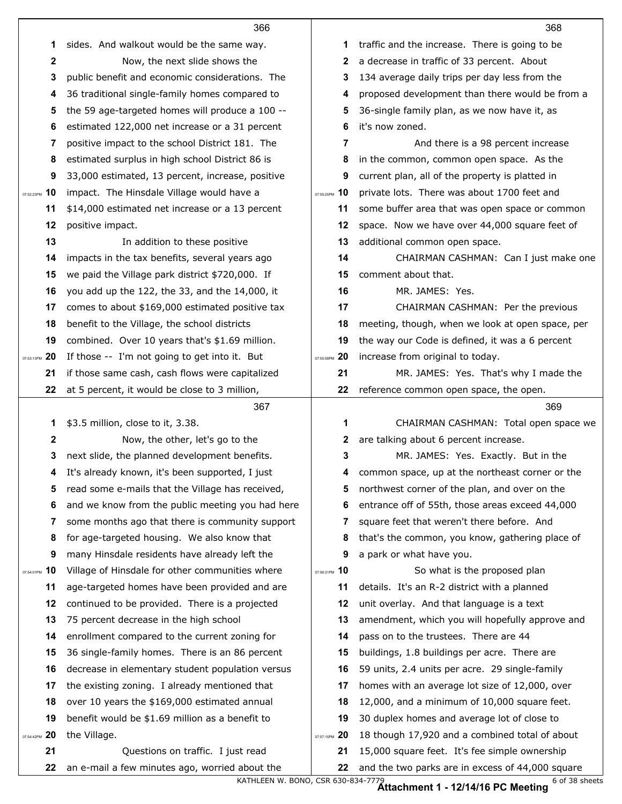|                  | 366                                              |               | 368                                              |
|------------------|--------------------------------------------------|---------------|--------------------------------------------------|
| 1                | sides. And walkout would be the same way.        | 1             | traffic and the increase. There is going to be   |
| $\mathbf{2}$     | Now, the next slide shows the                    | 2             | a decrease in traffic of 33 percent. About       |
| 3                | public benefit and economic considerations. The  | 3             | 134 average daily trips per day less from the    |
| 4                | 36 traditional single-family homes compared to   | 4             | proposed development than there would be from a  |
| 5                | the 59 age-targeted homes will produce a 100 --  | 5             | 36-single family plan, as we now have it, as     |
| 6                | estimated 122,000 net increase or a 31 percent   | 6             | it's now zoned.                                  |
| 7                | positive impact to the school District 181. The  | 7             | And there is a 98 percent increase               |
| 8                | estimated surplus in high school District 86 is  | 8             | in the common, common open space. As the         |
| 9                | 33,000 estimated, 13 percent, increase, positive | 9             | current plan, all of the property is platted in  |
| 10<br>07:52:23PM | impact. The Hinsdale Village would have a        | 07:55:25PM 10 | private lots. There was about 1700 feet and      |
| 11               | \$14,000 estimated net increase or a 13 percent  | 11            | some buffer area that was open space or common   |
| 12               | positive impact.                                 | 12            | space. Now we have over 44,000 square feet of    |
| 13               | In addition to these positive                    | 13            | additional common open space.                    |
| 14               | impacts in the tax benefits, several years ago   | 14            | CHAIRMAN CASHMAN: Can I just make one            |
| 15               | we paid the Village park district \$720,000. If  | 15            | comment about that.                              |
| 16               | you add up the 122, the 33, and the 14,000, it   | 16            | MR. JAMES: Yes.                                  |
| 17               | comes to about \$169,000 estimated positive tax  | 17            | CHAIRMAN CASHMAN: Per the previous               |
| 18               | benefit to the Village, the school districts     | 18            | meeting, though, when we look at open space, per |
| 19               | combined. Over 10 years that's \$1.69 million.   | 19            | the way our Code is defined, it was a 6 percent  |
| 20<br>07:53:13PM | If those -- I'm not going to get into it. But    | 07:55:58PM 20 | increase from original to today.                 |
| 21               | if those same cash, cash flows were capitalized  | 21            | MR. JAMES: Yes. That's why I made the            |
| 22               | at 5 percent, it would be close to 3 million,    | 22            | reference common open space, the open.           |
|                  |                                                  |               |                                                  |
|                  | 367                                              |               | 369                                              |
| 1                | \$3.5 million, close to it, 3.38.                | 1             | CHAIRMAN CASHMAN: Total open space we            |
| $\mathbf{2}$     | Now, the other, let's go to the                  | 2             | are talking about 6 percent increase.            |
| 3                | next slide, the planned development benefits.    | 3             | MR. JAMES: Yes. Exactly. But in the              |
| 4                | It's already known, it's been supported, I just  |               | common space, up at the northeast corner or the  |
| 5                | read some e-mails that the Village has received, | 5             | northwest corner of the plan, and over on the    |
| 6                | and we know from the public meeting you had here | 6             | entrance off of 55th, those areas exceed 44,000  |
| 7                | some months ago that there is community support  | 7             | square feet that weren't there before. And       |
| 8                | for age-targeted housing. We also know that      | 8             | that's the common, you know, gathering place of  |
| 9                | many Hinsdale residents have already left the    | 9             | a park or what have you.                         |
| 10<br>07:54:01PM | Village of Hinsdale for other communities where  | 07:56:31PM 10 | So what is the proposed plan                     |
| 11               | age-targeted homes have been provided and are    | 11            | details. It's an R-2 district with a planned     |
| 12               | continued to be provided. There is a projected   | 12            | unit overlay. And that language is a text        |
| 13               | 75 percent decrease in the high school           | 13            | amendment, which you will hopefully approve and  |
| 14               | enrollment compared to the current zoning for    | 14            | pass on to the trustees. There are 44            |
| 15               | 36 single-family homes. There is an 86 percent   | 15            | buildings, 1.8 buildings per acre. There are     |
| 16               | decrease in elementary student population versus | 16            | 59 units, 2.4 units per acre. 29 single-family   |
| 17               | the existing zoning. I already mentioned that    | 17            | homes with an average lot size of 12,000, over   |
| 18               | over 10 years the \$169,000 estimated annual     | 18            | 12,000, and a minimum of 10,000 square feet.     |
| 19               | benefit would be \$1.69 million as a benefit to  | 19            | 30 duplex homes and average lot of close to      |
| 07:54:42PM 20    | the Village.                                     | 07:57:15PM 20 | 18 though 17,920 and a combined total of about   |
| 21               | Questions on traffic. I just read                | 21            | 15,000 square feet. It's fee simple ownership    |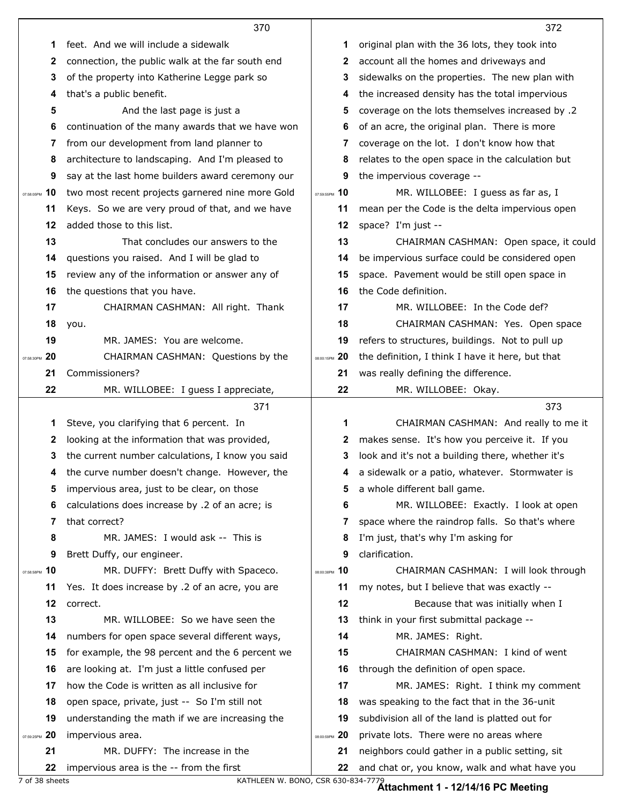|                  | 370                                                                        |                  | 372                                                                                              |
|------------------|----------------------------------------------------------------------------|------------------|--------------------------------------------------------------------------------------------------|
| 1                | feet. And we will include a sidewalk                                       | 1                | original plan with the 36 lots, they took into                                                   |
| $\mathbf{2}$     | connection, the public walk at the far south end                           | 2                | account all the homes and driveways and                                                          |
| 3                | of the property into Katherine Legge park so                               | 3                | sidewalks on the properties. The new plan with                                                   |
| 4                | that's a public benefit.                                                   | 4                | the increased density has the total impervious                                                   |
| 5                | And the last page is just a                                                | 5                | coverage on the lots themselves increased by .2                                                  |
| 6                | continuation of the many awards that we have won                           | 6                | of an acre, the original plan. There is more                                                     |
| 7                | from our development from land planner to                                  | 7                | coverage on the lot. I don't know how that                                                       |
| 8                | architecture to landscaping. And I'm pleased to                            | 8                | relates to the open space in the calculation but                                                 |
| 9                | say at the last home builders award ceremony our                           | 9                | the impervious coverage --                                                                       |
| 10<br>07:58:05PM | two most recent projects garnered nine more Gold                           | 07:59:55PM 10    | MR. WILLOBEE: I guess as far as, I                                                               |
| 11               | Keys. So we are very proud of that, and we have                            | 11               | mean per the Code is the delta impervious open                                                   |
| 12               | added those to this list.                                                  | 12               | space? I'm just --                                                                               |
| 13               | That concludes our answers to the                                          | 13               | CHAIRMAN CASHMAN: Open space, it could                                                           |
| 14               | questions you raised. And I will be glad to                                | 14               | be impervious surface could be considered open                                                   |
| 15               | review any of the information or answer any of                             | 15               | space. Pavement would be still open space in                                                     |
| 16               | the questions that you have.                                               | 16               | the Code definition.                                                                             |
| 17               | CHAIRMAN CASHMAN: All right. Thank                                         | 17               | MR. WILLOBEE: In the Code def?                                                                   |
| 18               | you.                                                                       | 18               | CHAIRMAN CASHMAN: Yes. Open space                                                                |
| 19               | MR. JAMES: You are welcome.                                                | 19               | refers to structures, buildings. Not to pull up                                                  |
| 20<br>07:58:30PM | CHAIRMAN CASHMAN: Questions by the                                         | 08:00:15PM 20    | the definition, I think I have it here, but that                                                 |
| 21               | Commissioners?                                                             | 21               | was really defining the difference.                                                              |
| 22               | MR. WILLOBEE: I guess I appreciate,                                        | 22               | MR. WILLOBEE: Okay.                                                                              |
|                  |                                                                            |                  |                                                                                                  |
|                  | 371                                                                        |                  | 373                                                                                              |
| 1                | Steve, you clarifying that 6 percent. In                                   | 1                | CHAIRMAN CASHMAN: And really to me it                                                            |
| 2                | looking at the information that was provided,                              | 2                | makes sense. It's how you perceive it. If you                                                    |
| 3                | the current number calculations, I know you said                           | 3                | look and it's not a building there, whether it's                                                 |
| 4                | the curve number doesn't change. However, the                              | 4                | a sidewalk or a patio, whatever. Stormwater is                                                   |
| 5                | impervious area, just to be clear, on those                                | 5                | a whole different ball game.                                                                     |
| 6                | calculations does increase by .2 of an acre; is                            | 6                | MR. WILLOBEE: Exactly. I look at open                                                            |
| 7                | that correct?                                                              | 7                | space where the raindrop falls. So that's where                                                  |
| 8                | MR. JAMES: I would ask -- This is                                          | 8                | I'm just, that's why I'm asking for                                                              |
| 9                | Brett Duffy, our engineer.                                                 | 9                | clarification.                                                                                   |
| 10<br>07:58:58PM | MR. DUFFY: Brett Duffy with Spaceco.                                       | 08:00:38PM 10    | CHAIRMAN CASHMAN: I will look through                                                            |
| 11               | Yes. It does increase by .2 of an acre, you are                            | 11               | my notes, but I believe that was exactly --                                                      |
| 12               | correct.                                                                   | 12               | Because that was initially when I                                                                |
| 13               | MR. WILLOBEE: So we have seen the                                          | 13               | think in your first submittal package --                                                         |
| 14               | numbers for open space several different ways,                             | 14               | MR. JAMES: Right.                                                                                |
| 15               | for example, the 98 percent and the 6 percent we                           | 15               | CHAIRMAN CASHMAN: I kind of went                                                                 |
| 16               | are looking at. I'm just a little confused per                             | 16               | through the definition of open space.                                                            |
| 17               | how the Code is written as all inclusive for                               | 17               | MR. JAMES: Right. I think my comment                                                             |
| 18               | open space, private, just -- So I'm still not                              | 18               | was speaking to the fact that in the 36-unit                                                     |
| 19               | understanding the math if we are increasing the                            | 19               | subdivision all of the land is platted out for                                                   |
| 20<br>07:59:25PM | impervious area.                                                           | 20<br>08:00:59PM | private lots. There were no areas where                                                          |
| 21<br>22         | MR. DUFFY: The increase in the<br>impervious area is the -- from the first | 21               | neighbors could gather in a public setting, sit<br>and chat or, you know, walk and what have you |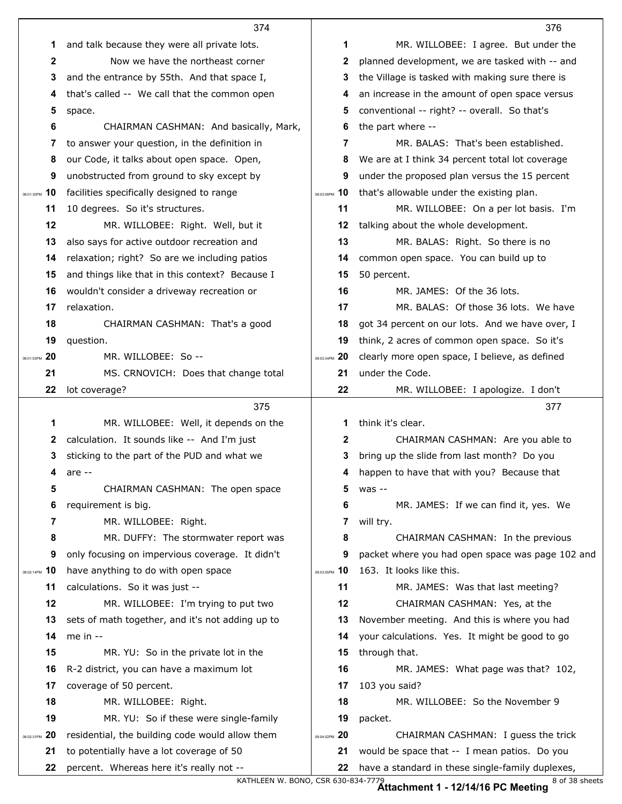|                  | 374                                              |                  | 376                                              |
|------------------|--------------------------------------------------|------------------|--------------------------------------------------|
| 1                | and talk because they were all private lots.     | 1                | MR. WILLOBEE: I agree. But under the             |
| $\mathbf{2}$     | Now we have the northeast corner                 | 2                | planned development, we are tasked with -- and   |
| 3                | and the entrance by 55th. And that space I,      | 3                | the Village is tasked with making sure there is  |
| 4                | that's called -- We call that the common open    | 4                | an increase in the amount of open space versus   |
| 5                | space.                                           | 5                | conventional -- right? -- overall. So that's     |
| 6                | CHAIRMAN CASHMAN: And basically, Mark,           | 6                | the part where --                                |
| 7                | to answer your question, in the definition in    | 7                | MR. BALAS: That's been established.              |
| 8                | our Code, it talks about open space. Open,       | 8                | We are at I think 34 percent total lot coverage  |
| 9                | unobstructed from ground to sky except by        | 9                | under the proposed plan versus the 15 percent    |
| 10<br>08:01:30PM | facilities specifically designed to range        | 08:03:08PM 10    | that's allowable under the existing plan.        |
| 11               | 10 degrees. So it's structures.                  | 11               | MR. WILLOBEE: On a per lot basis. I'm            |
| 12               | MR. WILLOBEE: Right. Well, but it                | 12               | talking about the whole development.             |
| 13               | also says for active outdoor recreation and      | 13               | MR. BALAS: Right. So there is no                 |
| 14               | relaxation; right? So are we including patios    | 14               | common open space. You can build up to           |
| 15               | and things like that in this context? Because I  | 15               | 50 percent.                                      |
| 16               | wouldn't consider a driveway recreation or       | 16               | MR. JAMES: Of the 36 lots.                       |
| 17               | relaxation.                                      | 17               | MR. BALAS: Of those 36 lots. We have             |
| 18               | CHAIRMAN CASHMAN: That's a good                  | 18               | got 34 percent on our lots. And we have over, I  |
| 19               | question.                                        | 19               | think, 2 acres of common open space. So it's     |
| 20<br>08:01:53PM | MR. WILLOBEE: So --                              | 08:03:34PM 20    | clearly more open space, I believe, as defined   |
| 21               | MS. CRNOVICH: Does that change total             | 21               | under the Code.                                  |
| 22               | lot coverage?                                    | 22               | MR. WILLOBEE: I apologize. I don't               |
|                  | 375                                              |                  | 377                                              |
|                  |                                                  |                  |                                                  |
| 1                | MR. WILLOBEE: Well, it depends on the            | 1                | think it's clear.                                |
| $\mathbf{2}$     | calculation. It sounds like -- And I'm just      | 2                | CHAIRMAN CASHMAN: Are you able to                |
| 3                | sticking to the part of the PUD and what we      | 3                | bring up the slide from last month? Do you       |
| 4                | are --                                           | 4                | happen to have that with you? Because that       |
| 5                | CHAIRMAN CASHMAN: The open space                 | 5                | $was - -$                                        |
| 6                | requirement is big.                              | 6                | MR. JAMES: If we can find it, yes. We            |
| 7                | MR. WILLOBEE: Right.                             | 7                | will try.                                        |
| 8                | MR. DUFFY: The stormwater report was             | 8                | CHAIRMAN CASHMAN: In the previous                |
| 9                | only focusing on impervious coverage. It didn't  | 9                | packet where you had open space was page 102 and |
| 10<br>08:02:14PM | have anything to do with open space              | 10<br>08:03:55PM | 163. It looks like this.                         |
| 11               | calculations. So it was just --                  | 11               | MR. JAMES: Was that last meeting?                |
| 12               | MR. WILLOBEE: I'm trying to put two              | 12               | CHAIRMAN CASHMAN: Yes, at the                    |
| 13               | sets of math together, and it's not adding up to | 13               | November meeting. And this is where you had      |
| 14               | me in $-$                                        | 14               | your calculations. Yes. It might be good to go   |
| 15               | MR. YU: So in the private lot in the             | 15               | through that.                                    |
| 16               | R-2 district, you can have a maximum lot         | 16               | MR. JAMES: What page was that? 102,              |
| 17               | coverage of 50 percent.                          | 17               | 103 you said?                                    |
| 18               | MR. WILLOBEE: Right.                             | 18               | MR. WILLOBEE: So the November 9                  |
| 19               | MR. YU: So if these were single-family           | 19               | packet.                                          |
| 20<br>08:02:31PM | residential, the building code would allow them  | 08:04:52PM 20    | CHAIRMAN CASHMAN: I guess the trick              |
| 21               | to potentially have a lot coverage of 50         | 21               | would be space that -- I mean patios. Do you     |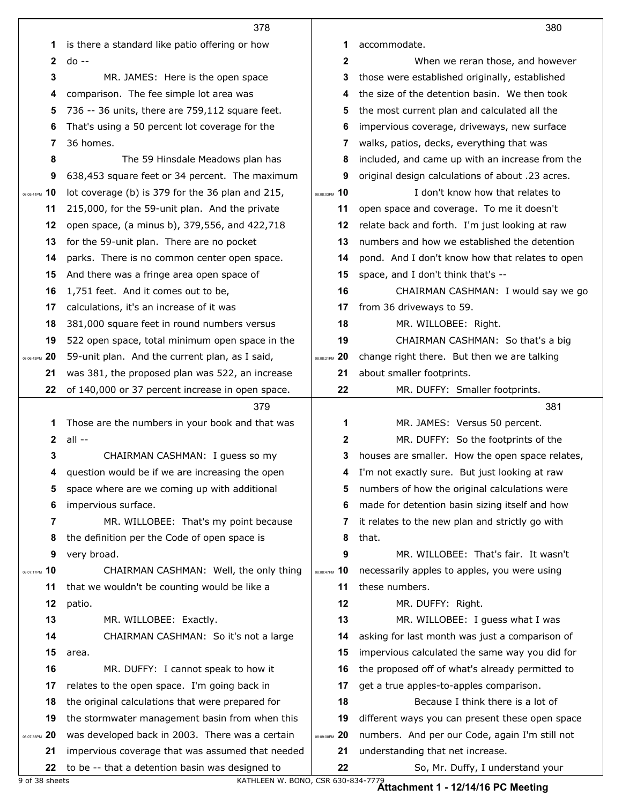|                  | 378                                                                                                 |                  | 380                                                                  |
|------------------|-----------------------------------------------------------------------------------------------------|------------------|----------------------------------------------------------------------|
| 1                | is there a standard like patio offering or how                                                      | 1                | accommodate.                                                         |
| $\mathbf{2}$     | $do - -$                                                                                            | 2                | When we reran those, and however                                     |
| 3                | MR. JAMES: Here is the open space                                                                   | 3                | those were established originally, established                       |
| 4                | comparison. The fee simple lot area was                                                             | 4                | the size of the detention basin. We then took                        |
| 5                | 736 -- 36 units, there are 759,112 square feet.                                                     | 5                | the most current plan and calculated all the                         |
| 6                | That's using a 50 percent lot coverage for the                                                      | 6                | impervious coverage, driveways, new surface                          |
| 7                | 36 homes.                                                                                           | 7                | walks, patios, decks, everything that was                            |
| 8                | The 59 Hinsdale Meadows plan has                                                                    | 8                | included, and came up with an increase from the                      |
| 9                | 638,453 square feet or 34 percent. The maximum                                                      | 9                | original design calculations of about .23 acres.                     |
| 10<br>08:05:41PM | lot coverage (b) is 379 for the 36 plan and 215,                                                    | 08:08:03PM 10    | I don't know how that relates to                                     |
| 11               | 215,000, for the 59-unit plan. And the private                                                      | 11               | open space and coverage. To me it doesn't                            |
| 12               | open space, (a minus b), 379,556, and 422,718                                                       | 12               | relate back and forth. I'm just looking at raw                       |
| 13               | for the 59-unit plan. There are no pocket                                                           | 13               | numbers and how we established the detention                         |
| 14               | parks. There is no common center open space.                                                        | 14               | pond. And I don't know how that relates to open                      |
| 15               | And there was a fringe area open space of                                                           | 15               | space, and I don't think that's --                                   |
| 16               | 1,751 feet. And it comes out to be,                                                                 | 16               | CHAIRMAN CASHMAN: I would say we go                                  |
| 17               | calculations, it's an increase of it was                                                            | 17               | from 36 driveways to 59.                                             |
| 18               | 381,000 square feet in round numbers versus                                                         | 18               | MR. WILLOBEE: Right.                                                 |
| 19               | 522 open space, total minimum open space in the                                                     | 19               | CHAIRMAN CASHMAN: So that's a big                                    |
| 20<br>08:06:43PM | 59-unit plan. And the current plan, as I said,                                                      | 08:08:21PM 20    | change right there. But then we are talking                          |
| 21               | was 381, the proposed plan was 522, an increase                                                     | 21               | about smaller footprints.                                            |
| 22               | of 140,000 or 37 percent increase in open space.                                                    | 22               | MR. DUFFY: Smaller footprints.                                       |
|                  | 379                                                                                                 |                  | 381                                                                  |
|                  |                                                                                                     |                  |                                                                      |
| 1                | Those are the numbers in your book and that was                                                     | 1                | MR. JAMES: Versus 50 percent.                                        |
| $\mathbf{2}$     | all --                                                                                              | 2                | MR. DUFFY: So the footprints of the                                  |
| 3                | CHAIRMAN CASHMAN: I guess so my                                                                     | 3                | houses are smaller. How the open space relates,                      |
|                  | 4 question would be if we are increasing the open                                                   |                  | 4 I'm not exactly sure. But just looking at raw                      |
| 5                | space where are we coming up with additional                                                        | 5                | numbers of how the original calculations were                        |
| 6                | impervious surface.                                                                                 | 6                | made for detention basin sizing itself and how                       |
| 7                | MR. WILLOBEE: That's my point because                                                               | 7                | it relates to the new plan and strictly go with                      |
| 8                | the definition per the Code of open space is                                                        | 8                | that.                                                                |
| 9                | very broad.                                                                                         | 9                | MR. WILLOBEE: That's fair. It wasn't                                 |
| 08:07:17PM 10    | CHAIRMAN CASHMAN: Well, the only thing                                                              | 10<br>08:08:47PM | necessarily apples to apples, you were using                         |
| 11               | that we wouldn't be counting would be like a                                                        | 11               | these numbers.                                                       |
| 12               | patio.                                                                                              | 12               | MR. DUFFY: Right.                                                    |
| 13               | MR. WILLOBEE: Exactly.                                                                              | 13               | MR. WILLOBEE: I guess what I was                                     |
| 14               | CHAIRMAN CASHMAN: So it's not a large                                                               | 14               | asking for last month was just a comparison of                       |
| 15               | area.                                                                                               | 15               | impervious calculated the same way you did for                       |
| 16               | MR. DUFFY: I cannot speak to how it                                                                 | 16               | the proposed off of what's already permitted to                      |
| 17               | relates to the open space. I'm going back in                                                        | 17               | get a true apples-to-apples comparison.                              |
| 18               | the original calculations that were prepared for                                                    | 18               | Because I think there is a lot of                                    |
| 19               | the stormwater management basin from when this                                                      | 19               | different ways you can present these open space                      |
| 20<br>08:07:33PM | was developed back in 2003. There was a certain                                                     | 08:09:08PM 20    | numbers. And per our Code, again I'm still not                       |
| 21<br>22         | impervious coverage that was assumed that needed<br>to be -- that a detention basin was designed to | 21<br>22         | understanding that net increase.<br>So, Mr. Duffy, I understand your |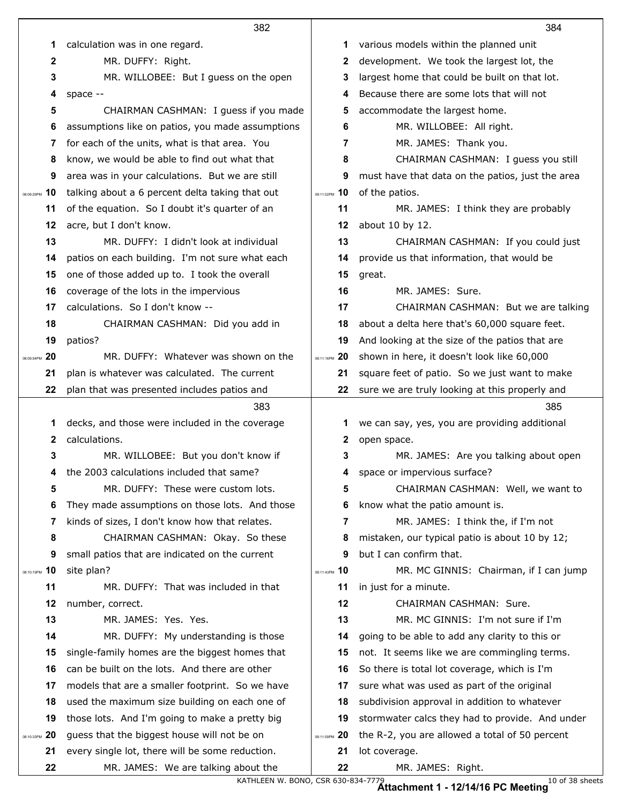|                  | 382                                              |               | 384                                              |
|------------------|--------------------------------------------------|---------------|--------------------------------------------------|
| 1                | calculation was in one regard.                   | 1             | various models within the planned unit           |
| $\mathbf{2}$     | MR. DUFFY: Right.                                | 2             | development. We took the largest lot, the        |
| 3                | MR. WILLOBEE: But I guess on the open            | 3             | largest home that could be built on that lot.    |
| 4                | space --                                         | 4             | Because there are some lots that will not        |
| 5                | CHAIRMAN CASHMAN: I guess if you made            | 5             | accommodate the largest home.                    |
| 6                | assumptions like on patios, you made assumptions | 6             | MR. WILLOBEE: All right.                         |
| 7                | for each of the units, what is that area. You    | 7             | MR. JAMES: Thank you.                            |
| 8                | know, we would be able to find out what that     | 8             | CHAIRMAN CASHMAN: I guess you still              |
| 9                | area was in your calculations. But we are still  | 9             | must have that data on the patios, just the area |
| 10<br>08:09:29PM | talking about a 6 percent delta taking that out  | 08:11:02PM 10 | of the patios.                                   |
| 11               | of the equation. So I doubt it's quarter of an   | 11            | MR. JAMES: I think they are probably             |
| 12               | acre, but I don't know.                          | 12            | about 10 by 12.                                  |
| 13               | MR. DUFFY: I didn't look at individual           | 13            | CHAIRMAN CASHMAN: If you could just              |
| 14               | patios on each building. I'm not sure what each  | 14            | provide us that information, that would be       |
| 15               | one of those added up to. I took the overall     | 15            | great.                                           |
| 16               | coverage of the lots in the impervious           | 16            | MR. JAMES: Sure.                                 |
| 17               | calculations. So I don't know --                 | 17            | CHAIRMAN CASHMAN: But we are talking             |
| 18               | CHAIRMAN CASHMAN: Did you add in                 | 18            | about a delta here that's 60,000 square feet.    |
| 19               | patios?                                          | 19            | And looking at the size of the patios that are   |
| 20<br>08:09:54PM | MR. DUFFY: Whatever was shown on the             | 08:11:16PM 20 | shown in here, it doesn't look like 60,000       |
| 21               | plan is whatever was calculated. The current     | 21            | square feet of patio. So we just want to make    |
| 22               | plan that was presented includes patios and      | 22            | sure we are truly looking at this properly and   |
|                  |                                                  |               |                                                  |
|                  | 383                                              |               | 385                                              |
| 1                | decks, and those were included in the coverage   | 1             | we can say, yes, you are providing additional    |
| $\mathbf{2}$     | calculations.                                    | 2             | open space.                                      |
| 3                | MR. WILLOBEE: But you don't know if              | 3             | MR. JAMES: Are you talking about open            |
| 4                | the 2003 calculations included that same?        |               | space or impervious surface?                     |
| 5                | MR. DUFFY: These were custom lots.               | 5             | CHAIRMAN CASHMAN: Well, we want to               |
| 6                | They made assumptions on those lots. And those   | 6             | know what the patio amount is.                   |
| 7                | kinds of sizes, I don't know how that relates.   | 7             | MR. JAMES: I think the, if I'm not               |
| 8                | CHAIRMAN CASHMAN: Okay. So these                 | 8             | mistaken, our typical patio is about 10 by 12;   |
| 9                | small patios that are indicated on the current   | 9             | but I can confirm that.                          |
| 10<br>08:10:19PM | site plan?                                       | 08:11:43PM 10 | MR. MC GINNIS: Chairman, if I can jump           |
| 11               | MR. DUFFY: That was included in that             | 11            | in just for a minute.                            |
| 12               | number, correct.                                 | 12            | CHAIRMAN CASHMAN: Sure.                          |
| 13               | MR. JAMES: Yes. Yes.                             | 13            | MR. MC GINNIS: I'm not sure if I'm               |
| 14               | MR. DUFFY: My understanding is those             | 14            | going to be able to add any clarity to this or   |
| 15               | single-family homes are the biggest homes that   | 15            | not. It seems like we are commingling terms.     |
| 16               | can be built on the lots. And there are other    | 16            | So there is total lot coverage, which is I'm     |
| 17               | models that are a smaller footprint. So we have  | 17            | sure what was used as part of the original       |
| 18               | used the maximum size building on each one of    | 18            | subdivision approval in addition to whatever     |
| 19               | those lots. And I'm going to make a pretty big   | 19            | stormwater calcs they had to provide. And under  |
| 20<br>08:10:33PM | guess that the biggest house will not be on      | 08:11:59PM 20 | the R-2, you are allowed a total of 50 percent   |
| 21               | every single lot, there will be some reduction.  | 21            | lot coverage.                                    |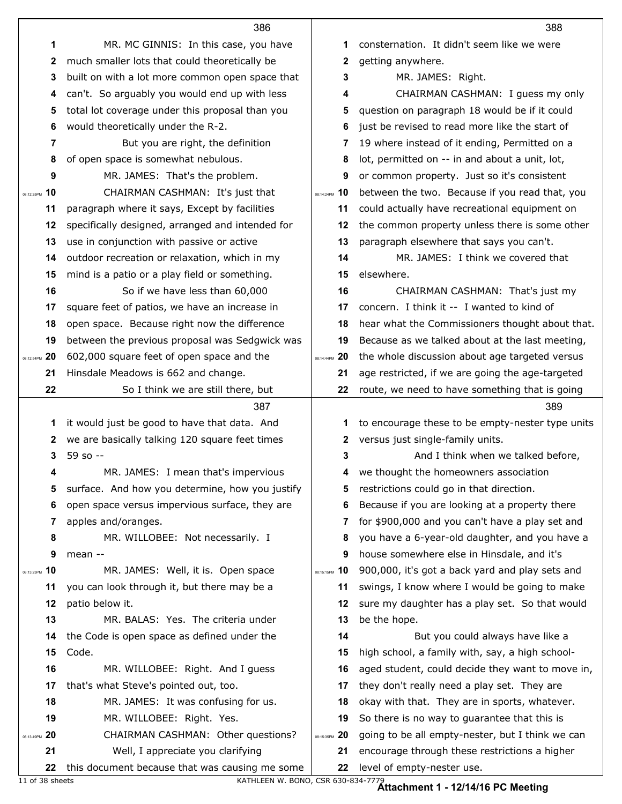|                  | 386                                                                                 |                  | 388                                                                         |
|------------------|-------------------------------------------------------------------------------------|------------------|-----------------------------------------------------------------------------|
| 1                | MR. MC GINNIS: In this case, you have                                               | 1                | consternation. It didn't seem like we were                                  |
| $\mathbf{2}$     | much smaller lots that could theoretically be                                       | 2                | getting anywhere.                                                           |
| 3                | built on with a lot more common open space that                                     | 3                | MR. JAMES: Right.                                                           |
| 4                | can't. So arguably you would end up with less                                       | 4                | CHAIRMAN CASHMAN: I guess my only                                           |
| 5                | total lot coverage under this proposal than you                                     | 5                | question on paragraph 18 would be if it could                               |
| 6                | would theoretically under the R-2.                                                  | 6                | just be revised to read more like the start of                              |
| 7                | But you are right, the definition                                                   | 7                | 19 where instead of it ending, Permitted on a                               |
| 8                | of open space is somewhat nebulous.                                                 | 8                | lot, permitted on -- in and about a unit, lot,                              |
| 9                | MR. JAMES: That's the problem.                                                      | 9                | or common property. Just so it's consistent                                 |
| 10<br>08:12:25PM | CHAIRMAN CASHMAN: It's just that                                                    | 10<br>08:14:24PM | between the two. Because if you read that, you                              |
| 11               | paragraph where it says, Except by facilities                                       | 11               | could actually have recreational equipment on                               |
| 12               | specifically designed, arranged and intended for                                    | 12               | the common property unless there is some other                              |
| 13               | use in conjunction with passive or active                                           | 13               | paragraph elsewhere that says you can't.                                    |
| 14               | outdoor recreation or relaxation, which in my                                       | 14               | MR. JAMES: I think we covered that                                          |
| 15               | mind is a patio or a play field or something.                                       | 15               | elsewhere.                                                                  |
| 16               | So if we have less than 60,000                                                      | 16               | CHAIRMAN CASHMAN: That's just my                                            |
| 17               | square feet of patios, we have an increase in                                       | 17               | concern. I think it -- I wanted to kind of                                  |
| 18               | open space. Because right now the difference                                        | 18               | hear what the Commissioners thought about that.                             |
| 19               | between the previous proposal was Sedgwick was                                      | 19               | Because as we talked about at the last meeting,                             |
| 20<br>08:12:54PM | 602,000 square feet of open space and the                                           | 08:14:44PM 20    | the whole discussion about age targeted versus                              |
| 21               | Hinsdale Meadows is 662 and change.                                                 | 21               | age restricted, if we are going the age-targeted                            |
|                  | So I think we are still there, but                                                  | 22               | route, we need to have something that is going                              |
| 22               |                                                                                     |                  |                                                                             |
|                  | 387                                                                                 |                  | 389                                                                         |
| 1                | it would just be good to have that data. And                                        | 1                | to encourage these to be empty-nester type units                            |
| 2                | we are basically talking 120 square feet times                                      | 2                | versus just single-family units.                                            |
| 3                | 59 so --                                                                            | 3                | And I think when we talked before,                                          |
| 4                | MR. JAMES: I mean that's impervious                                                 | 4                | we thought the homeowners association                                       |
| 5                | surface. And how you determine, how you justify                                     | 5                | restrictions could go in that direction.                                    |
| 6                | open space versus impervious surface, they are                                      | 6                | Because if you are looking at a property there                              |
| 7                | apples and/oranges.                                                                 | 7                | for \$900,000 and you can't have a play set and                             |
| 8                | MR. WILLOBEE: Not necessarily. I                                                    | 8                | you have a 6-year-old daughter, and you have a                              |
| 9                | mean --                                                                             | 9                | house somewhere else in Hinsdale, and it's                                  |
| 10<br>08:13:23PM | MR. JAMES: Well, it is. Open space                                                  | 08:15:15PM 10    | 900,000, it's got a back yard and play sets and                             |
| 11               | you can look through it, but there may be a                                         | 11               | swings, I know where I would be going to make                               |
| 12               | patio below it.                                                                     | 12               | sure my daughter has a play set. So that would                              |
| 13               | MR. BALAS: Yes. The criteria under                                                  | 13               | be the hope.                                                                |
| 14               | the Code is open space as defined under the                                         | 14               | But you could always have like a                                            |
| 15               | Code.                                                                               | 15               | high school, a family with, say, a high school-                             |
| 16               | MR. WILLOBEE: Right. And I guess                                                    | 16               | aged student, could decide they want to move in,                            |
| 17               | that's what Steve's pointed out, too.                                               | 17               | they don't really need a play set. They are                                 |
| 18               | MR. JAMES: It was confusing for us.                                                 | 18               | okay with that. They are in sports, whatever.                               |
| 19               | MR. WILLOBEE: Right. Yes.                                                           | 19               | So there is no way to guarantee that this is                                |
| 20<br>08:13:49PM | CHAIRMAN CASHMAN: Other questions?                                                  | 08:15:35PM 20    | going to be all empty-nester, but I think we can                            |
| 21<br>22         | Well, I appreciate you clarifying<br>this document because that was causing me some | 21<br>22         | encourage through these restrictions a higher<br>level of empty-nester use. |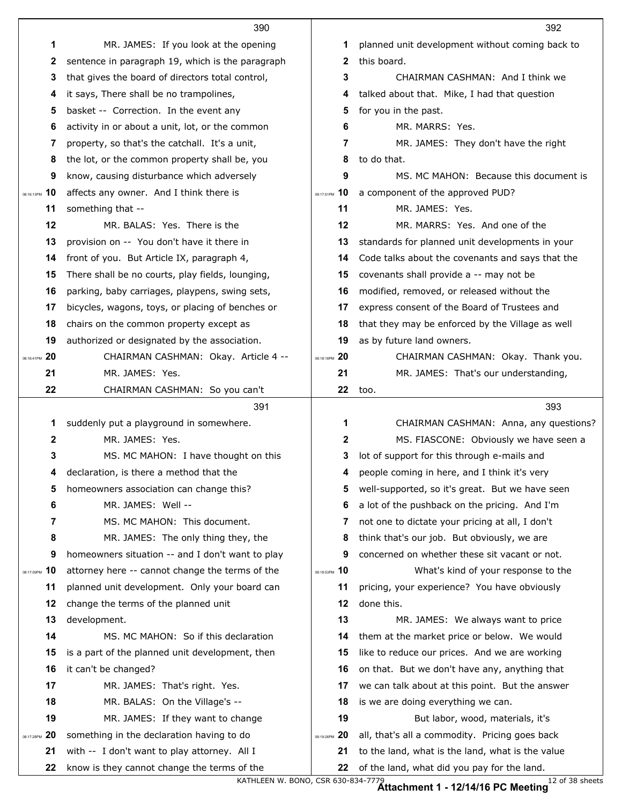|                  | 390                                                                                         |                   | 392                                                                                             |
|------------------|---------------------------------------------------------------------------------------------|-------------------|-------------------------------------------------------------------------------------------------|
| 1                | MR. JAMES: If you look at the opening                                                       | 1                 | planned unit development without coming back to                                                 |
| 2                | sentence in paragraph 19, which is the paragraph                                            | 2                 | this board.                                                                                     |
| 3                | that gives the board of directors total control,                                            | 3                 | CHAIRMAN CASHMAN: And I think we                                                                |
| 4                | it says, There shall be no trampolines,                                                     | 4                 | talked about that. Mike, I had that question                                                    |
| 5                | basket -- Correction. In the event any                                                      | 5                 | for you in the past.                                                                            |
| 6                | activity in or about a unit, lot, or the common                                             | 6                 | MR. MARRS: Yes.                                                                                 |
| 7                | property, so that's the catchall. It's a unit,                                              | 7                 | MR. JAMES: They don't have the right                                                            |
| 8                | the lot, or the common property shall be, you                                               | 8                 | to do that.                                                                                     |
| 9                | know, causing disturbance which adversely                                                   | 9                 | MS. MC MAHON: Because this document is                                                          |
| 10<br>08:16:13PM | affects any owner. And I think there is                                                     | 10<br>08:17:51PM  | a component of the approved PUD?                                                                |
| 11               | something that --                                                                           | 11                | MR. JAMES: Yes.                                                                                 |
| 12               | MR. BALAS: Yes. There is the                                                                | 12                | MR. MARRS: Yes. And one of the                                                                  |
| 13               | provision on -- You don't have it there in                                                  | 13                | standards for planned unit developments in your                                                 |
| 14               | front of you. But Article IX, paragraph 4,                                                  | 14                | Code talks about the covenants and says that the                                                |
| 15               | There shall be no courts, play fields, lounging,                                            | 15                | covenants shall provide a -- may not be                                                         |
| 16               | parking, baby carriages, playpens, swing sets,                                              | 16                | modified, removed, or released without the                                                      |
| 17               | bicycles, wagons, toys, or placing of benches or                                            | 17                | express consent of the Board of Trustees and                                                    |
| 18               | chairs on the common property except as                                                     | 18                | that they may be enforced by the Village as well                                                |
| 19               | authorized or designated by the association.                                                | 19                | as by future land owners.                                                                       |
| 20<br>08:16:41PM | CHAIRMAN CASHMAN: Okay. Article 4 --                                                        | 08:18:18PM 20     | CHAIRMAN CASHMAN: Okay. Thank you.                                                              |
| 21               | MR. JAMES: Yes.                                                                             | 21                | MR. JAMES: That's our understanding,                                                            |
| 22               | CHAIRMAN CASHMAN: So you can't                                                              | 22                | too.                                                                                            |
|                  | 391                                                                                         |                   | 393                                                                                             |
| 1                | suddenly put a playground in somewhere.                                                     | 1                 | CHAIRMAN CASHMAN: Anna, any questions?                                                          |
| $\mathbf 2$      | MR. JAMES: Yes.                                                                             | 2                 | MS. FIASCONE: Obviously we have seen a                                                          |
| 3                | MS. MC MAHON: I have thought on this                                                        | 3                 | lot of support for this through e-mails and                                                     |
| 4                | declaration, is there a method that the                                                     | 4                 | people coming in here, and I think it's very                                                    |
| 5                | homeowners association can change this?                                                     | 5                 | well-supported, so it's great. But we have seen                                                 |
| 6                | MR. JAMES: Well --                                                                          | 6                 | a lot of the pushback on the pricing. And I'm                                                   |
| 7                | MS. MC MAHON: This document.                                                                |                   |                                                                                                 |
| 8                |                                                                                             | 7                 | not one to dictate your pricing at all, I don't                                                 |
| 9                | MR. JAMES: The only thing they, the                                                         | 8                 | think that's our job. But obviously, we are                                                     |
|                  | homeowners situation -- and I don't want to play                                            | 9                 | concerned on whether these sit vacant or not.                                                   |
| 10               | attorney here -- cannot change the terms of the                                             | 08:18:53PM 10     | What's kind of your response to the                                                             |
| 11               | planned unit development. Only your board can                                               | 11                | pricing, your experience? You have obviously                                                    |
| 12               | change the terms of the planned unit                                                        | 12                | done this.                                                                                      |
| 13               | development.                                                                                | 13                | MR. JAMES: We always want to price                                                              |
| 08:17:09PM<br>14 | MS. MC MAHON: So if this declaration                                                        | 14                | them at the market price or below. We would                                                     |
| 15               | is a part of the planned unit development, then                                             | 15                | like to reduce our prices. And we are working                                                   |
| 16               | it can't be changed?                                                                        | 16                | on that. But we don't have any, anything that                                                   |
| 17               | MR. JAMES: That's right. Yes.                                                               | 17                | we can talk about at this point. But the answer                                                 |
| 18               | MR. BALAS: On the Village's --                                                              | 18                | is we are doing everything we can.                                                              |
| 19               | MR. JAMES: If they want to change                                                           | 19                | But labor, wood, materials, it's                                                                |
| 20<br>08:17:28PM | something in the declaration having to do                                                   | -20<br>08:19:26PM | all, that's all a commodity. Pricing goes back                                                  |
| 21<br>22         | with -- I don't want to play attorney. All I<br>know is they cannot change the terms of the | 21                | to the land, what is the land, what is the value<br>of the land, what did you pay for the land. |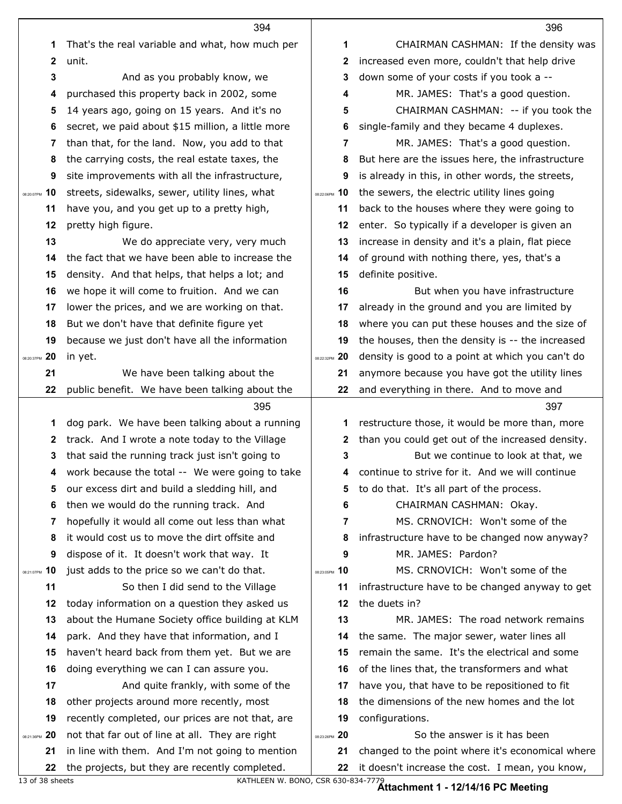|                     | 394                                                                                                |                     | 396                                               |
|---------------------|----------------------------------------------------------------------------------------------------|---------------------|---------------------------------------------------|
| 1                   | That's the real variable and what, how much per                                                    | 1                   | CHAIRMAN CASHMAN: If the density was              |
| $\boldsymbol{2}$    | unit.                                                                                              | $\mathbf{2}$        | increased even more, couldn't that help drive     |
| 3                   | And as you probably know, we                                                                       | 3                   | down some of your costs if you took a --          |
| 4                   | purchased this property back in 2002, some                                                         | 4                   | MR. JAMES: That's a good question.                |
| 5                   | 14 years ago, going on 15 years. And it's no                                                       | 5                   | CHAIRMAN CASHMAN: -- if you took the              |
| 6                   | secret, we paid about \$15 million, a little more                                                  | 6                   | single-family and they became 4 duplexes.         |
| 7                   | than that, for the land. Now, you add to that                                                      | 7                   | MR. JAMES: That's a good question.                |
| 8                   | the carrying costs, the real estate taxes, the                                                     | 8                   | But here are the issues here, the infrastructure  |
| 9                   | site improvements with all the infrastructure,                                                     | 9                   | is already in this, in other words, the streets,  |
| 10<br>08:20:07PM    | streets, sidewalks, sewer, utility lines, what                                                     | 08:22:06PM 10       | the sewers, the electric utility lines going      |
| 11                  | have you, and you get up to a pretty high,                                                         | 11                  | back to the houses where they were going to       |
| 12                  | pretty high figure.                                                                                | 12                  | enter. So typically if a developer is given an    |
| 13                  | We do appreciate very, very much                                                                   | 13                  | increase in density and it's a plain, flat piece  |
| 14                  | the fact that we have been able to increase the                                                    | 14                  | of ground with nothing there, yes, that's a       |
| 15                  | density. And that helps, that helps a lot; and                                                     | 15                  | definite positive.                                |
| 16                  | we hope it will come to fruition. And we can                                                       | 16                  | But when you have infrastructure                  |
| 17                  | lower the prices, and we are working on that.                                                      | 17                  | already in the ground and you are limited by      |
| 18                  | But we don't have that definite figure yet                                                         | 18                  | where you can put these houses and the size of    |
| 19                  | because we just don't have all the information                                                     | 19                  | the houses, then the density is -- the increased  |
| 20<br>08:20:37PM    | in yet.                                                                                            | 08:22:32PM 20       | density is good to a point at which you can't do  |
| 21                  | We have been talking about the                                                                     | 21                  | anymore because you have got the utility lines    |
| 22                  | public benefit. We have been talking about the                                                     | 22                  | and everything in there. And to move and          |
|                     | 395                                                                                                |                     | 397                                               |
| 1                   | dog park. We have been talking about a running                                                     | 1                   | restructure those, it would be more than, more    |
| 2                   | track. And I wrote a note today to the Village                                                     | 2                   | than you could get out of the increased density.  |
| 3                   | that said the running track just isn't going to                                                    | 3                   | But we continue to look at that, we               |
|                     | work because the total -- We were going to take                                                    |                     | 4 continue to strive for it. And we will continue |
| 5                   | our excess dirt and build a sledding hill, and                                                     | 5                   | to do that. It's all part of the process.         |
| 6                   | then we would do the running track. And                                                            | 6                   | CHAIRMAN CASHMAN: Okay.                           |
| 7                   | hopefully it would all come out less than what                                                     | 7                   | MS. CRNOVICH: Won't some of the                   |
| 8                   | it would cost us to move the dirt offsite and                                                      | 8                   | infrastructure have to be changed now anyway?     |
| 9                   | dispose of it. It doesn't work that way. It                                                        | 9                   | MR. JAMES: Pardon?                                |
| 10<br>08:21:07PM    | just adds to the price so we can't do that.                                                        | 08:23:05PM 10       | MS. CRNOVICH: Won't some of the                   |
| 11                  | So then I did send to the Village                                                                  | 11                  | infrastructure have to be changed anyway to get   |
| 12                  | today information on a question they asked us                                                      | 12                  | the duets in?                                     |
| 13                  | about the Humane Society office building at KLM                                                    | 13                  | MR. JAMES: The road network remains               |
| 14                  | park. And they have that information, and I                                                        | 14                  | the same. The major sewer, water lines all        |
| 15                  | haven't heard back from them yet. But we are                                                       | 15                  | remain the same. It's the electrical and some     |
| 16                  | doing everything we can I can assure you.                                                          | 16                  | of the lines that, the transformers and what      |
| 17                  | And quite frankly, with some of the                                                                | 17                  | have you, that have to be repositioned to fit     |
| 18                  | other projects around more recently, most                                                          | 18                  | the dimensions of the new homes and the lot       |
| 19                  | recently completed, our prices are not that, are                                                   | 19<br>08:23:26PM 20 | configurations.<br>So the answer is it has been   |
| 08:21:36PM 20<br>21 | not that far out of line at all. They are right<br>in line with them. And I'm not going to mention | 21                  | changed to the point where it's economical where  |
| 22                  | the projects, but they are recently completed.                                                     | 22                  | it doesn't increase the cost. I mean, you know,   |
|                     |                                                                                                    |                     |                                                   |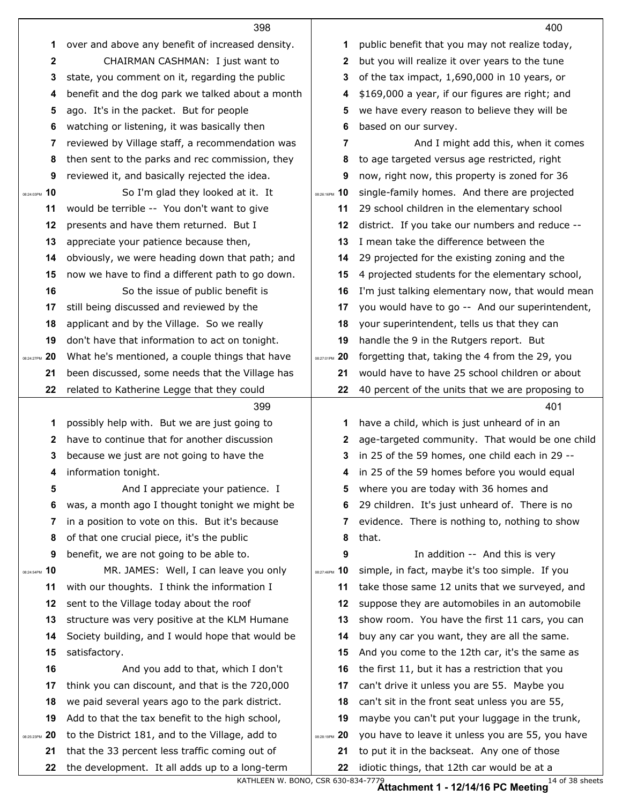|                  | 398                                                                                              |                  | 400                                                                                        |
|------------------|--------------------------------------------------------------------------------------------------|------------------|--------------------------------------------------------------------------------------------|
| 1                | over and above any benefit of increased density.                                                 | 1                | public benefit that you may not realize today,                                             |
| $\mathbf{2}$     | CHAIRMAN CASHMAN: I just want to                                                                 | 2                | but you will realize it over years to the tune                                             |
| 3                | state, you comment on it, regarding the public                                                   | 3                | of the tax impact, 1,690,000 in 10 years, or                                               |
| 4                | benefit and the dog park we talked about a month                                                 | 4                | \$169,000 a year, if our figures are right; and                                            |
| 5                | ago. It's in the packet. But for people                                                          | 5                | we have every reason to believe they will be                                               |
| 6                | watching or listening, it was basically then                                                     | 6                | based on our survey.                                                                       |
| 7                | reviewed by Village staff, a recommendation was                                                  | 7                | And I might add this, when it comes                                                        |
| 8                | then sent to the parks and rec commission, they                                                  | 8                | to age targeted versus age restricted, right                                               |
| 9                | reviewed it, and basically rejected the idea.                                                    | 9                | now, right now, this property is zoned for 36                                              |
| 10<br>08:24:03PM | So I'm glad they looked at it. It                                                                | 08:26:16PM 10    | single-family homes. And there are projected                                               |
| 11               | would be terrible -- You don't want to give                                                      | 11               | 29 school children in the elementary school                                                |
| 12               | presents and have them returned. But I                                                           | 12               | district. If you take our numbers and reduce --                                            |
| 13               | appreciate your patience because then,                                                           | 13               | I mean take the difference between the                                                     |
| 14               | obviously, we were heading down that path; and                                                   | 14               | 29 projected for the existing zoning and the                                               |
| 15               | now we have to find a different path to go down.                                                 | 15               | 4 projected students for the elementary school,                                            |
| 16               | So the issue of public benefit is                                                                | 16               | I'm just talking elementary now, that would mean                                           |
| 17               | still being discussed and reviewed by the                                                        | 17               | you would have to go -- And our superintendent,                                            |
| 18               | applicant and by the Village. So we really                                                       | 18               | your superintendent, tells us that they can                                                |
| 19               | don't have that information to act on tonight.                                                   | 19               | handle the 9 in the Rutgers report. But                                                    |
| 20<br>08:24:27PM | What he's mentioned, a couple things that have                                                   | 20<br>08:27:01PM | forgetting that, taking the 4 from the 29, you                                             |
| 21               | been discussed, some needs that the Village has                                                  | 21               | would have to have 25 school children or about                                             |
| 22               | related to Katherine Legge that they could                                                       | 22               | 40 percent of the units that we are proposing to                                           |
|                  | 399                                                                                              |                  | 401                                                                                        |
| 1                | possibly help with. But we are just going to                                                     | 1                | have a child, which is just unheard of in an                                               |
| 2                | have to continue that for another discussion                                                     | 2                | age-targeted community. That would be one child                                            |
| 3                | because we just are not going to have the                                                        | 3                | in 25 of the 59 homes, one child each in 29 --                                             |
| 4                | information tonight.                                                                             |                  | in 25 of the 59 homes before you would equal                                               |
| 5                | And I appreciate your patience. I                                                                | 5                | where you are today with 36 homes and                                                      |
| 6                | was, a month ago I thought tonight we might be                                                   | 6                | 29 children. It's just unheard of. There is no                                             |
| 7                | in a position to vote on this. But it's because                                                  | 7                | evidence. There is nothing to, nothing to show                                             |
| 8                | of that one crucial piece, it's the public                                                       | 8                | that.                                                                                      |
| 9                | benefit, we are not going to be able to.                                                         | 9                | In addition -- And this is very                                                            |
| 10<br>08:24:54PM |                                                                                                  | 10<br>08:27:46PM |                                                                                            |
| 11               | MR. JAMES: Well, I can leave you only                                                            |                  | simple, in fact, maybe it's too simple. If you                                             |
|                  | with our thoughts. I think the information I                                                     | 11               | take those same 12 units that we surveyed, and                                             |
| 12               | sent to the Village today about the roof                                                         | 12               | suppose they are automobiles in an automobile                                              |
| 13               | structure was very positive at the KLM Humane                                                    | 13               | show room. You have the first 11 cars, you can                                             |
| 14               | Society building, and I would hope that would be                                                 | 14               | buy any car you want, they are all the same.                                               |
| 15               | satisfactory.                                                                                    | 15               | And you come to the 12th car, it's the same as                                             |
| 16               | And you add to that, which I don't                                                               | 16               | the first 11, but it has a restriction that you                                            |
| 17               | think you can discount, and that is the 720,000                                                  | 17               | can't drive it unless you are 55. Maybe you                                                |
| 18               | we paid several years ago to the park district.                                                  | 18               | can't sit in the front seat unless you are 55,                                             |
| 19               | Add to that the tax benefit to the high school,                                                  | 19               | maybe you can't put your luggage in the trunk,                                             |
| 20<br>08:25:23PM | to the District 181, and to the Village, add to                                                  | 08:28:19PM 20    | you have to leave it unless you are 55, you have                                           |
| 21<br>22         | that the 33 percent less traffic coming out of<br>the development. It all adds up to a long-term | 21<br>22         | to put it in the backseat. Any one of those<br>idiotic things, that 12th car would be at a |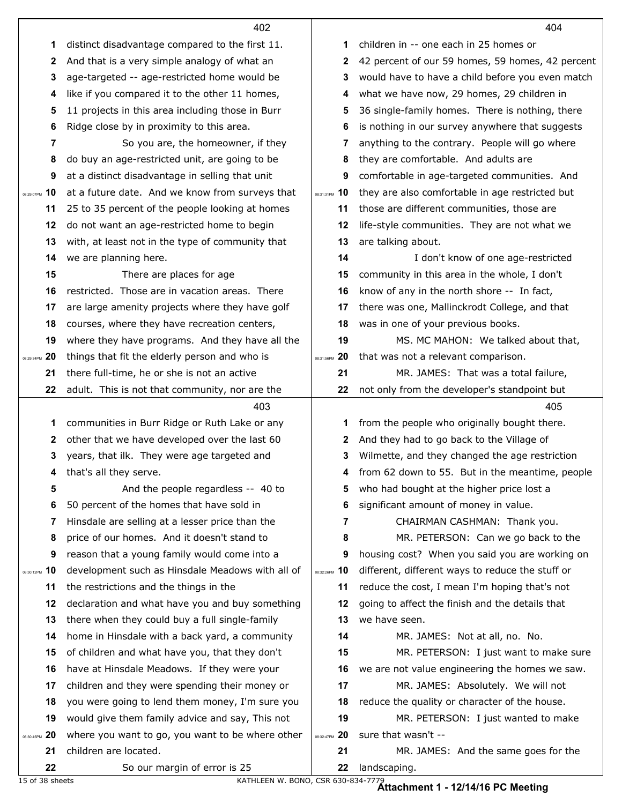|                  | 402                                                   |               | 404                                                  |
|------------------|-------------------------------------------------------|---------------|------------------------------------------------------|
| 1                | distinct disadvantage compared to the first 11.       | 1             | children in -- one each in 25 homes or               |
| 2                | And that is a very simple analogy of what an          | 2             | 42 percent of our 59 homes, 59 homes, 42 percent     |
| 3                | age-targeted -- age-restricted home would be          | 3             | would have to have a child before you even match     |
| 4                | like if you compared it to the other 11 homes,        | 4             | what we have now, 29 homes, 29 children in           |
| 5                | 11 projects in this area including those in Burr      | 5             | 36 single-family homes. There is nothing, there      |
| 6                | Ridge close by in proximity to this area.             | 6             | is nothing in our survey anywhere that suggests      |
| 7                | So you are, the homeowner, if they                    | 7             | anything to the contrary. People will go where       |
| 8                | do buy an age-restricted unit, are going to be        | 8             | they are comfortable. And adults are                 |
| 9                | at a distinct disadvantage in selling that unit       | 9             | comfortable in age-targeted communities. And         |
| 08:29:07PM 10    | at a future date. And we know from surveys that       | 08:31:31PM 10 | they are also comfortable in age restricted but      |
| 11               | 25 to 35 percent of the people looking at homes       | 11            | those are different communities, those are           |
| 12               | do not want an age-restricted home to begin           | 12            | life-style communities. They are not what we         |
| 13               | with, at least not in the type of community that      | 13            | are talking about.                                   |
| 14               | we are planning here.                                 | 14            | I don't know of one age-restricted                   |
| 15               | There are places for age                              | 15            | community in this area in the whole, I don't         |
| 16               | restricted. Those are in vacation areas. There        | 16            | know of any in the north shore -- In fact,           |
| 17               | are large amenity projects where they have golf       | 17            | there was one, Mallinckrodt College, and that        |
| 18               | courses, where they have recreation centers,          | 18            | was in one of your previous books.                   |
| 19               | where they have programs. And they have all the       | 19            | MS. MC MAHON: We talked about that,                  |
| 20<br>08:29:34PM | things that fit the elderly person and who is         | 08:31:56PM 20 | that was not a relevant comparison.                  |
| 21               | there full-time, he or she is not an active           | 21            | MR. JAMES: That was a total failure,                 |
| 22               | adult. This is not that community, nor are the        | 22            | not only from the developer's standpoint but         |
|                  | 403                                                   |               | 405                                                  |
| 1                | communities in Burr Ridge or Ruth Lake or any         | 1             |                                                      |
|                  |                                                       |               | from the people who originally bought there.         |
| 2                | other that we have developed over the last 60         | 2             | And they had to go back to the Village of            |
| 3                | years, that ilk. They were age targeted and           | 3             | Wilmette, and they changed the age restriction       |
| 4                | that's all they serve.                                |               | 4 from 62 down to 55. But in the meantime, people    |
| 5                | And the people regardless -- 40 to                    | 5             | who had bought at the higher price lost a            |
| 6                | 50 percent of the homes that have sold in             | 6             | significant amount of money in value.                |
| 7                | Hinsdale are selling at a lesser price than the       | 7             | CHAIRMAN CASHMAN: Thank you.                         |
| 8                | price of our homes. And it doesn't stand to           | 8             | MR. PETERSON: Can we go back to the                  |
| 9                | reason that a young family would come into a          | 9             | housing cost? When you said you are working on       |
| 10<br>08:30:12PM | development such as Hinsdale Meadows with all of      | 08:32:26PM 10 | different, different ways to reduce the stuff or     |
| 11               | the restrictions and the things in the                | 11            | reduce the cost, I mean I'm hoping that's not        |
| 12               | declaration and what have you and buy something       | 12            | going to affect the finish and the details that      |
| 13               | there when they could buy a full single-family        | 13            | we have seen.                                        |
| 14               | home in Hinsdale with a back yard, a community        | 14            | MR. JAMES: Not at all, no. No.                       |
| 15               | of children and what have you, that they don't        | 15            | MR. PETERSON: I just want to make sure               |
| 16               | have at Hinsdale Meadows. If they were your           | 16            | we are not value engineering the homes we saw.       |
| 17               | children and they were spending their money or        | 17            | MR. JAMES: Absolutely. We will not                   |
| 18               | you were going to lend them money, I'm sure you       | 18            | reduce the quality or character of the house.        |
| 19               | would give them family advice and say, This not       | 19            | MR. PETERSON: I just wanted to make                  |
| 20<br>08:30:45PM | where you want to go, you want to be where other      | 08:32:47PM 20 | sure that wasn't --                                  |
| 21<br>22         | children are located.<br>So our margin of error is 25 | 21<br>22      | MR. JAMES: And the same goes for the<br>landscaping. |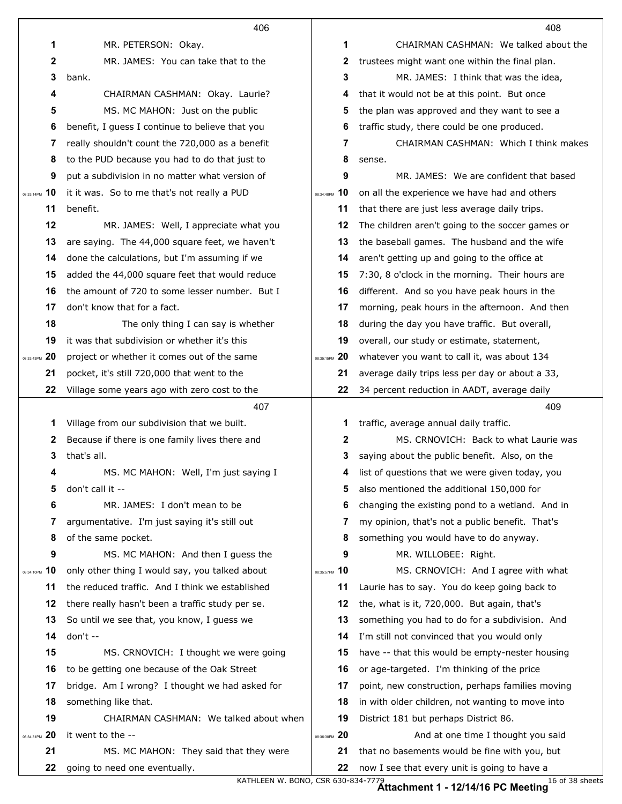|                  | 406                                                                     |               | 408                                                                                           |
|------------------|-------------------------------------------------------------------------|---------------|-----------------------------------------------------------------------------------------------|
| $\mathbf 1$      | MR. PETERSON: Okay.                                                     | 1             | CHAIRMAN CASHMAN: We talked about the                                                         |
| $\mathbf{2}$     | MR. JAMES: You can take that to the                                     | 2             | trustees might want one within the final plan.                                                |
| 3                | bank.                                                                   | 3             | MR. JAMES: I think that was the idea,                                                         |
| 4                | CHAIRMAN CASHMAN: Okay. Laurie?                                         | 4             | that it would not be at this point. But once                                                  |
| 5                | MS. MC MAHON: Just on the public                                        | 5             | the plan was approved and they want to see a                                                  |
| 6                | benefit, I guess I continue to believe that you                         | 6             | traffic study, there could be one produced.                                                   |
| 7                | really shouldn't count the 720,000 as a benefit                         | 7             | CHAIRMAN CASHMAN: Which I think makes                                                         |
| 8                | to the PUD because you had to do that just to                           | 8             | sense.                                                                                        |
| 9                | put a subdivision in no matter what version of                          | 9             | MR. JAMES: We are confident that based                                                        |
| 10<br>08:33:14PM | it it was. So to me that's not really a PUD                             | 08:34:48PM 10 | on all the experience we have had and others                                                  |
| 11               | benefit.                                                                | 11            | that there are just less average daily trips.                                                 |
| 12               | MR. JAMES: Well, I appreciate what you                                  | 12            | The children aren't going to the soccer games or                                              |
| 13               | are saying. The 44,000 square feet, we haven't                          | 13            | the baseball games. The husband and the wife                                                  |
| 14               | done the calculations, but I'm assuming if we                           | 14            | aren't getting up and going to the office at                                                  |
| 15               | added the 44,000 square feet that would reduce                          | 15            | 7:30, 8 o'clock in the morning. Their hours are                                               |
| 16               | the amount of 720 to some lesser number. But I                          | 16            | different. And so you have peak hours in the                                                  |
| 17               | don't know that for a fact.                                             | 17            | morning, peak hours in the afternoon. And then                                                |
| 18               | The only thing I can say is whether                                     | 18            | during the day you have traffic. But overall,                                                 |
| 19               | it was that subdivision or whether it's this                            | 19            | overall, our study or estimate, statement,                                                    |
| 20<br>08:33:43PM | project or whether it comes out of the same                             | 08:35:15PM 20 | whatever you want to call it, was about 134                                                   |
| 21               | pocket, it's still 720,000 that went to the                             | 21            | average daily trips less per day or about a 33,                                               |
| 22               | Village some years ago with zero cost to the                            | 22            | 34 percent reduction in AADT, average daily                                                   |
|                  | 407                                                                     |               | 409                                                                                           |
| 1                | Village from our subdivision that we built.                             | 1             | traffic, average annual daily traffic.                                                        |
| 2                | Because if there is one family lives there and                          | 2             | MS. CRNOVICH: Back to what Laurie was                                                         |
| 3                | that's all.                                                             | 3             | saying about the public benefit. Also, on the                                                 |
|                  | MS. MC MAHON: Well, I'm just saying I                                   | 4             | list of questions that we were given today, you                                               |
| 5                |                                                                         |               |                                                                                               |
|                  | don't call it --                                                        | 5             | also mentioned the additional 150,000 for                                                     |
| 6                | MR. JAMES: I don't mean to be                                           | 6             | changing the existing pond to a wetland. And in                                               |
| 7                | argumentative. I'm just saying it's still out                           | 7             | my opinion, that's not a public benefit. That's                                               |
| 8                | of the same pocket.                                                     | 8             | something you would have to do anyway.                                                        |
| 9                | MS. MC MAHON: And then I guess the                                      | 9             | MR. WILLOBEE: Right.                                                                          |
| 10<br>08:34:10PM | only other thing I would say, you talked about                          | 08:35:57PM 10 | MS. CRNOVICH: And I agree with what                                                           |
| 11               | the reduced traffic. And I think we established                         | 11            | Laurie has to say. You do keep going back to                                                  |
| 12               | there really hasn't been a traffic study per se.                        | 12            | the, what is it, 720,000. But again, that's                                                   |
| 13               | So until we see that, you know, I guess we                              | 13            | something you had to do for a subdivision. And                                                |
| 14               | don't --                                                                | 14            | I'm still not convinced that you would only                                                   |
| 15               | MS. CRNOVICH: I thought we were going                                   | 15            | have -- that this would be empty-nester housing                                               |
| 16               | to be getting one because of the Oak Street                             | 16            | or age-targeted. I'm thinking of the price                                                    |
| 17               | bridge. Am I wrong? I thought we had asked for                          | 17            | point, new construction, perhaps families moving                                              |
| 18               | something like that.                                                    | 18            | in with older children, not wanting to move into                                              |
| 19               | CHAIRMAN CASHMAN: We talked about when                                  | 19            | District 181 but perhaps District 86.                                                         |
| 20<br>08:34:31PM | it went to the --                                                       | 08:36:30PM 20 | And at one time I thought you said                                                            |
| 21<br>22         | MS. MC MAHON: They said that they were<br>going to need one eventually. | 21<br>22      | that no basements would be fine with you, but<br>now I see that every unit is going to have a |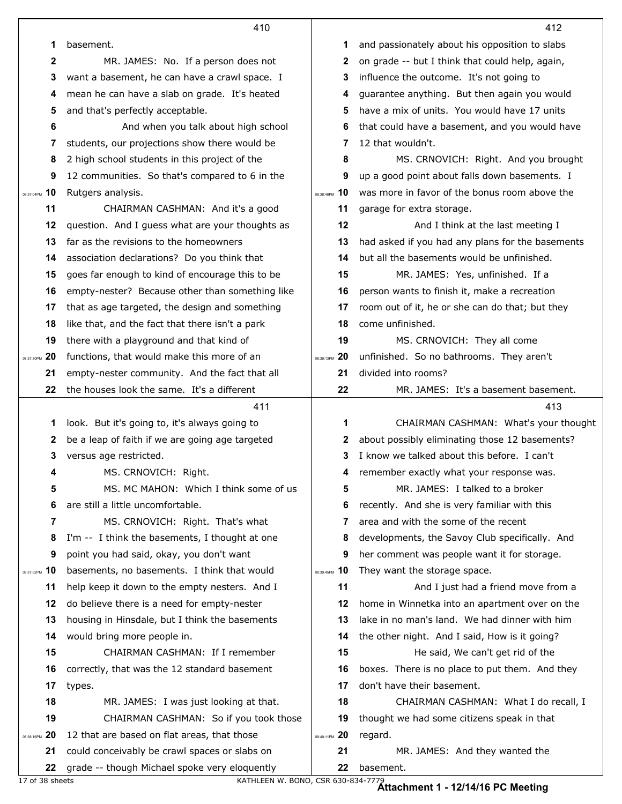|                  | 410                                                                                            |                  | 412                                              |
|------------------|------------------------------------------------------------------------------------------------|------------------|--------------------------------------------------|
| 1                | basement.                                                                                      | 1                | and passionately about his opposition to slabs   |
| 2                | MR. JAMES: No. If a person does not                                                            | 2                | on grade -- but I think that could help, again,  |
| 3                | want a basement, he can have a crawl space. I                                                  | 3                | influence the outcome. It's not going to         |
| 4                | mean he can have a slab on grade. It's heated                                                  | 4                | guarantee anything. But then again you would     |
| 5                | and that's perfectly acceptable.                                                               | 5                | have a mix of units. You would have 17 units     |
| 6                | And when you talk about high school                                                            | 6                | that could have a basement, and you would have   |
| 7                | students, our projections show there would be                                                  | 7                | 12 that wouldn't.                                |
| 8                | 2 high school students in this project of the                                                  | 8                | MS. CRNOVICH: Right. And you brought             |
| 9                | 12 communities. So that's compared to 6 in the                                                 | 9                | up a good point about falls down basements. I    |
| 10<br>08:37:04PM | Rutgers analysis.                                                                              | 08:38:48PM 10    | was more in favor of the bonus room above the    |
| 11               | CHAIRMAN CASHMAN: And it's a good                                                              | 11               | garage for extra storage.                        |
| 12               | question. And I guess what are your thoughts as                                                | 12               | And I think at the last meeting I                |
| 13               | far as the revisions to the homeowners                                                         | 13               | had asked if you had any plans for the basements |
| 14               | association declarations? Do you think that                                                    | 14               | but all the basements would be unfinished.       |
| 15               | goes far enough to kind of encourage this to be                                                | 15               | MR. JAMES: Yes, unfinished. If a                 |
| 16               | empty-nester? Because other than something like                                                | 16               | person wants to finish it, make a recreation     |
| 17               | that as age targeted, the design and something                                                 | 17               | room out of it, he or she can do that; but they  |
| 18               | like that, and the fact that there isn't a park                                                | 18               | come unfinished.                                 |
| 19               | there with a playground and that kind of                                                       | 19               | MS. CRNOVICH: They all come                      |
| 20<br>08:37:30PM | functions, that would make this more of an                                                     | 20<br>08:39:13PM | unfinished. So no bathrooms. They aren't         |
| 21               | empty-nester community. And the fact that all                                                  | 21               | divided into rooms?                              |
| 22               | the houses look the same. It's a different                                                     | 22               | MR. JAMES: It's a basement basement.             |
|                  | 411                                                                                            |                  | 413                                              |
| 1                | look. But it's going to, it's always going to                                                  | 1                | CHAIRMAN CASHMAN: What's your thought            |
| 2                | be a leap of faith if we are going age targeted                                                | 2                | about possibly eliminating those 12 basements?   |
| 3                | versus age restricted.                                                                         |                  | I know we talked about this before. I can't      |
| 4                | MS. CRNOVICH: Right.                                                                           | 4                | remember exactly what your response was.         |
| 5                | MS. MC MAHON: Which I think some of us                                                         | 5                |                                                  |
|                  |                                                                                                |                  | MR. JAMES: I talked to a broker                  |
| 6                | are still a little uncomfortable.                                                              | 6                | recently. And she is very familiar with this     |
| 7                | MS. CRNOVICH: Right. That's what                                                               | 7                | area and with the some of the recent             |
| 8                | I'm -- I think the basements, I thought at one                                                 | 8                | developments, the Savoy Club specifically. And   |
| 9                | point you had said, okay, you don't want                                                       | 9                | her comment was people want it for storage.      |
| 10<br>08:37:52PM | basements, no basements. I think that would                                                    | 08:39:45PM 10    | They want the storage space.                     |
| 11               | help keep it down to the empty nesters. And I                                                  | 11               | And I just had a friend move from a              |
| 12               | do believe there is a need for empty-nester                                                    | 12               | home in Winnetka into an apartment over on the   |
| 13               | housing in Hinsdale, but I think the basements                                                 | 13               | lake in no man's land. We had dinner with him    |
| 14               | would bring more people in.                                                                    | 14               | the other night. And I said, How is it going?    |
| 15               | CHAIRMAN CASHMAN: If I remember                                                                | 15               | He said, We can't get rid of the                 |
| 16               | correctly, that was the 12 standard basement                                                   | 16               | boxes. There is no place to put them. And they   |
| 17               | types.                                                                                         | 17               | don't have their basement.                       |
| 18               | MR. JAMES: I was just looking at that.                                                         | 18               | CHAIRMAN CASHMAN: What I do recall, I            |
| 19               | CHAIRMAN CASHMAN: So if you took those                                                         | 19               | thought we had some citizens speak in that       |
| 20<br>08:38:16PM | 12 that are based on flat areas, that those                                                    | 08:40:11PM 20    | regard.                                          |
| 21               | could conceivably be crawl spaces or slabs on<br>grade -- though Michael spoke very eloquently | 21<br>22         | MR. JAMES: And they wanted the<br>basement.      |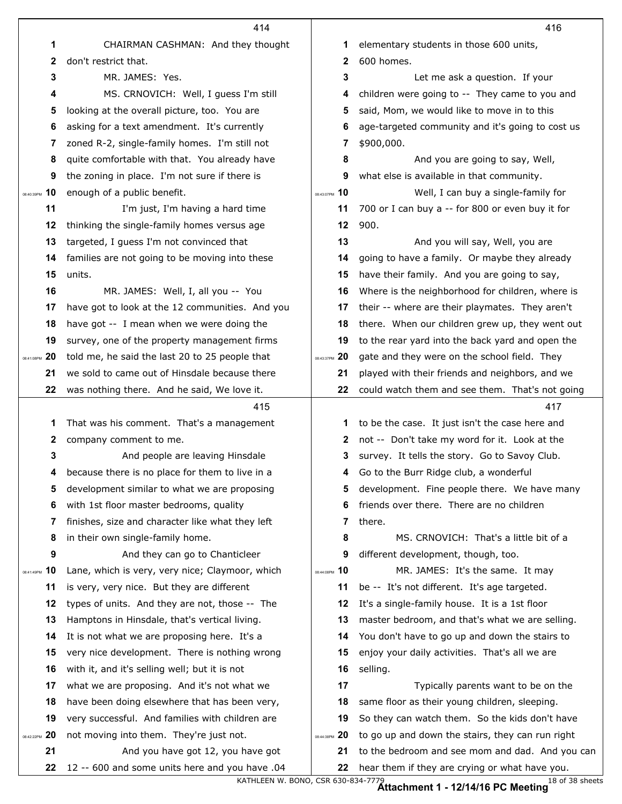|                  | 414                                                                                 |                   | 416                                                                                               |
|------------------|-------------------------------------------------------------------------------------|-------------------|---------------------------------------------------------------------------------------------------|
| 1                | CHAIRMAN CASHMAN: And they thought                                                  | 1                 | elementary students in those 600 units,                                                           |
| $\mathbf{2}$     | don't restrict that.                                                                | 2                 | 600 homes.                                                                                        |
| 3                | MR. JAMES: Yes.                                                                     | 3                 | Let me ask a question. If your                                                                    |
| 4                | MS. CRNOVICH: Well, I guess I'm still                                               | 4                 | children were going to -- They came to you and                                                    |
| 5                | looking at the overall picture, too. You are                                        | 5                 | said, Mom, we would like to move in to this                                                       |
| 6                | asking for a text amendment. It's currently                                         | 6                 | age-targeted community and it's going to cost us                                                  |
| 7                | zoned R-2, single-family homes. I'm still not                                       | 7                 | \$900,000.                                                                                        |
| 8                | quite comfortable with that. You already have                                       | 8                 | And you are going to say, Well,                                                                   |
| 9                | the zoning in place. I'm not sure if there is                                       | 9                 | what else is available in that community.                                                         |
| 10<br>08:40:39PM | enough of a public benefit.                                                         | 08:43:07PM 10     | Well, I can buy a single-family for                                                               |
| 11               | I'm just, I'm having a hard time                                                    | 11                | 700 or I can buy a -- for 800 or even buy it for                                                  |
| 12               | thinking the single-family homes versus age                                         | 12                | 900.                                                                                              |
| 13               | targeted, I guess I'm not convinced that                                            | 13                | And you will say, Well, you are                                                                   |
| 14               | families are not going to be moving into these                                      | 14                | going to have a family. Or maybe they already                                                     |
| 15               | units.                                                                              | 15                | have their family. And you are going to say,                                                      |
| 16               | MR. JAMES: Well, I, all you -- You                                                  | 16                | Where is the neighborhood for children, where is                                                  |
| 17               | have got to look at the 12 communities. And you                                     | 17                | their -- where are their playmates. They aren't                                                   |
| 18               | have got -- I mean when we were doing the                                           | 18                | there. When our children grew up, they went out                                                   |
| 19               | survey, one of the property management firms                                        | 19                | to the rear yard into the back yard and open the                                                  |
| 20<br>08:41:08PM | told me, he said the last 20 to 25 people that                                      | -20<br>08:43:37PM | gate and they were on the school field. They                                                      |
| 21               | we sold to came out of Hinsdale because there                                       | 21                | played with their friends and neighbors, and we                                                   |
| 22               | was nothing there. And he said, We love it.                                         | 22                | could watch them and see them. That's not going                                                   |
|                  |                                                                                     |                   |                                                                                                   |
|                  | 415                                                                                 |                   | 417                                                                                               |
| 1                | That was his comment. That's a management                                           | 1                 | to be the case. It just isn't the case here and                                                   |
| 2                | company comment to me.                                                              | 2                 | not -- Don't take my word for it. Look at the                                                     |
| 3                | And people are leaving Hinsdale                                                     | 3                 | survey. It tells the story. Go to Savoy Club.                                                     |
| 4                | because there is no place for them to live in a                                     | 4                 | Go to the Burr Ridge club, a wonderful                                                            |
| 5                | development similar to what we are proposing                                        | 5                 | development. Fine people there. We have many                                                      |
| 6                | with 1st floor master bedrooms, quality                                             | 6                 | friends over there. There are no children                                                         |
| 7                | finishes, size and character like what they left                                    | 7                 | there.                                                                                            |
| 8                | in their own single-family home.                                                    | 8                 | MS. CRNOVICH: That's a little bit of a                                                            |
| 9                | And they can go to Chanticleer                                                      | 9                 | different development, though, too.                                                               |
| 10<br>08:41:49PM | Lane, which is very, very nice; Claymoor, which                                     | 08:44:08PM 10     | MR. JAMES: It's the same. It may                                                                  |
| 11               | is very, very nice. But they are different                                          | 11                | be -- It's not different. It's age targeted.                                                      |
| 12               | types of units. And they are not, those -- The                                      | 12                | It's a single-family house. It is a 1st floor                                                     |
| 13               | Hamptons in Hinsdale, that's vertical living.                                       | 13                | master bedroom, and that's what we are selling.                                                   |
| 14               | It is not what we are proposing here. It's a                                        | 14                | You don't have to go up and down the stairs to                                                    |
| 15               | very nice development. There is nothing wrong                                       | 15                | enjoy your daily activities. That's all we are                                                    |
| 16               | with it, and it's selling well; but it is not                                       | 16                | selling.                                                                                          |
| 17               | what we are proposing. And it's not what we                                         | 17                | Typically parents want to be on the                                                               |
| 18               | have been doing elsewhere that has been very,                                       | 18                | same floor as their young children, sleeping.                                                     |
| 19               | very successful. And families with children are                                     | 19                | So they can watch them. So the kids don't have                                                    |
| 08:42:22PM 20    | not moving into them. They're just not.                                             | 08:44:38PM 20     | to go up and down the stairs, they can run right                                                  |
| 21<br>22         | And you have got 12, you have got<br>12 -- 600 and some units here and you have .04 | 21                | to the bedroom and see mom and dad. And you can<br>hear them if they are crying or what have you. |

KATHLEEN W. BONO, CSR 630-834-7779 18 of 38 sheets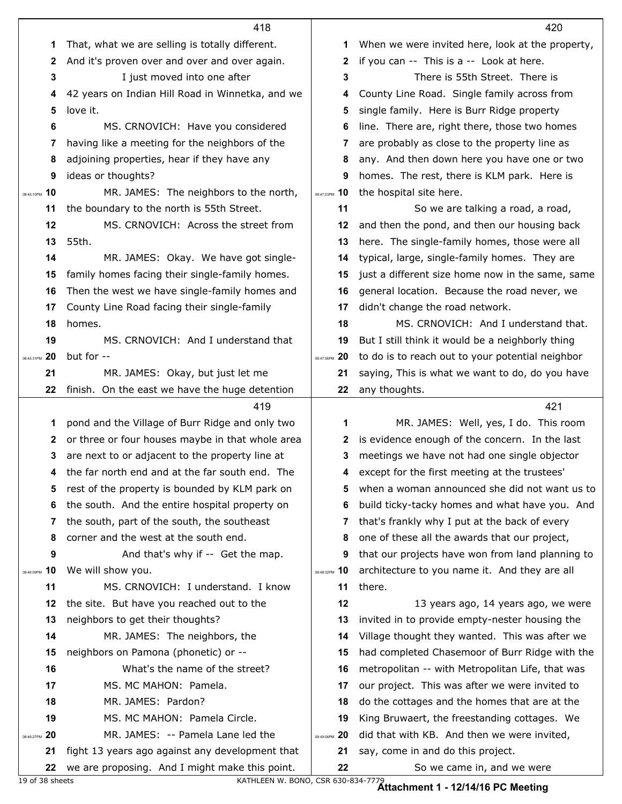|                   | 418                                                                                               |                  | 420                                                             |
|-------------------|---------------------------------------------------------------------------------------------------|------------------|-----------------------------------------------------------------|
| 1                 | That, what we are selling is totally different.                                                   | 1                | When we were invited here, look at the property,                |
| 2                 | And it's proven over and over and over again.                                                     | 2                | if you can -- This is a -- Look at here.                        |
| 3                 | I just moved into one after                                                                       | 3                | There is 55th Street. There is                                  |
| 4                 | 42 years on Indian Hill Road in Winnetka, and we                                                  | 4                | County Line Road. Single family across from                     |
| 5                 | love it.                                                                                          | 5                | single family. Here is Burr Ridge property                      |
| 6                 | MS. CRNOVICH: Have you considered                                                                 | 6                | line. There are, right there, those two homes                   |
| 7                 | having like a meeting for the neighbors of the                                                    | 7                | are probably as close to the property line as                   |
| 8                 | adjoining properties, hear if they have any                                                       | 8                | any. And then down here you have one or two                     |
| 9                 | ideas or thoughts?                                                                                | 9                | homes. The rest, there is KLM park. Here is                     |
| 10<br>08:45:10PM  | MR. JAMES: The neighbors to the north,                                                            | 08:47:23PM 10    | the hospital site here.                                         |
| 11                | the boundary to the north is 55th Street.                                                         | 11               | So we are talking a road, a road,                               |
| 12                | MS. CRNOVICH: Across the street from                                                              | 12               | and then the pond, and then our housing back                    |
| 13                | 55th.                                                                                             | 13               | here. The single-family homes, those were all                   |
| 14                | MR. JAMES: Okay. We have got single-                                                              | 14               | typical, large, single-family homes. They are                   |
| 15                | family homes facing their single-family homes.                                                    | 15               | just a different size home now in the same, same                |
| 16                | Then the west we have single-family homes and                                                     | 16               | general location. Because the road never, we                    |
| 17                | County Line Road facing their single-family                                                       | 17               | didn't change the road network.                                 |
| 18                | homes.                                                                                            | 18               | MS. CRNOVICH: And I understand that.                            |
| 19                | MS. CRNOVICH: And I understand that                                                               | 19               | But I still think it would be a neighborly thing                |
| 20<br>08:45:31PM  | but for --                                                                                        | 20<br>08:47:56PM | to do is to reach out to your potential neighbor                |
| 21                | MR. JAMES: Okay, but just let me                                                                  | 21               | saying, This is what we want to do, do you have                 |
| 22                | finish. On the east we have the huge detention                                                    | 22               | any thoughts.                                                   |
|                   |                                                                                                   |                  |                                                                 |
|                   | 419                                                                                               |                  | 421                                                             |
| 1                 | pond and the Village of Burr Ridge and only two                                                   | 1                | MR. JAMES: Well, yes, I do. This room                           |
| $\mathbf{2}$      | or three or four houses maybe in that whole area                                                  | 2                | is evidence enough of the concern. In the last                  |
| 3                 | are next to or adjacent to the property line at                                                   | 3                | meetings we have not had one single objector                    |
| 4                 | the far north end and at the far south end. The                                                   | 4                | except for the first meeting at the trustees'                   |
| 5                 | rest of the property is bounded by KLM park on                                                    | 5                | when a woman announced she did not want us to                   |
| 6                 | the south. And the entire hospital property on                                                    | 6                | build ticky-tacky homes and what have you. And                  |
| 7                 | the south, part of the south, the southeast                                                       | 7                | that's frankly why I put at the back of every                   |
| 8                 | corner and the west at the south end.                                                             | 8                | one of these all the awards that our project,                   |
| 9                 | And that's why if -- Get the map.                                                                 | 9                | that our projects have won from land planning to                |
| 10<br>08:46:09PM  | We will show you.                                                                                 | 08:48:32PM 10    | architecture to you name it. And they are all                   |
| 11                | MS. CRNOVICH: I understand. I know                                                                | 11               | there.                                                          |
| 12                | the site. But have you reached out to the                                                         | 12               | 13 years ago, 14 years ago, we were                             |
| 13                | neighbors to get their thoughts?                                                                  | 13               | invited in to provide empty-nester housing the                  |
| 14                | MR. JAMES: The neighbors, the                                                                     | 14               | Village thought they wanted. This was after we                  |
| 15                | neighbors on Pamona (phonetic) or --                                                              | 15               | had completed Chasemoor of Burr Ridge with the                  |
| 16                | What's the name of the street?                                                                    | 16               | metropolitan -- with Metropolitan Life, that was                |
| 17                | MS. MC MAHON: Pamela.                                                                             | 17               | our project. This was after we were invited to                  |
| 18                | MR. JAMES: Pardon?                                                                                | 18               | do the cottages and the homes that are at the                   |
| 19                | MS. MC MAHON: Pamela Circle.                                                                      | 19               | King Bruwaert, the freestanding cottages. We                    |
| -20<br>08:46:27PM | MR. JAMES: -- Pamela Lane led the                                                                 | 08:49:06PM 20    | did that with KB. And then we were invited,                     |
| 21<br>22          | fight 13 years ago against any development that<br>we are proposing. And I might make this point. | 21<br>22         | say, come in and do this project.<br>So we came in, and we were |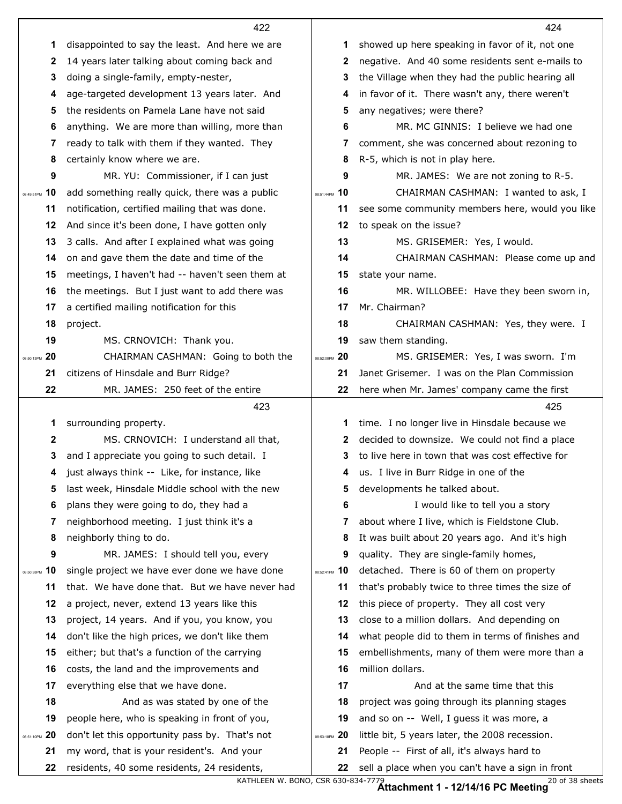|                  | 422                                             |               | 424                                              |
|------------------|-------------------------------------------------|---------------|--------------------------------------------------|
| 1                | disappointed to say the least. And here we are  | 1             | showed up here speaking in favor of it, not one  |
| $\mathbf{2}$     | 14 years later talking about coming back and    | 2             | negative. And 40 some residents sent e-mails to  |
| 3                | doing a single-family, empty-nester,            | 3             | the Village when they had the public hearing all |
| 4                | age-targeted development 13 years later. And    | 4             | in favor of it. There wasn't any, there weren't  |
| 5                | the residents on Pamela Lane have not said      | 5             | any negatives; were there?                       |
| 6                | anything. We are more than willing, more than   | 6             | MR. MC GINNIS: I believe we had one              |
| 7                | ready to talk with them if they wanted. They    | 7             | comment, she was concerned about rezoning to     |
| 8                | certainly know where we are.                    | 8             | R-5, which is not in play here.                  |
| 9                | MR. YU: Commissioner, if I can just             | 9             | MR. JAMES: We are not zoning to R-5.             |
| 10<br>08:49:51PM | add something really quick, there was a public  | 08:51:44PM 10 | CHAIRMAN CASHMAN: I wanted to ask, I             |
| 11               | notification, certified mailing that was done.  | 11            | see some community members here, would you like  |
| 12               | And since it's been done, I have gotten only    | 12            | to speak on the issue?                           |
| 13               | 3 calls. And after I explained what was going   | 13            | MS. GRISEMER: Yes, I would.                      |
| 14               | on and gave them the date and time of the       | 14            | CHAIRMAN CASHMAN: Please come up and             |
| 15               | meetings, I haven't had -- haven't seen them at | 15            | state your name.                                 |
| 16               | the meetings. But I just want to add there was  | 16            | MR. WILLOBEE: Have they been sworn in,           |
| 17               | a certified mailing notification for this       | 17            | Mr. Chairman?                                    |
| 18               | project.                                        | 18            | CHAIRMAN CASHMAN: Yes, they were. I              |
| 19               | MS. CRNOVICH: Thank you.                        | 19            | saw them standing.                               |
| 08:50:13PM 20    | CHAIRMAN CASHMAN: Going to both the             | 08:52:00PM 20 | MS. GRISEMER: Yes, I was sworn. I'm              |
| 21               | citizens of Hinsdale and Burr Ridge?            | 21            | Janet Grisemer. I was on the Plan Commission     |
| 22               | MR. JAMES: 250 feet of the entire               | 22            | here when Mr. James' company came the first      |
|                  |                                                 |               |                                                  |
|                  | 423                                             |               | 425                                              |
| 1                | surrounding property.                           | 1             | time. I no longer live in Hinsdale because we    |
| $\mathbf{2}$     | MS. CRNOVICH: I understand all that,            | 2             | decided to downsize. We could not find a place   |
| 3                | and I appreciate you going to such detail. I    | 3.            | to live here in town that was cost effective for |
|                  | 4 just always think -- Like, for instance, like |               | 4 us. I live in Burr Ridge in one of the         |
| 5                | last week, Hinsdale Middle school with the new  | 5             | developments he talked about.                    |
| 6                | plans they were going to do, they had a         | 6             | I would like to tell you a story                 |
| 7                | neighborhood meeting. I just think it's a       | 7             | about where I live, which is Fieldstone Club.    |
| 8                | neighborly thing to do.                         | 8             | It was built about 20 years ago. And it's high   |
| 9                | MR. JAMES: I should tell you, every             | 9             | quality. They are single-family homes,           |
| 10<br>08:50:38PM | single project we have ever done we have done   | 08:52:41PM 10 | detached. There is 60 of them on property        |
| 11               | that. We have done that. But we have never had  | 11            | that's probably twice to three times the size of |
| 12               | a project, never, extend 13 years like this     | 12            | this piece of property. They all cost very       |
| 13               | project, 14 years. And if you, you know, you    | 13            | close to a million dollars. And depending on     |
| 14               | don't like the high prices, we don't like them  | 14            | what people did to them in terms of finishes and |
| 15               | either; but that's a function of the carrying   | 15            | embellishments, many of them were more than a    |
| 16               | costs, the land and the improvements and        | 16            | million dollars.                                 |
| 17               | everything else that we have done.              | 17            | And at the same time that this                   |
| 18               | And as was stated by one of the                 | 18            | project was going through its planning stages    |
| 19               | people here, who is speaking in front of you,   | 19            | and so on -- Well, I guess it was more, a        |
| 08:51:10PM 20    | don't let this opportunity pass by. That's not  | 08:53:18PM 20 | little bit, 5 years later, the 2008 recession.   |
| 21               | my word, that is your resident's. And your      | 21            | People -- First of all, it's always hard to      |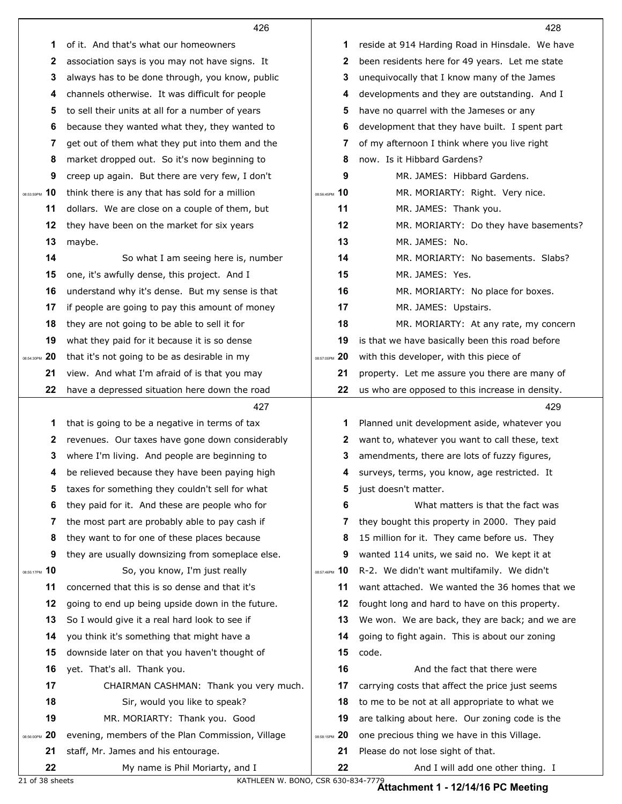|               | 426                                                                                |               | 428                                                                    |
|---------------|------------------------------------------------------------------------------------|---------------|------------------------------------------------------------------------|
|               | 1<br>of it. And that's what our homeowners                                         | 1             | reside at 914 Harding Road in Hinsdale. We have                        |
|               | 2<br>association says is you may not have signs. It                                | 2             | been residents here for 49 years. Let me state                         |
|               | 3<br>always has to be done through, you know, public                               | 3             | unequivocally that I know many of the James                            |
|               | channels otherwise. It was difficult for people<br>4                               | 4             | developments and they are outstanding. And I                           |
|               | to sell their units at all for a number of years<br>5                              | 5             | have no quarrel with the Jameses or any                                |
|               | because they wanted what they, they wanted to<br>6                                 | 6             | development that they have built. I spent part                         |
|               | get out of them what they put into them and the<br>7                               | 7             | of my afternoon I think where you live right                           |
|               | market dropped out. So it's now beginning to<br>8                                  | 8             | now. Is it Hibbard Gardens?                                            |
|               | 9<br>creep up again. But there are very few, I don't                               | 9             | MR. JAMES: Hibbard Gardens.                                            |
| 08:53:59PM    | 10<br>think there is any that has sold for a million                               | 08:56:45PM 10 | MR. MORIARTY: Right. Very nice.                                        |
|               | 11<br>dollars. We are close on a couple of them, but                               | 11            | MR. JAMES: Thank you.                                                  |
|               | they have been on the market for six years<br>12                                   | 12            | MR. MORIARTY: Do they have basements?                                  |
|               | 13<br>maybe.                                                                       | 13            | MR. JAMES: No.                                                         |
|               | 14<br>So what I am seeing here is, number                                          | 14            | MR. MORIARTY: No basements. Slabs?                                     |
|               | 15<br>one, it's awfully dense, this project. And I                                 | 15            | MR. JAMES: Yes.                                                        |
|               | 16<br>understand why it's dense. But my sense is that                              | 16            | MR. MORIARTY: No place for boxes.                                      |
|               | 17<br>if people are going to pay this amount of money                              | 17            | MR. JAMES: Upstairs.                                                   |
|               | 18<br>they are not going to be able to sell it for                                 | 18            | MR. MORIARTY: At any rate, my concern                                  |
|               | 19<br>what they paid for it because it is so dense                                 | 19            | is that we have basically been this road before                        |
| 08:54:30PM 20 | that it's not going to be as desirable in my                                       | 08:57:00PM 20 | with this developer, with this piece of                                |
|               | 21<br>view. And what I'm afraid of is that you may                                 | 21            | property. Let me assure you there are many of                          |
|               |                                                                                    |               |                                                                        |
|               | 22<br>have a depressed situation here down the road                                | 22            | us who are opposed to this increase in density.                        |
|               | 427                                                                                |               | 429                                                                    |
|               | that is going to be a negative in terms of tax<br>1                                | 1             | Planned unit development aside, whatever you                           |
|               | revenues. Our taxes have gone down considerably<br>$\mathbf{2}$                    | 2             | want to, whatever you want to call these, text                         |
|               | where I'm living. And people are beginning to<br>3                                 | 3             | amendments, there are lots of fuzzy figures,                           |
|               | be relieved because they have been paying high<br>4                                | 4             | surveys, terms, you know, age restricted. It                           |
|               | taxes for something they couldn't sell for what<br>5                               | 5             | just doesn't matter.                                                   |
|               | they paid for it. And these are people who for<br>6                                | 6             | What matters is that the fact was                                      |
|               | the most part are probably able to pay cash if<br>7                                | 7             | they bought this property in 2000. They paid                           |
|               | 8<br>they want to for one of these places because                                  | 8             | 15 million for it. They came before us. They                           |
|               | 9<br>they are usually downsizing from someplace else.                              | 9             | wanted 114 units, we said no. We kept it at                            |
| 08:55:17PM 10 | So, you know, I'm just really                                                      | 08:57:46PM 10 | R-2. We didn't want multifamily. We didn't                             |
|               | 11<br>concerned that this is so dense and that it's                                | 11            | want attached. We wanted the 36 homes that we                          |
|               | 12<br>going to end up being upside down in the future.                             | 12            | fought long and hard to have on this property.                         |
|               | 13<br>So I would give it a real hard look to see if                                | 13            | We won. We are back, they are back; and we are                         |
|               | you think it's something that might have a<br>14                                   | 14            | going to fight again. This is about our zoning                         |
|               | 15<br>downside later on that you haven't thought of                                | 15            | code.                                                                  |
|               | 16<br>yet. That's all. Thank you.                                                  | 16            | And the fact that there were                                           |
|               | 17<br>CHAIRMAN CASHMAN: Thank you very much.                                       | 17            | carrying costs that affect the price just seems                        |
|               | 18<br>Sir, would you like to speak?                                                | 18            | to me to be not at all appropriate to what we                          |
|               | 19<br>MR. MORIARTY: Thank you. Good                                                | 19            | are talking about here. Our zoning code is the                         |
|               | 20<br>evening, members of the Plan Commission, Village                             | 08:58:15PM 20 | one precious thing we have in this Village.                            |
| 08:56:00PM    | 21<br>staff, Mr. James and his entourage.<br>22<br>My name is Phil Moriarty, and I | 21<br>22      | Please do not lose sight of that.<br>And I will add one other thing. I |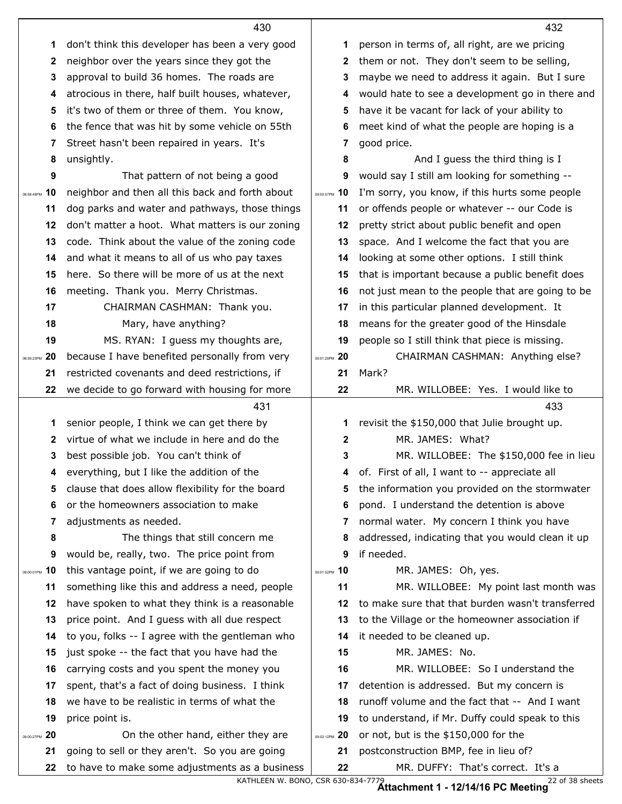|                  | 430                                                                                              |                   | 432                                                                        |
|------------------|--------------------------------------------------------------------------------------------------|-------------------|----------------------------------------------------------------------------|
| 1                | don't think this developer has been a very good                                                  | 1                 | person in terms of, all right, are we pricing                              |
| 2                | neighbor over the years since they got the                                                       | $\mathbf{2}$      | them or not. They don't seem to be selling,                                |
| 3                | approval to build 36 homes. The roads are                                                        | 3                 | maybe we need to address it again. But I sure                              |
| 4                | atrocious in there, half built houses, whatever,                                                 | 4                 | would hate to see a development go in there and                            |
| 5                | it's two of them or three of them. You know,                                                     | 5                 | have it be vacant for lack of your ability to                              |
| 6                | the fence that was hit by some vehicle on 55th                                                   | 6                 | meet kind of what the people are hoping is a                               |
| 7                | Street hasn't been repaired in years. It's                                                       | 7                 | good price.                                                                |
| 8                | unsightly.                                                                                       | 8                 | And I guess the third thing is I                                           |
| 9                | That pattern of not being a good                                                                 | 9                 | would say I still am looking for something --                              |
| 10<br>08:58:48PM | neighbor and then all this back and forth about                                                  | 10<br>09:00:57PM  | I'm sorry, you know, if this hurts some people                             |
| 11               | dog parks and water and pathways, those things                                                   | 11                | or offends people or whatever -- our Code is                               |
| 12               | don't matter a hoot. What matters is our zoning                                                  | 12                | pretty strict about public benefit and open                                |
| 13               | code. Think about the value of the zoning code                                                   | 13                | space. And I welcome the fact that you are                                 |
| 14               | and what it means to all of us who pay taxes                                                     | 14                | looking at some other options. I still think                               |
| 15               | here. So there will be more of us at the next                                                    | 15                | that is important because a public benefit does                            |
| 16               | meeting. Thank you. Merry Christmas.                                                             | 16                | not just mean to the people that are going to be                           |
| 17               | CHAIRMAN CASHMAN: Thank you.                                                                     | 17                | in this particular planned development. It                                 |
| 18               | Mary, have anything?                                                                             | 18                | means for the greater good of the Hinsdale                                 |
| 19               | MS. RYAN: I guess my thoughts are,                                                               | 19                | people so I still think that piece is missing.                             |
| 20<br>08:59:23PM | because I have benefited personally from very                                                    | -20<br>09:01:29PM | CHAIRMAN CASHMAN: Anything else?                                           |
| 21               | restricted covenants and deed restrictions, if                                                   | 21                | Mark?                                                                      |
| 22               | we decide to go forward with housing for more                                                    | 22                | MR. WILLOBEE: Yes. I would like to                                         |
|                  |                                                                                                  |                   |                                                                            |
|                  | 431                                                                                              |                   | 433                                                                        |
| 1                | senior people, I think we can get there by                                                       | 1                 | revisit the \$150,000 that Julie brought up.                               |
| $\mathbf{2}$     | virtue of what we include in here and do the                                                     | $\mathbf{2}$      | MR. JAMES: What?                                                           |
| 3                | best possible job. You can't think of                                                            | 3                 | MR. WILLOBEE: The \$150,000 fee in lieu                                    |
| 4                | everything, but I like the addition of the                                                       |                   | 4 of. First of all, I want to -- appreciate all                            |
| 5                | clause that does allow flexibility for the board                                                 | 5                 | the information you provided on the stormwater                             |
| 6                | or the homeowners association to make                                                            | 6                 | pond. I understand the detention is above                                  |
| 7                | adjustments as needed.                                                                           | 7                 | normal water. My concern I think you have                                  |
| 8                | The things that still concern me                                                                 | 8                 | addressed, indicating that you would clean it up                           |
| 9                | would be, really, two. The price point from                                                      | 9                 | if needed.                                                                 |
| 10<br>09:00:01PM | this vantage point, if we are going to do                                                        | 09:01:52PM 10     | MR. JAMES: Oh, yes.                                                        |
| 11               | something like this and address a need, people                                                   | 11                | MR. WILLOBEE: My point last month was                                      |
| 12               | have spoken to what they think is a reasonable                                                   | 12                | to make sure that that burden wasn't transferred                           |
| 13               | price point. And I guess with all due respect                                                    | 13                | to the Village or the homeowner association if                             |
| 14               | to you, folks -- I agree with the gentleman who                                                  | 14                | it needed to be cleaned up.                                                |
| 15               | just spoke -- the fact that you have had the                                                     | 15                | MR. JAMES: No.                                                             |
| 16               | carrying costs and you spent the money you                                                       | 16                | MR. WILLOBEE: So I understand the                                          |
| 17               | spent, that's a fact of doing business. I think                                                  | 17                | detention is addressed. But my concern is                                  |
| 18               | we have to be realistic in terms of what the                                                     | 18                | runoff volume and the fact that -- And I want                              |
| 19               | price point is.                                                                                  | 19                | to understand, if Mr. Duffy could speak to this                            |
| 20<br>09:00:27PM | On the other hand, either they are                                                               | 20<br>09:02:12PM  | or not, but is the \$150,000 for the                                       |
| 21               | going to sell or they aren't. So you are going<br>to have to make some adjustments as a business | 21<br>22          | postconstruction BMP, fee in lieu of?<br>MR. DUFFY: That's correct. It's a |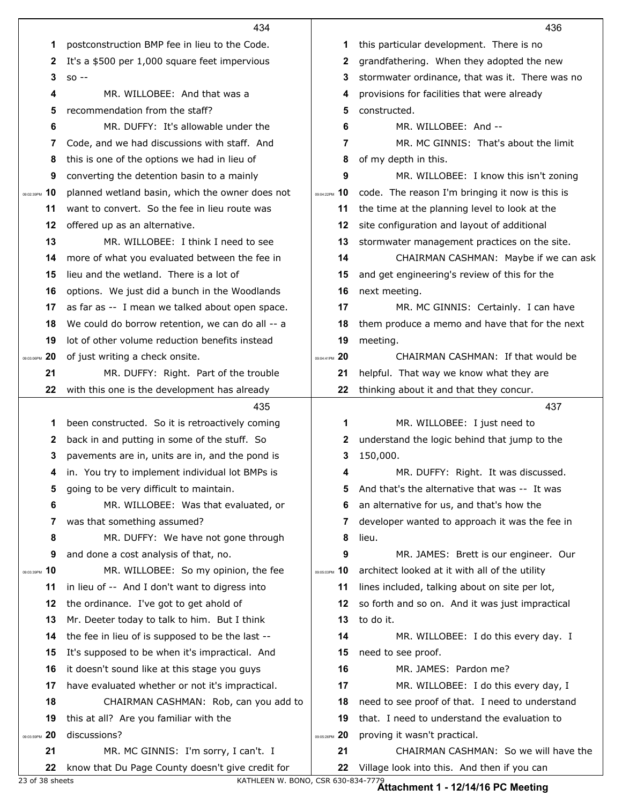|                        | 434                                                                                      |                   | 436                                                                                  |
|------------------------|------------------------------------------------------------------------------------------|-------------------|--------------------------------------------------------------------------------------|
| 1                      | postconstruction BMP fee in lieu to the Code.                                            | 1                 | this particular development. There is no                                             |
| 2                      | It's a \$500 per 1,000 square feet impervious                                            | 2                 | grandfathering. When they adopted the new                                            |
| 3                      | $SO -$                                                                                   | 3                 | stormwater ordinance, that was it. There was no                                      |
| 4                      | MR. WILLOBEE: And that was a                                                             | 4                 | provisions for facilities that were already                                          |
| 5                      | recommendation from the staff?                                                           | 5                 | constructed.                                                                         |
| 6                      | MR. DUFFY: It's allowable under the                                                      | 6                 | MR. WILLOBEE: And --                                                                 |
| 7                      | Code, and we had discussions with staff. And                                             | 7                 | MR. MC GINNIS: That's about the limit                                                |
| 8                      | this is one of the options we had in lieu of                                             | 8                 | of my depth in this.                                                                 |
| 9                      | converting the detention basin to a mainly                                               | 9                 | MR. WILLOBEE: I know this isn't zoning                                               |
| 10<br>09:02:39PM       | planned wetland basin, which the owner does not                                          | 10<br>09:04:22PM  | code. The reason I'm bringing it now is this is                                      |
| 11                     | want to convert. So the fee in lieu route was                                            | 11                | the time at the planning level to look at the                                        |
| 12                     | offered up as an alternative.                                                            | 12                | site configuration and layout of additional                                          |
| 13                     | MR. WILLOBEE: I think I need to see                                                      | 13                | stormwater management practices on the site.                                         |
| 14                     | more of what you evaluated between the fee in                                            | 14                | CHAIRMAN CASHMAN: Maybe if we can ask                                                |
| 15                     | lieu and the wetland. There is a lot of                                                  | 15                | and get engineering's review of this for the                                         |
| 16                     | options. We just did a bunch in the Woodlands                                            | 16                | next meeting.                                                                        |
| 17                     | as far as -- I mean we talked about open space.                                          | 17                | MR. MC GINNIS: Certainly. I can have                                                 |
| 18                     | We could do borrow retention, we can do all -- a                                         | 18                | them produce a memo and have that for the next                                       |
| 19                     | lot of other volume reduction benefits instead                                           | 19                | meeting.                                                                             |
| 20<br>09:03:06PM       | of just writing a check onsite.                                                          | -20<br>09:04:41PM | CHAIRMAN CASHMAN: If that would be                                                   |
| 21                     | MR. DUFFY: Right. Part of the trouble                                                    | 21                | helpful. That way we know what they are                                              |
| 22                     | with this one is the development has already                                             | 22                | thinking about it and that they concur.                                              |
|                        | 435                                                                                      |                   | 437                                                                                  |
| 1                      | been constructed. So it is retroactively coming                                          | 1                 | MR. WILLOBEE: I just need to                                                         |
| 2                      | back in and putting in some of the stuff. So                                             | 2                 | understand the logic behind that jump to the                                         |
| 3                      | pavements are in, units are in, and the pond is                                          | 3                 | 150,000.                                                                             |
|                        | 4 in. You try to implement individual lot BMPs is                                        | 4                 | MR. DUFFY: Right. It was discussed                                                   |
| 5                      |                                                                                          |                   |                                                                                      |
|                        | going to be very difficult to maintain.                                                  | 5                 | And that's the alternative that was -- It was                                        |
| 6                      | MR. WILLOBEE: Was that evaluated, or                                                     | 6                 | an alternative for us, and that's how the                                            |
| 7                      | was that something assumed?                                                              | 7                 | developer wanted to approach it was the fee in                                       |
| 8                      | MR. DUFFY: We have not gone through                                                      | 8                 | lieu.                                                                                |
| 9                      | and done a cost analysis of that, no.                                                    | 9                 | MR. JAMES: Brett is our engineer. Our                                                |
| 10<br>09:03:39PM       | MR. WILLOBEE: So my opinion, the fee                                                     | 09:05:03PM 10     | architect looked at it with all of the utility                                       |
| 11                     | in lieu of -- And I don't want to digress into                                           | 11                | lines included, talking about on site per lot,                                       |
| 12                     | the ordinance. I've got to get ahold of                                                  | 12                | so forth and so on. And it was just impractical                                      |
| 13                     | Mr. Deeter today to talk to him. But I think                                             | 13                | to do it.                                                                            |
| 14                     | the fee in lieu of is supposed to be the last --                                         | 14                | MR. WILLOBEE: I do this every day. I                                                 |
| 15                     | It's supposed to be when it's impractical. And                                           | 15                | need to see proof.                                                                   |
| 16                     | it doesn't sound like at this stage you guys                                             | 16                | MR. JAMES: Pardon me?                                                                |
| 17                     | have evaluated whether or not it's impractical.                                          | 17                | MR. WILLOBEE: I do this every day, I                                                 |
| 18                     | CHAIRMAN CASHMAN: Rob, can you add to                                                    | 18                | need to see proof of that. I need to understand                                      |
| 19                     | this at all? Are you familiar with the                                                   | 19                | that. I need to understand the evaluation to                                         |
| 20                     | discussions?                                                                             | 20<br>09:05:26PM  | proving it wasn't practical.                                                         |
| 09:03:59PM<br>21<br>22 | MR. MC GINNIS: I'm sorry, I can't. I<br>know that Du Page County doesn't give credit for | 21<br>22          | CHAIRMAN CASHMAN: So we will have the<br>Village look into this. And then if you can |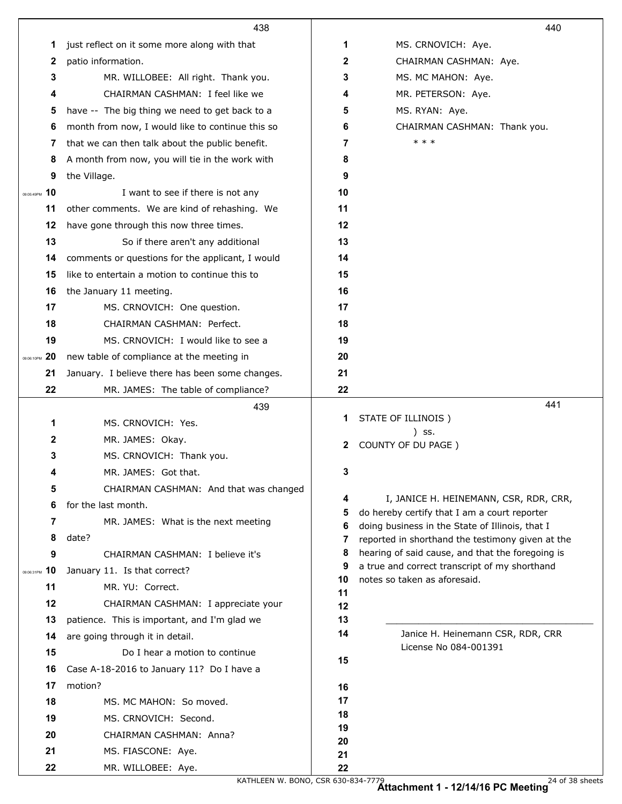|                  | 438                                              |              | 440                                                                                             |
|------------------|--------------------------------------------------|--------------|-------------------------------------------------------------------------------------------------|
| 1                | just reflect on it some more along with that     | 1            | MS. CRNOVICH: Aye.                                                                              |
| 2                | patio information.                               | $\mathbf{2}$ | CHAIRMAN CASHMAN: Aye.                                                                          |
| 3                | MR. WILLOBEE: All right. Thank you.              | 3            | MS. MC MAHON: Aye.                                                                              |
| 4                | CHAIRMAN CASHMAN: I feel like we                 | 4            | MR. PETERSON: Aye.                                                                              |
| 5                | have -- The big thing we need to get back to a   | 5            | MS. RYAN: Aye.                                                                                  |
| 6                | month from now, I would like to continue this so | 6            | CHAIRMAN CASHMAN: Thank you.                                                                    |
| 7                | that we can then talk about the public benefit.  | 7            | * * *                                                                                           |
| 8                | A month from now, you will tie in the work with  | 8            |                                                                                                 |
| 9                | the Village.                                     | 9            |                                                                                                 |
| 10<br>09:05:49PM | I want to see if there is not any                | 10           |                                                                                                 |
| 11               | other comments. We are kind of rehashing. We     | 11           |                                                                                                 |
| 12               | have gone through this now three times.          | 12           |                                                                                                 |
| 13               | So if there aren't any additional                | 13           |                                                                                                 |
| 14               | comments or questions for the applicant, I would | 14           |                                                                                                 |
| 15               | like to entertain a motion to continue this to   | 15           |                                                                                                 |
| 16               | the January 11 meeting.                          | 16           |                                                                                                 |
| 17               | MS. CRNOVICH: One question.                      | 17           |                                                                                                 |
| 18               | CHAIRMAN CASHMAN: Perfect.                       | 18           |                                                                                                 |
| 19               | MS. CRNOVICH: I would like to see a              | 19           |                                                                                                 |
| 20<br>09:06:10PM | new table of compliance at the meeting in        | 20           |                                                                                                 |
| 21               | January. I believe there has been some changes.  | 21           |                                                                                                 |
| 22               | MR. JAMES: The table of compliance?              | 22           |                                                                                                 |
|                  |                                                  |              |                                                                                                 |
|                  | 439                                              |              | 441                                                                                             |
| 1                | MS. CRNOVICH: Yes.                               | 1            | STATE OF ILLINOIS)                                                                              |
| 2                | MR. JAMES: Okay.                                 | 2            | ) SS.<br>COUNTY OF DU PAGE )                                                                    |
| 3                | MS. CRNOVICH: Thank you.                         |              |                                                                                                 |
| 4                | MR. JAMES: Got that.                             | 3            |                                                                                                 |
| 5                | CHAIRMAN CASHMAN: And that was changed           |              |                                                                                                 |
| 6                | for the last month.                              | 4<br>5       | I, JANICE H. HEINEMANN, CSR, RDR, CRR,                                                          |
| 7                | MR. JAMES: What is the next meeting              | 6            | do hereby certify that I am a court reporter<br>doing business in the State of Illinois, that I |
| 8                | date?                                            | 7            | reported in shorthand the testimony given at the                                                |
| 9                | CHAIRMAN CASHMAN: I believe it's                 | 8            | hearing of said cause, and that the foregoing is                                                |
| 10<br>09:06:31PM | January 11. Is that correct?                     | 9<br>10      | a true and correct transcript of my shorthand<br>notes so taken as aforesaid.                   |
| 11               | MR. YU: Correct.                                 | 11           |                                                                                                 |
| 12               | CHAIRMAN CASHMAN: I appreciate your              | 12           |                                                                                                 |
| 13               | patience. This is important, and I'm glad we     | 13           |                                                                                                 |
| 14               | are going through it in detail.                  | 14           | Janice H. Heinemann CSR, RDR, CRR                                                               |
| 15               | Do I hear a motion to continue                   | 15           | License No 084-001391                                                                           |
| 16               | Case A-18-2016 to January 11? Do I have a        |              |                                                                                                 |
| 17               | motion?                                          | 16           |                                                                                                 |
| 18               | MS. MC MAHON: So moved.                          | 17<br>18     |                                                                                                 |
| 19               | MS. CRNOVICH: Second.                            | 19           |                                                                                                 |
| 20               | CHAIRMAN CASHMAN: Anna?                          | 20           |                                                                                                 |
| 21<br>22         | MS. FIASCONE: Aye.<br>MR. WILLOBEE: Aye.         | 21<br>22     |                                                                                                 |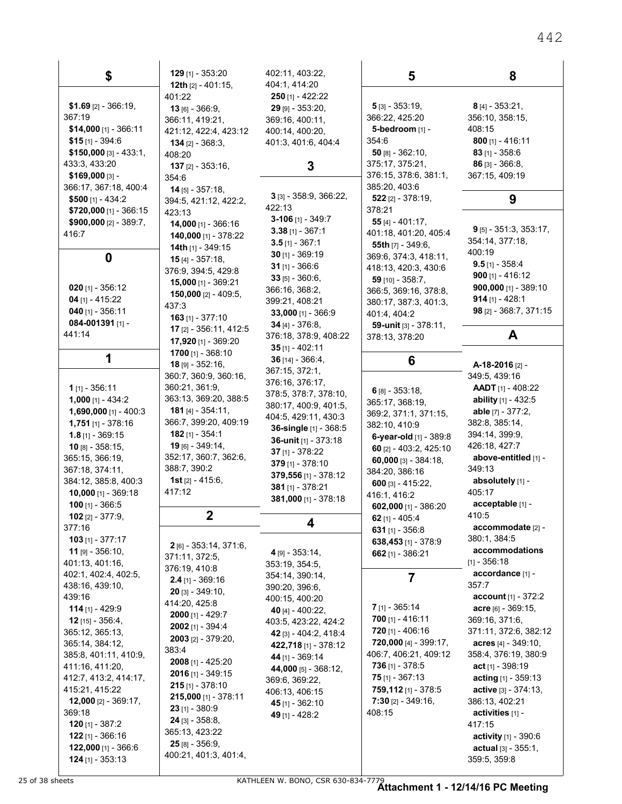| \$                                              | $129$ [1] - 353:20                                  | 402:11, 403:22,                          | 5                                                | 8                                             |
|-------------------------------------------------|-----------------------------------------------------|------------------------------------------|--------------------------------------------------|-----------------------------------------------|
|                                                 | 12th [2] - 401:15,<br>401:22                        | 404:1, 414:20<br>$250$ [1] - 422:22      |                                                  |                                               |
| $$1.69$ [2] - 366:19,                           | $13$ [6] - 366:9,                                   | $29$ [9] - 353:20,                       | $5$ [3] - 353:19,                                | $8$ [4] - 353:21,                             |
| 367:19                                          | 366:11, 419:21,                                     | 369:16, 400:11,                          | 366:22, 425:20                                   | 356:10, 358:15,                               |
| $$14,000$ [1] - 366:11                          | 421:12, 422:4, 423:12                               | 400:14, 400:20,                          | 5-bedroom [1] -                                  | 408:15                                        |
| $$15$ [1] - 394:6                               | $134$ [2] - 368:3,                                  | 401:3, 401:6, 404:4                      | 354:6                                            | $800$ [1] - 416:11                            |
| $$150,000$ [3] - 433:1,                         | 408:20                                              |                                          | $50$ [8] - 362:10,                               | $83$ [1] - 358.6                              |
| 433.3, 433.20                                   | <b>137</b> [2] - 353:16,                            | 3                                        | 375:17, 375:21,<br>376:15, 378:6, 381:1,         | $86$ [3] - 366:8,<br>367:15, 409:19           |
| \$169,000 [3] -<br>366:17, 367:18, 400:4        | 354.6                                               |                                          | 385:20, 403:6                                    |                                               |
| \$500 $[1] - 434:2$                             | <b>14</b> [5] - $357:18$ ,<br>394:5, 421:12, 422:2, | 3 [3] - 358:9, 366:22,                   | $522$ [2] - 378:19,                              | 9                                             |
| $$720,000$ [1] - 366:15                         | 423:13                                              | 422:13                                   | 378:21                                           |                                               |
| \$900,000 $[2] - 389:7$ ,                       | <b>14,000</b> [1] - 366:16                          | 3-106 $[1]$ - 349:7                      | 55 $[4] - 401:17$ ,                              |                                               |
| 416.7                                           | 140,000 [1] - 378:22                                | $3.38$ [1] - 367:1                       | 401:18, 401:20, 405:4                            | $9$ [5] - 351:3, 353:17,<br>354:14, 377:18,   |
|                                                 | 14th $[1]$ - 349:15                                 | $3.5$ [1] - 367:1                        | <b>55th</b> $[7] - 349.6$ ,                      | 400:19                                        |
| 0                                               | <b>15</b> [4] - 357:18,                             | $30$ [1] - 369:19<br>$31$ [1] - 366:6    | 369:6, 374:3, 418:11,                            | $9.5$ [1] - 358:4                             |
|                                                 | 376:9, 394:5, 429:8                                 | $33$ [5] - 360:6,                        | 418:13, 420:3, 430:6<br>59 [10] - 358:7.         | 900 $[1] - 416:12$                            |
| $020$ [1] - 356:12                              | <b>15,000</b> [1] - 369:21                          | 366:16, 368:2,                           | 366:5, 369:16, 378:8,                            | 900,000 [1] - 389:10                          |
| 04 $[1] - 415.22$                               | 150,000 [2] - 409:5,                                | 399:21, 408:21                           | 380:17, 387:3, 401:3,                            | 914 $[1] - 428:1$                             |
| $040$ [1] - 356:11                              | 437:3<br><b>163</b> [1] - 377:10                    | $33,000$ [1] - 366:9                     | 401:4, 404:2                                     | 98 [2] - 368:7, 371:15                        |
| 084-001391 [1] -                                | 17 [2] - 356:11, 412:5                              | $34$ [4] - 376:8,                        | 59-unit [3] - 378:11.                            |                                               |
| 441:14                                          | 17,920 [1] - 369:20                                 | 376:18, 378:9, 408:22                    | 378:13, 378:20                                   | A                                             |
| 1                                               | 1700 $[1] - 368:10$                                 | $35$ [1] - 402:11                        |                                                  |                                               |
|                                                 | $18$ [9] - 352:16,                                  | 36 $[14] - 366.4$ ,<br>367:15, 372:1,    | 6                                                | A-18-2016 <sub>[2]</sub> -                    |
|                                                 | 360:7, 360:9, 360:16,                               | 376:16, 376:17,                          |                                                  | 349.5, 439.16                                 |
| <b>1</b> $[1] - 356:11$                         | 360:21, 361:9,                                      | 378:5, 378:7, 378:10,                    | 6 $[8] - 353.18$ ,                               | <b>AADT</b> [1] - 408:22                      |
| <b>1,000</b> [1] - 434:2                        | 363:13, 369:20, 388:5                               | 380:17, 400:9, 401:5,                    | 365:17, 368:19,                                  | <b>ability</b> [1] - 432:5                    |
| <b>1,690,000</b> [1] - 400:3                    | 181 [4] - 354:11,<br>366:7, 399:20, 409:19          | 404:5, 429:11, 430:3                     | 369:2, 371:1, 371:15,                            | able $[7] - 377:2$ ,<br>382.8, 385:14,        |
| <b>1,751</b> [1] - 378:16<br>$1.8$ [1] - 369:15 | <b>182</b> [1] - 354:1                              | 36-single [1] - 368:5                    | 382:10, 410:9                                    | 394:14, 399:9,                                |
| $10$ [8] - 358:15,                              | 19 [6] - 349:14,                                    | 36-unit $[1]$ - 373:18                   | 6-year-old [1] - 389:8<br>60 [2] - 403:2, 425:10 | 426:18, 427:7                                 |
| 365:15, 366:19,                                 | 352:17, 360:7, 362:6,                               | 37 $[1] - 378:22$                        | 60,000 [3] - $384:18$ ,                          | above-entitled [1] -                          |
| 367:18, 374:11,                                 | 388:7, 390:2                                        | 379 $[1] - 378:10$                       | 384:20, 386:16                                   | 349.13                                        |
| 384:12, 385.8, 400.3                            | <b>1st</b> $[2] - 415.6$ ,                          | 379,556 [1] - 378:12<br>381 [1] - 378:21 | 600 $[3] - 415:22$                               | absolutely [1] -                              |
| $10,000$ [1] - 369.18                           | 417:12                                              | 381,000 [1] - 378:18                     | 416:1, 416:2                                     | 405:17                                        |
| 100 $[1] - 366:5$                               |                                                     |                                          | 602,000 [1] - 386:20                             | acceptable [1] -                              |
| $102$ [2] - 377:9,<br>377:16                    | $\mathbf 2$                                         | 4                                        | 62 $[1]$ - 405:4                                 | 410:5<br>accommodate [2] -                    |
| $103$ [1] - 377:17                              |                                                     |                                          | 631 $[1] - 356.8$                                | 380:1, 384:5                                  |
| <b>11</b> [9] $-356:10$ ,                       | 2 [6] - 353:14, 371:6,                              | 4 [9] - 353:14,                          | 638,453 [1] - 378:9<br>662 $[1] - 386:21$        | accommodations                                |
| 401:13, 401:16,                                 | 371:11, 372:5,                                      | 353:19, 354:5,                           |                                                  | $[1] - 356:18$                                |
| 402:1, 402:4, 402:5,                            | 376:19, 410:8                                       | 354:14, 390:14,                          | 7                                                | accordance [1] -                              |
| 438:16, 439:10,                                 | $2.4$ [1] - 369:16<br>$20$ [3] - 349:10,            | 390:20, 396:6,                           |                                                  | 357:7                                         |
| 439:16                                          | 414:20, 425:8                                       | 400:15, 400:20                           |                                                  | <b>account</b> $[1] - 372:2$                  |
| $114$ [1] - 429:9                               | <b>2000</b> [1] - 429:7                             | 40 [4] - 400:22,                         | $7$ [1] - 365:14                                 | $accre$ [6] - 369:15,                         |
| <b>12</b> [15] - 356:4,                         | $2002$ [1] - 394:4                                  | 403:5, 423:22, 424:2                     | $700$ [1] - 416:11<br>$720$ [1] - 406:16         | 369.16, 371.6,<br>371:11, 372:6, 382:12       |
| 365:12, 365:13,<br>365:14, 384:12,              | <b>2003</b> [2] - 379:20,                           | 42 [3] - 404:2, 418:4                    | 720,000 [4] - 399:17,                            | acres $[4] - 349.10$ ,                        |
| 385:8, 401:11, 410:9,                           | 383:4                                               | 422,718 [1] - 378:12<br>44 [1] - 369:14  | 406:7, 406:21, 409:12                            | 358.4, 376.19, 380.9                          |
| 411:16, 411:20,                                 | 2008 [1] - 425:20                                   | 44,000 [5] - 368:12,                     | <b>736</b> [1] - 378:5                           | act $[1]$ - 398:19                            |
| 412:7, 413:2, 414:17,                           | <b>2016</b> [1] - 349:15                            | 369:6, 369:22,                           | <b>75</b> [1] - 367:13                           | acting $[1] - 359:13$                         |
| 415:21, 415:22                                  | $215$ [1] - 378:10                                  | 406:13, 406:15                           | 759,112 [1] - 378:5                              | active $[3] - 374:13$ ,                       |
| 12,000 [2] - 369:17,                            | 215,000 [1] - 378:11                                | 45 [1] - 362:10                          | 7:30 $[2] - 349:16$                              | 386.13, 402:21                                |
| 369:18                                          | $23$ [1] - 380:9<br>24 [3] - 358:8,                 | 49 [1] - 428:2                           | 408:15                                           | activities [1] -                              |
| <b>120</b> [1] - 387:2                          | 365:13, 423:22                                      |                                          |                                                  | 417:15                                        |
| $122$ [1] - 366:16                              | $25$ [8] - 356:9,                                   |                                          |                                                  | <b>activity</b> $[1] - 390.6$                 |
| 122,000 [1] - 366:6<br>$124$ [1] - 353:13       | 400:21, 401:3, 401:4,                               |                                          |                                                  | <b>actual</b> $[3] - 355:1$ ,<br>359:5, 359:8 |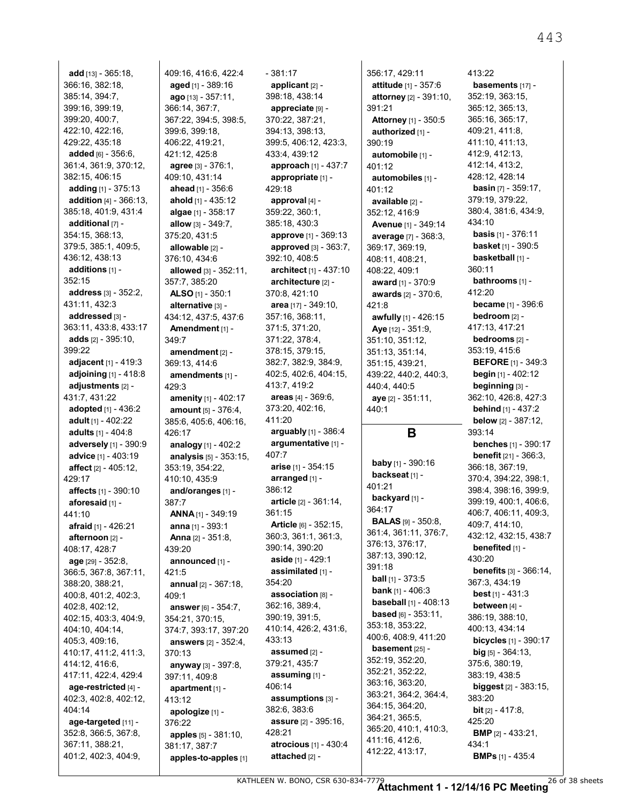**add** [13] - 365:18, 366:16, 382:18, 385:14, 394:7, 399:16, 399:19, 399:20, 400:7, 422:10, 422:16, 429:22, 435:18 **added** [6] - 356:6, 361:4, 361:9, 370:12, 382:15, 406:15 **adding** [1] - 375:13 **addition** [4] - 366:13, 385:18, 401:9, 431:4 **additional** [7] - 354:15, 368:13, 379:5, 385:1, 409:5, 436:12, 438:13 **additions** [1] - 352:15 **address** [3] - 352:2, 431:11, 432:3 **addressed** [3] - 363:11, 433:8, 433:17 **adds** [2] - 395:10, 399:22 **adjacent** [1] - 419:3 **adjoining** [1] - 418:8 **adjustments** [2] - 431:7, 431:22 **adopted** [1] - 436:2 **adult** [1] - 402:22 **adults** [1] - 404:8 **adversely** [1] - 390:9 **advice** [1] - 403:19 **affect** [2] - 405:12, 429:17 **affects** [1] - 390:10 **aforesaid** [1] - 441:10 **afraid** [1] - 426:21 **afternoon** [2] - 408:17, 428:7 **age** [29] - 352:8, 366:5, 367:8, 367:11, 388:20, 388:21, 400:8, 401:2, 402:3, 402:8, 402:12, 402:15, 403:3, 404:9, 404:10, 404:14, 405:3, 409:16, 410:17, 411:2, 411:3, 414:12, 416:6, 417:11, 422:4, 429:4 **age-restricted** [4] - 402:3, 402:8, 402:12, 404:14 **age-targeted** [11] - 352:8, 366:5, 367:8, 367:11, 388:21, 401:2, 402:3, 404:9,

409:16, 416:6, 422:4 **aged** [1] - 389:16 **ago** [13] - 357:11, 366:14, 367:7, 367:22, 394:5, 398:5, 399:6, 399:18, 406:22, 419:21, 421:12, 425:8 **agree** [3] - 376:1, 409:10, 431:14 **ahead** [1] - 356:6 **ahold** [1] - 435:12 **algae** [1] - 358:17 **allow** [3] - 349:7, 375:20, 431:5 **allowable** [2] - 376:10, 434:6 **allowed** [3] - 352:11, 357:7, 385:20 **ALSO** [1] - 350:1 **alternative** [3] - 434:12, 437:5, 437:6 **Amendment** [1] - 349:7 **amendment** [2] - 369:13, 414:6 **amendments** [1] - 429:3 **amenity** [1] - 402:17 **amount** [5] - 376:4, 385:6, 405:6, 406:16, 426:17 **analogy** [1] - 402:2 **analysis** [5] - 353:15, 353:19, 354:22, 410:10, 435:9 **and/oranges** [1] - 387:7 **ANNA** [1] - 349:19 **anna** [1] - 393:1 **Anna** [2] - 351:8, 439:20 **announced** [1] - 421:5 **annual** [2] - 367:18, 409:1 **answer** [6] - 354:7, 354:21, 370:15, 374:7, 393:17, 397:20 **answers** [2] - 352:4, 370:13 **anyway** [3] - 397:8, 397:11, 409:8 **apartment** [1] - 413:12 **apologize** [1] - 376:22 **apples** [5] - 381:10, 381:17, 387:7 **apples-to-apples** [1]

- 381:17 **applicant** [2] - 398:18, 438:14 **appreciate** [9] - 370:22, 387:21, 394:13, 398:13, 399:5, 406:12, 423:3, 433:4, 439:12 **approach** [1] - 437:7 **appropriate** [1] - 429:18 **approval** [4] - 359:22, 360:1, 385:18, 430:3 **approve** [1] - 369:13 **approved** [3] - 363:7, 392:10, 408:5 **architect** [1] - 437:10 **architecture** [2] - 370:8, 421:10 **area** [17] - 349:10, 357:16, 368:11, 371:5, 371:20, 371:22, 378:4, 378:15, 379:15, 382:7, 382:9, 384:9, 402:5, 402:6, 404:15, 413:7, 419:2 **areas** [4] - 369:6, 373:20, 402:16, 411:20 **arguably** [1] - 386:4 **argumentative** [1] - 407:7 **arise** [1] - 354:15 **arranged** [1] - 386:12 **article** [2] - 361:14, 361:15 **Article** [6] - 352:15, 360:3, 361:1, 361:3, 390:14, 390:20 **aside** [1] - 429:1 **assimilated** [1] - 354:20 **association** [8] - 362:16, 389:4, 390:19, 391:5, 410:14, 426:2, 431:6, 433:13 **assumed** [2] - 379:21, 435:7 **assuming** [1] - 406:14 **assumptions** [3] - 382:6, 383:6 **assure** [2] - 395:16, 428:21 **atrocious** [1] - 430:4 **attached** [2] -

356:17, 429:11 **attitude** [1] - 357:6 **attorney** [2] - 391:10, 391:21 **Attorney** [1] - 350:5 **authorized** [1] - 390:19 **automobile** [1] - 401:12 **automobiles** [1] - 401:12 **available** [2] - 352:12, 416:9 **Avenue** [1] - 349:14 **average** [7] - 368:3, 369:17, 369:19, 408:11, 408:21, 408:22, 409:1 **award** [1] - 370:9 **awards** [2] - 370:6, 421:8 **awfully** [1] - 426:15 **Aye** [12] - 351:9, 351:10, 351:12, 351:13, 351:14, 351:15, 439:21, 439:22, 440:2, 440:3, 440:4, 440:5 **aye** [2] - 351:11, 440:1 **B baby** [1] - 390:16 **backseat** [1] - 401:21 **backyard** [1] -

364:17

**BALAS** [9] - 350:8, 361:4, 361:11, 376:7, 376:13, 376:17, 387:13, 390:12, 391:18

**ball** [1] - 373:5 **bank** [1] - 406:3 **baseball** [1] - 408:13 **based** [6] - 353:11, 353:18, 353:22, 400:6, 408:9, 411:20 **basement** [25] - 352:19, 352:20, 352:21, 352:22, 363:16, 363:20, 363:21, 364:2, 364:4, 364:15, 364:20, 364:21, 365:5, 365:20, 410:1, 410:3, 411:16, 412:6, 412:22, 413:17,

**basements** [17] - 352:19, 363:15, 365:12, 365:13, 365:16, 365:17, 409:21, 411:8, 411:10, 411:13, 412:9, 412:13, 412:14, 413:2, 428:12, 428:14 **basin** [7] - 359:17, 379:19, 379:22, 380:4, 381:6, 434:9, 434:10 **basis** [1] - 376:11 **basket** [1] - 390:5 **basketball** [1] -360:11 **bathrooms** [1] - 412:20 **became** [1] - 396:6 **bedroom** [2] - 417:13, 417:21 **bedrooms** [2] - 353:19, 415:6 **BEFORE** [1] - 349:3 **begin** [1] - 402:12 **beginning** [3] - 362:10, 426:8, 427:3 **behind** [1] - 437:2 **below** [2] - 387:12, 393:14 **benches** [1] - 390:17 **benefit** [21] - 366:3, 366:18, 367:19, 370:4, 394:22, 398:1, 398:4, 398:16, 399:9, 399:19, 400:1, 406:6, 406:7, 406:11, 409:3, 409:7, 414:10, 432:12, 432:15, 438:7 **benefited** [1] -430:20 **benefits** [3] - 366:14, 367:3, 434:19 **best** [1] - 431:3 **between** [4] - 386:19, 388:10, 400:13, 434:14 **bicycles** [1] - 390:17 **big** [5] - 364:13, 375:6, 380:19, 383:19, 438:5 **biggest** [2] - 383:15, 383:20 **bit** [2] - 417:8, 425:20 **BMP** [2] - 433:21, 434:1 **BMPs** [1] - 435:4

413:22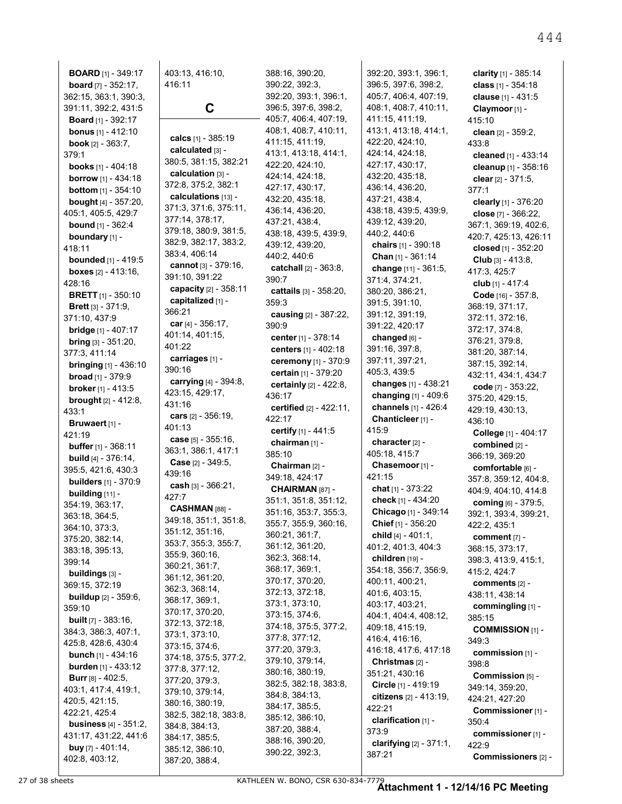**BOARD** [1] - 349:17 **board** [7] - 352:17, 362:15, 363:1, 390:3, 391:11, 392:2, 431:5 **Board** [1] - 392:17 **bonus** [1] - 412:10 **book** [2] - 363:7, 379:1 **books** [1] - 404:18 **borrow** [1] - 434:18 **bottom** [1] - 354:10 **bought** [4] - 357:20, 405:1, 405:5, 429:7 **bound** [1] - 362:4 **boundary** [1] - 418:11 **bounded** [1] - 419:5 **boxes** [2] - 413:16, 428:16 **BRETT** [1] - 350:10 **Brett** [3] - 371:9, 371:10, 437:9 **bridge** [1] - 407:17 **bring** [3] - 351:20, 377:3, 411:14 **bringing** [1] - 436:10 **broad** [1] - 379:9 **broker** [1] - 413:5 **brought** [2] - 412:8, 433:1 **Bruwaert** [1] - 421:19 **buffer** [1] - 368:11 **build** [4] - 376:14, 395:5, 421:6, 430:3 **builders** [1] - 370:9 **building** [11] - 354:19, 363:17, 363:18, 364:5, 364:10, 373:3, 375:20, 382:14, 383:18, 395:13, 399:14 **buildings** [3] - 369:15, 372:19 **buildup** [2] - 359:6, 359:10 **built** [7] - 383:16, 384:3, 386:3, 407:1, 425:8, 428:6, 430:4 **bunch** [1] - 434:16 **burden** [1] - 433:12 **Burr** [8] - 402:5, 403:1, 417:4, 419:1, 420:5, 421:15, 422:21, 425:4 **business** [4] - 351:2, 431:17, 431:22, 441:6 **buy** [7] - 401:14, 402:8, 403:12,

403:13, 416:10, 416:11 **C calcs** [1] - 385:19 **calculated** [3] - 380:5, 381:15, 382:21 **calculation** [3] - 372:8, 375:2, 382:1 **calculations** [13] - 371:3, 371:6, 375:11, 377:14, 378:17, 379:18, 380:9, 381:5, 382:9, 382:17, 383:2, 383:4, 406:14 **cannot** [3] - 379:16, 391:10, 391:22 **capacity** [2] - 358:11 **capitalized** [1] - 366:21 **car** [4] - 356:17, 401:14, 401:15, 401:22 **carriages** [1] - 390:16 **carrying** [4] - 394:8, 423:15, 429:17, 431:16 **cars** [2] - 356:19, 401:13 **case** [5] - 355:16, 363:1, 386:1, 417:1 **Case** [2] - 349:5, 439:16 **cash** [3] - 366:21, 427:7 **CASHMAN** [88] - 349:18, 351:1, 351:8, 351:12, 351:16, 353:7, 355:3, 355:7, 355:9, 360:16, 360:21, 361:7, 361:12, 361:20, 362:3, 368:14, 368:17, 369:1, 370:17, 370:20, 372:13, 372:18, 373:1, 373:10, 373:15, 374:6, 374:18, 375:5, 377:2, 377:8, 377:12, 377:20, 379:3, 379:10, 379:14, 380:16, 380:19, 382:5, 382:18, 383:8, 384:8, 384:13, 384:17, 385:5, 385:12, 386:10, 387:20, 388:4,

388:16, 390:20, 390:22, 392:3, 392:20, 393:1, 396:1, 396:5, 397:6, 398:2, 405:7, 406:4, 407:19, 408:1, 408:7, 410:11, 411:15, 411:19, 413:1, 413:18, 414:1, 422:20, 424:10, 424:14, 424:18, 427:17, 430:17, 432:20, 435:18, 436:14, 436:20, 437:21, 438:4, 438:18, 439:5, 439:9, 439:12, 439:20, 440:2, 440:6 **catchall** [2] - 363:8, 390:7 **cattails** [3] - 358:20, 359:3 **causing** [2] - 387:22, 390:9 **center** [1] - 378:14 **centers** [1] - 402:18 **ceremony** [1] - 370:9 **certain** [1] - 379:20 **certainly** [2] - 422:8, 436:17 **certified** [2] - 422:11, 422:17 **certify** [1] - 441:5 **chairman** [1] - 385:10 **Chairman** [2] - 349:18, 424:17 **CHAIRMAN** [87] - 351:1, 351:8, 351:12, 351:16, 353:7, 355:3, 355:7, 355:9, 360:16, 360:21, 361:7, 361:12, 361:20, 362:3, 368:14, 368:17, 369:1, 370:17, 370:20, 372:13, 372:18, 373:1, 373:10, 373:15, 374:6, 374:18, 375:5, 377:2, 377:8, 377:12, 377:20, 379:3, 379:10, 379:14, 380:16, 380:19, 382:5, 382:18, 383:8, 384:8, 384:13, 384:17, 385:5, 385:12, 386:10, 387:20, 388:4, 388:16, 390:20, 390:22, 392:3,

392:20, 393:1, 396:1, 396:5, 397:6, 398:2, 405:7, 406:4, 407:19, 408:1, 408:7, 410:11, 411:15, 411:19, 413:1, 413:18, 414:1, 422:20, 424:10, 424:14, 424:18, 427:17, 430:17, 432:20, 435:18, 436:14, 436:20, 437:21, 438:4, 438:18, 439:5, 439:9, 439:12, 439:20, 440:2, 440:6 **chairs** [1] - 390:18 **Chan** [1] - 361:14 **change** [11] - 361:5, 371:4, 374:21, 380:20, 386:21, 391:5, 391:10, 391:12, 391:19, 391:22, 420:17 **changed** [6] - 391:16, 397:8, 397:11, 397:21, 405:3, 439:5 **changes** [1] - 438:21 **changing** [1] - 409:6 **channels** [1] - 426:4 **Chanticleer** [1] - 415:9 **character** [2] - 405:18, 415:7 **Chasemoor** [1] - 421:15 **chat** [1] - 373:22 **check** [1] - 434:20 **Chicago** [1] - 349:14 **Chief** [1] - 356:20 **child** [4] - 401:1, 401:2, 401:3, 404:3 **children** [19] - 354:18, 356:7, 356:9, 400:11, 400:21, 401:6, 403:15, 403:17, 403:21, 404:1, 404:4, 408:12, 409:18, 415:19, 416:4, 416:16, 416:18, 417:6, 417:18 **Christmas** [2] - 351:21, 430:16 **Circle** [1] - 419:19 **citizens** [2] - 413:19, 422:21 **clarification** [1] - 373:9 **clarifying** [2] - 371:1, 387:21

**clarity** [1] - 385:14 **class** [1] - 354:18 **clause** [1] - 431:5 **Claymoor** [1] - 415:10 **clean** [2] - 359:2, 433:8 **cleaned** [1] - 433:14 **cleanup** [1] - 358:16 **clear** [2] - 371:5, 377:1 **clearly** [1] - 376:20 **close** [7] - 366:22, 367:1, 369:19, 402:6, 420:7, 425:13, 426:11 **closed** [1] - 352:20 **Club** [3] - 413:8, 417:3, 425:7 **club** [1] - 417:4 **Code** [16] - 357:8, 368:19, 371:17, 372:11, 372:16, 372:17, 374:8, 376:21, 379:8, 381:20, 387:14, 387:15, 392:14, 432:11, 434:1, 434:7 **code** [7] - 353:22, 375:20, 429:15, 429:19, 430:13, 436:10 **College** [1] - 404:17 **combined** [2] - 366:19, 369:20 **comfortable** [6] - 357:8, 359:12, 404:8, 404:9, 404:10, 414:8 **coming** [6] - 379:5, 392:1, 393:4, 399:21, 422:2, 435:1 **comment** [7] - 368:15, 373:17, 398:3, 413:9, 415:1, 415:2, 424:7 **comments** [2] - 438:11, 438:14 **commingling** [1] - 385:15 **COMMISSION** [1] - 349:3 **commission** [1] - 398:8 **Commission** [5] - 349:14, 359:20, 424:21, 427:20 **Commissioner** [1] - 350:4 **commissioner** [1] - 422:9 **Commissioners** [2] -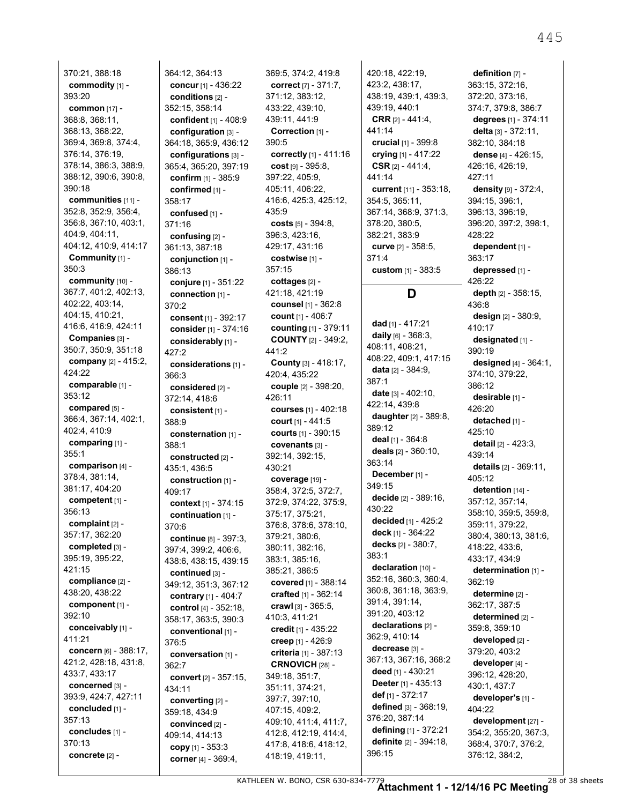370:21, 388:18 **commodity** [1] - 393:20 **common** [17] - 368:8, 368:11, 368:13, 368:22, 369:4, 369:8, 374:4, 376:14, 376:19, 378:14, 386:3, 388:9, 388:12, 390:6, 390:8, 390:18 **communities** [11] - 352:8, 352:9, 356:4, 356:8, 367:10, 403:1, 404:9, 404:11, 404:12, 410:9, 414:17 **Community** [1] - 350:3 **community** [10] - 367:7, 401:2, 402:13, 402:22, 403:14, 404:15, 410:21, 416:6, 416:9, 424:11 **Companies** [3] - 350:7, 350:9, 351:18 **company** [2] - 415:2, 424:22 **comparable** [1] - 353:12 **compared** [5] - 366:4, 367:14, 402:1, 402:4, 410:9 **comparing** [1] - 355:1 **comparison** [4] - 378:4, 381:14, 381:17, 404:20 **competent** [1] - 356:13 **complaint** [2] - 357:17, 362:20 **completed** [3] - 395:19, 395:22, 421:15 **compliance** [2] - 438:20, 438:22 **component** [1] - 392:10 **conceivably** [1] - 411:21 **concern** [6] - 388:17, 421:2, 428:18, 431:8, 433:7, 433:17 **concerned** [3] - 393:9, 424:7, 427:11 **concluded** [1] - 357:13 **concludes** [1] - 370:13

**concrete** [2] -

364:12, 364:13 **concur** [1] - 436:22 **conditions** [2] - 352:15, 358:14 **confident** [1] - 408:9 **configuration** [3] - 364:18, 365:9, 436:12 **configurations** [3] - 365:4, 365:20, 397:19 **confirm** [1] - 385:9 **confirmed** [1] - 358:17 **confused** [1] - 371:16 **confusing** [2] - 361:13, 387:18 **conjunction** [1] - 386:13 **conjure** [1] - 351:22 **connection** [1] - 370:2 **consent** [1] - 392:17 **consider** [1] - 374:16 **considerably** [1] - 427:2 **considerations** [1] - 366:3 **considered** [2] - 372:14, 418:6 **consistent** [1] - 388:9 **consternation** [1] - 388:1 **constructed** [2] - 435:1, 436:5 **construction** [1] - 409:17 **context** [1] - 374:15 **continuation** [1] - 370:6 **continue** [8] - 397:3, 397:4, 399:2, 406:6, 438:6, 438:15, 439:15 **continued** [3] - 349:12, 351:3, 367:12 **contrary** [1] - 404:7 **control** [4] - 352:18, 358:17, 363:5, 390:3 **conventional** [1] - 376:5 **conversation** [1] - 362:7 **convert** [2] - 357:15, 434:11 **converting** [2] - 359:18, 434:9 **convinced** [2] - 409:14, 414:13 **copy** [1] - 353:3 **corner** [4] - 369:4,

369:5, 374:2, 419:8 **correct** [7] - 371:7, 371:12, 383:12, 433:22, 439:10, 439:11, 441:9 **Correction** [1] - 390:5 **correctly** [1] - 411:16 **cost** [9] - 395:8, 397:22, 405:9, 405:11, 406:22, 416:6, 425:3, 425:12, 435:9 **costs** [5] - 394:8, 396:3, 423:16, 429:17, 431:16 **costwise** [1] - 357:15 **cottages** [2] - 421:18, 421:19 **counsel** [1] - 362:8 **count** [1] - 406:7 **counting** [1] - 379:11 **COUNTY** [2] - 349:2, 441:2 **County** [3] - 418:17, 420:4, 435:22 **couple** [2] - 398:20, 426:11 **courses** [1] - 402:18 **court** [1] - 441:5 **courts** [1] - 390:15 **covenants** [3] - 392:14, 392:15, 430:21 **coverage** [19] - 358:4, 372:5, 372:7, 372:9, 374:22, 375:9, 375:17, 375:21, 376:8, 378:6, 378:10, 379:21, 380:6, 380:11, 382:16, 383:1, 385:16, 385:21, 386:5 **covered** [1] - 388:14 **crafted** [1] - 362:14 **crawl** [3] - 365:5, 410:3, 411:21 **credit** [1] - 435:22 **creep** [1] - 426:9 **criteria** [1] - 387:13 **CRNOVICH** [28] - 349:18, 351:7, 351:11, 374:21, 397:7, 397:10, 407:15, 409:2, 409:10, 411:4, 411:7, 412:8, 412:19, 414:4, 417:8, 418:6, 418:12, 418:19, 419:11,

420:18, 422:19, 423:2, 438:17, 438:19, 439:1, 439:3, 439:19, 440:1 **CRR** [2] - 441:4, 441:14 **crucial** [1] - 399:8 **crying** [1] - 417:22 **CSR** [2] - 441:4, 441:14 **current** [11] - 353:18, 354:5, 365:11, 367:14, 368:9, 371:3, 378:20, 380:5, 382:21, 383:9 **curve** [2] - 358:5, 371:4 **custom** [1] - 383:5

## **D**

**dad** [1] - 417:21 **daily** [6] - 368:3, 408:11, 408:21, 408:22, 409:1, 417:15 **data** [2] - 384:9, 387:1 **date** [3] - 402:10, 422:14, 439:8 **daughter** [2] - 389:8, 389:12 **deal** [1] - 364:8 **deals** [2] - 360:10, 363:14 **December** [1] - 349:15 **decide** [2] - 389:16, 430:22 **decided** [1] - 425:2 **deck** [1] - 364:22 **decks** [2] - 380:7, 383:1 **declaration** [10] -352:16, 360:3, 360:4, 360:8, 361:18, 363:9, 391:4, 391:14, 391:20, 403:12 **declarations** [2] - 362:9, 410:14 **decrease** [3] - 367:13, 367:16, 368:2 **deed** [1] - 430:21 **Deeter** [1] - 435:13 **def** [1] - 372:17 **defined** [3] - 368:19, 376:20, 387:14 **defining** [1] - 372:21 **definite** [2] - 394:18, 396:15

**definition** [7] - 363:15, 372:16, 372:20, 373:16, 374:7, 379:8, 386:7 **degrees** [1] - 374:11 **delta** [3] - 372:11, 382:10, 384:18 **dense** [4] - 426:15, 426:16, 426:19, 427:11 **density** [9] - 372:4, 394:15, 396:1, 396:13, 396:19, 396:20, 397:2, 398:1, 428:22 **dependent** [1] - 363:17 **depressed** [1] - 426:22 **depth** [2] - 358:15, 436:8 **design** [2] - 380:9, 410:17 **designated** [1] - 390:19 **designed** [4] - 364:1, 374:10, 379:22, 386:12 **desirable** [1] - 426:20 **detached** [1] - 425:10 **detail** [2] - 423:3, 439:14 **details** [2] - 369:11, 405:12 **detention** [14] - 357:12, 357:14, 358:10, 359:5, 359:8, 359:11, 379:22, 380:4, 380:13, 381:6, 418:22, 433:6, 433:17, 434:9 **determination** [1] - 362:19 **determine** [2] - 362:17, 387:5 **determined** [2] - 359:8, 359:10 **developed** [2] - 379:20, 403:2 **developer** [4] - 396:12, 428:20, 430:1, 437:7 **developer's** [1] - 404:22 **development** [27] - 354:2, 355:20, 367:3,

368:4, 370:7, 376:2, 376:12, 384:2,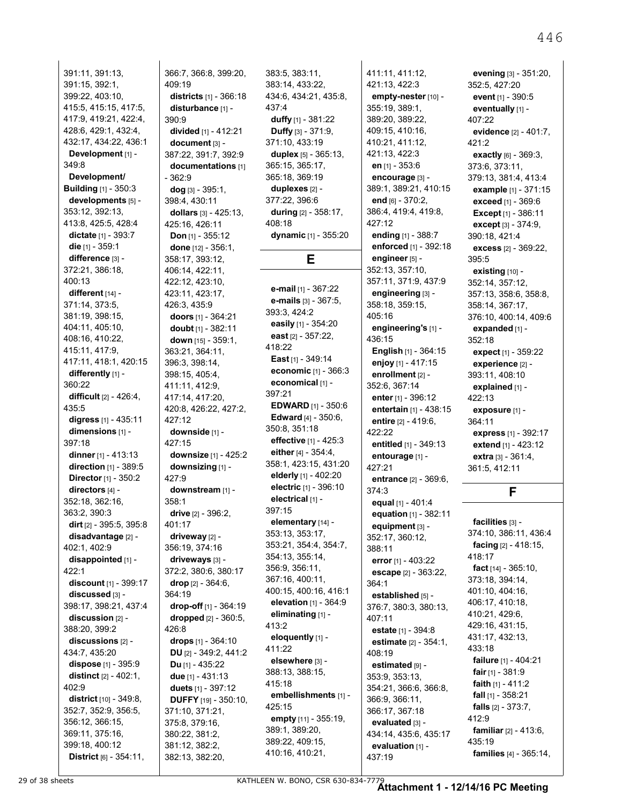391:11, 391:13, 391:15, 392:1, 399:22, 403:10, 415:5, 415:15, 417:5, 417:9, 419:21, 422:4, 428:6, 429:1, 432:4, 432:17, 434:22, 436:1 **Development** [1] - 349:8 **Development/ Building** [1] - 350:3 **developments** [5] - 353:12, 392:13, 413:8, 425:5, 428:4 **dictate** [1] - 393:7 **die** [1] - 359:1 **difference** [3] - 372:21, 386:18, 400:13 **different** [14] - 371:14, 373:5, 381:19, 398:15, 404:11, 405:10, 408:16, 410:22, 415:11, 417:9, 417:11, 418:1, 420:15 **differently** [1] - 360:22 **difficult** [2] - 426:4, 435:5 **digress** [1] - 435:11 **dimensions** [1] - 397:18 **dinner** [1] - 413:13 **direction** [1] - 389:5 **Director** [1] - 350:2 **directors** [4] - 352:18, 362:16, 363:2, 390:3 **dirt** [2] - 395:5, 395:8 **disadvantage** [2] - 402:1, 402:9 **disappointed** [1] - 422:1 **discount** [1] - 399:17 **discussed** [3] - 398:17, 398:21, 437:4 **discussion** [2] - 388:20, 399:2 **discussions** [2] - 434:7, 435:20 **dispose** [1] - 395:9 **distinct** [2] - 402:1, 402:9 **district** [10] - 349:8, 352:7, 352:9, 356:5, 356:12, 366:15, 369:11, 375:16, 399:18, 400:12

366:7, 366:8, 399:20, 409:19 **districts** [1] - 366:18 **disturbance** [1] - 390:9 **divided** [1] - 412:21 **document** [3] - 387:22, 391:7, 392:9 **documentations** [1] - 362:9 **dog** [3] - 395:1, 398:4, 430:11 **dollars** [3] - 425:13, 425:16, 426:11 **Don** [1] - 355:12 **done** [12] - 356:1, 358:17, 393:12, 406:14, 422:11, 422:12, 423:10, 423:11, 423:17, 426:3, 435:9 **doors** [1] - 364:21 **doubt** [1] - 382:11 **down** [15] - 359:1, 363:21, 364:11, 396:3, 398:14, 398:15, 405:4, 411:11, 412:9, 417:14, 417:20, 420:8, 426:22, 427:2, 427:12 **downside** [1] - 427:15 **downsize** [1] - 425:2 **downsizing** [1] - 427:9 **downstream** [1] - 358:1 **drive** [2] - 396:2, 401:17 **driveway** [2] - 356:19, 374:16 **driveways** [3] - 372:2, 380:6, 380:17 **drop** [2] - 364:6, 364:19 **drop-off** [1] - 364:19 **dropped** [2] - 360:5, 426:8 **drops** [1] - 364:10 **DU** [2] - 349:2, 441:2 **Du** [1] - 435:22 **due** [1] - 431:13 **duets** [1] - 397:12 **DUFFY** [19] - 350:10, 371:10, 371:21, 375:8, 379:16, 380:22, 381:2, 381:12, 382:2, 382:13, 382:20,

383:5, 383:11, 383:14, 433:22, 434:6, 434:21, 435:8, 437:4 **duffy** [1] - 381:22 **Duffy** [3] - 371:9, 371:10, 433:19 **duplex** [5] - 365:13, 365:15, 365:17, 365:18, 369:19 **duplexes** [2] - 377:22, 396:6 **during** [2] - 358:17, 408:18 **dynamic** [1] - 355:20 **E e-mail** [1] - 367:22 **e-mails** [3] - 367:5, 393:3, 424:2 **easily** [1] - 354:20

**east** [2] - 357:22, 418:22 **East** [1] - 349:14 **economic** [1] - 366:3 **economical** [1] - 397:21 **EDWARD** [1] - 350:6 **Edward** [4] - 350:6, 350:8, 351:18 **effective** [1] - 425:3 **either** [4] - 354:4, 358:1, 423:15, 431:20 **elderly** [1] - 402:20 **electric** [1] - 396:10 **electrical** [1] - 397:15 **elementary** [14] - 353:13, 353:17, 353:21, 354:4, 354:7, 354:13, 355:14, 356:9, 356:11, 367:16, 400:11, 400:15, 400:16, 416:1 **elevation** [1] - 364:9 **eliminating** [1] - 413:2 **eloquently** [1] - 411:22 **elsewhere** [3] - 388:13, 388:15, 415:18 **embellishments** [1] - 425:15 **empty** [11] - 355:19, 389:1, 389:20, 389:22, 409:15, 410:16, 410:21,

411:11, 411:12, 421:13, 422:3 **empty-nester** [10] - 355:19, 389:1, 389:20, 389:22, 409:15, 410:16, 410:21, 411:12, 421:13, 422:3 **en** [1] - 353:6 **encourage** [3] - 389:1, 389:21, 410:15 **end** [6] - 370:2, 386:4, 419:4, 419:8, 427:12 **ending** [1] - 388:7 **enforced** [1] - 392:18 **engineer** [5] - 352:13, 357:10, 357:11, 371:9, 437:9 **engineering** [3] - 358:18, 359:15, 405:16 **engineering's** [1] - 436:15 **English** [1] - 364:15 **enjoy** [1] - 417:15 **enrollment** [2] - 352:6, 367:14 **enter** [1] - 396:12 **entertain** [1] - 438:15 **entire** [2] - 419:6, 422:22 **entitled** [1] - 349:13 **entourage** [1] - 427:21 **entrance** [2] - 369:6, 374:3 **equal** [1] - 401:4 **equation** [1] - 382:11 **equipment** [3] - 352:17, 360:12, 388:11 **error** [1] - 403:22 **escape** [2] - 363:22, 364:1 **established** [5] -376:7, 380:3, 380:13, 407:11 **estate** [1] - 394:8 **estimate** [2] - 354:1, 408:19 **estimated** [9] - 353:9, 353:13, 354:21, 366:6, 366:8, 366:9, 366:11, 366:17, 367:18 **evaluated** [3] - 434:14, 435:6, 435:17 **evaluation** [1] - 437:19

**evening** [3] - 351:20, 352:5, 427:20 **event** [1] - 390:5 **eventually** [1] - 407:22 **evidence** [2] - 401:7, 421:2 **exactly** [6] - 369:3, 373:6, 373:11, 379:13, 381:4, 413:4 **example** [1] - 371:15 **exceed** [1] - 369:6 **Except** [1] - 386:11 **except** [3] - 374:9, 390:18, 421:4 **excess** [2] - 369:22, 395:5 **existing** [10] - 352:14, 357:12, 357:13, 358:6, 358:8, 358:14, 367:17, 376:10, 400:14, 409:6 **expanded** [1] - 352:18 **expect** [1] - 359:22 **experience** [2] - 393:11, 408:10 **explained** [1] - 422:13 **exposure** [1] - 364:11 **express** [1] - 392:17 **extend** [1] - 423:12 **extra** [3] - 361:4, 361:5, 412:11

#### **F**

**facilities** [3] - 374:10, 386:11, 436:4 **facing** [2] - 418:15, 418:17 **fact** [14] - 365:10, 373:18, 394:14, 401:10, 404:16, 406:17, 410:18, 410:21, 429:6, 429:16, 431:15, 431:17, 432:13, 433:18 **failure** [1] - 404:21 **fair** [1] - 381:9 **faith** [1] - 411:2 **fall** [1] - 358:21 **falls** [2] - 373:7, 412:9 **familiar** [2] - 413:6, 435:19 **families** [4] - 365:14,

**District** [6] - 354:11,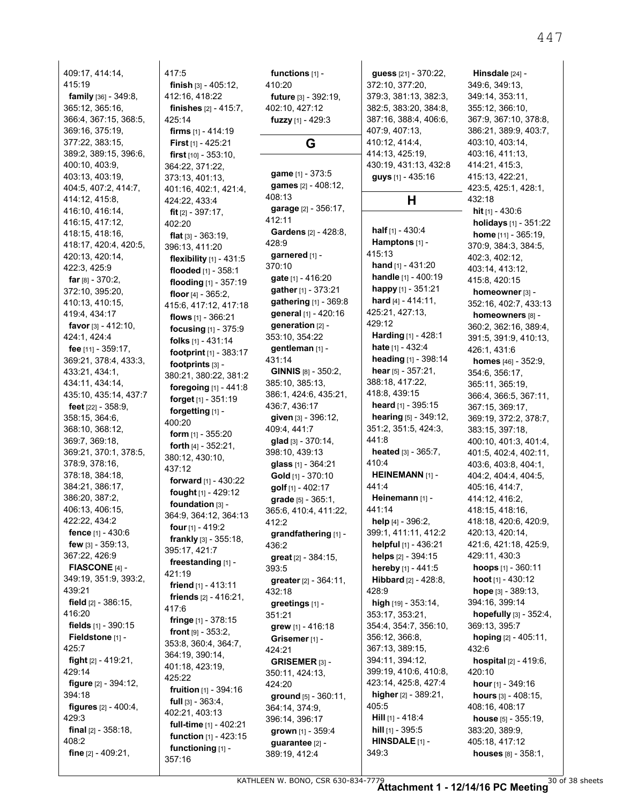409:17, 414:14, 415:19 **family** [36] - 349:8, 365:12, 365:16, 366:4, 367:15, 368:5, 369:16, 375:19, 377:22, 383:15, 389:2, 389:15, 396:6, 400:10, 403:9, 403:13, 403:19, 404:5, 407:2, 414:7, 414:12, 415:8, 416:10, 416:14, 416:15, 417:12, 418:15, 418:16, 418:17, 420:4, 420:5, 420:13, 420:14, 422:3, 425:9 **far** [8] - 370:2, 372:10, 395:20, 410:13, 410:15, 419:4, 434:17 **favor** [3] - 412:10, 424:1, 424:4 **fee** [11] - 359:17, 369:21, 378:4, 433:3, 433:21, 434:1, 434:11, 434:14, 435:10, 435:14, 437:7 **feet** [22] - 358:9, 358:15, 364:6, 368:10, 368:12, 369:7, 369:18, 369:21, 370:1, 378:5, 378:9, 378:16, 378:18, 384:18, 384:21, 386:17, 386:20, 387:2, 406:13, 406:15, 422:22, 434:2 **fence** [1] - 430:6 **few** [3] - 359:13, 367:22, 426:9 **FIASCONE** [4] - 349:19, 351:9, 393:2, 439:21 **field** [2] - 386:15, 416:20 **fields** [1] - 390:15 **Fieldstone** [1] - 425:7 **fight** [2] - 419:21, 429:14 **figure** [2] - 394:12, 394:18 **figures** [2] - 400:4, 429:3 **final** [2] - 358:18, 408:2 **fine** [2] - 409:21,

417:5 **finish** [3] - 405:12, 412:16, 418:22 **finishes** [2] - 415:7, 425:14 **firms** [1] - 414:19 **First** [1] - 425:21 **first** [10] - 353:10, 364:22, 371:22, 373:13, 401:13, 401:16, 402:1, 421:4, 424:22, 433:4 **fit** [2] - 397:17, 402:20 **flat** [3] - 363:19, 396:13, 411:20 **flexibility** [1] - 431:5 **flooded** [1] - 358:1 **flooding** [1] - 357:19 **floor** [4] - 365:2, 415:6, 417:12, 417:18 **flows** [1] - 366:21 **focusing** [1] - 375:9 **folks** [1] - 431:14 **footprint** [1] - 383:17 **footprints** [3] - 380:21, 380:22, 381:2 **foregoing** [1] - 441:8 **forget** [1] - 351:19 **forgetting** [1] - 400:20 **form** [1] - 355:20 **forth** [4] - 352:21, 380:12, 430:10, 437:12 **forward** [1] - 430:22 **fought** [1] - 429:12 **foundation** [3] - 364:9, 364:12, 364:13 **four** [1] - 419:2 **frankly** [3] - 355:18, 395:17, 421:7 **freestanding** [1] - 421:19 **friend** [1] - 413:11 **friends** [2] - 416:21, 417:6 **fringe** [1] - 378:15 **front** [9] - 353:2, 353:8, 360:4, 364:7, 364:19, 390:14, 401:18, 423:19, 425:22 **fruition** [1] - 394:16 **full** [3] - 363:4, 402:21, 403:13 **full-time** [1] - 402:21 **function** [1] - 423:15 **functioning** [1] - 357:16

410:20 **future** [3] - 392:19, 402:10, 427:12 **fuzzy** [1] - 429:3 **G game** [1] - 373:5 **games** [2] - 408:12, 408:13 **garage** [2] - 356:17, 412:11 **Gardens** [2] - 428:8, 428:9 **garnered** [1] - 370:10 **gate** [1] - 416:20 **gather** [1] - 373:21 **gathering** [1] - 369:8 **general** [1] - 420:16 **generation** [2] - 353:10, 354:22 **gentleman** [1] - 431:14 **GINNIS** [8] - 350:2, 385:10, 385:13, 386:1, 424:6, 435:21, 436:7, 436:17 **given** [3] - 396:12, 409:4, 441:7 **glad** [3] - 370:14, 398:10, 439:13 **glass** [1] - 364:21 **Gold** [1] - 370:10 **golf** [1] - 402:17 **grade** [5] - 365:1, 365:6, 410:4, 411:22, 412:2 **grandfathering** [1] - 436:2 **great** [2] - 384:15, 393:5 **greater** [2] - 364:11, 432:18 **greetings** [1] - 351:21 **grew** [1] - 416:18 **Grisemer** [1] - 424:21 **GRISEMER** [3] - 350:11, 424:13, 424:20 **ground** [5] - 360:11, 364:14, 374:9, 396:14, 396:17 **grown** [1] - 359:4 **guarantee** [2] - 389:19, 412:4

**functions** [1] -

**guess** [21] - 370:22, 372:10, 377:20, 379:3, 381:13, 382:3, 382:5, 383:20, 384:8, 387:16, 388:4, 406:6, 407:9, 407:13, 410:12, 414:4, 414:13, 425:19, 430:19, 431:13, 432:8 **guys** [1] - 435:16

#### **H**

**half** [1] - 430:4 **Hamptons** [1] - 415:13 **hand** [1] - 431:20 **handle** [1] - 400:19 **happy** [1] - 351:21 **hard** [4] - 414:11, 425:21, 427:13, 429:12 **Harding** [1] - 428:1 **hate** [1] - 432:4 **heading** [1] - 398:14 **hear** [5] - 357:21, 388:18, 417:22, 418:8, 439:15 **heard** [1] - 395:15 **hearing** [5] - 349:12, 351:2, 351:5, 424:3, 441:8 **heated** [3] - 365:7, 410:4 **HEINEMANN** [1] - 441:4 **Heinemann** [1] - 441:14 **help** [4] - 396:2, 399:1, 411:11, 412:2 **helpful** [1] - 436:21 **helps** [2] - 394:15 **hereby** [1] - 441:5 **Hibbard** [2] - 428:8, 428:9 **high** [19] - 353:14, 353:17, 353:21, 354:4, 354:7, 356:10, 356:12, 366:8, 367:13, 389:15, 394:11, 394:12, 399:19, 410:6, 410:8, 423:14, 425:8, 427:4 **higher** [2] - 389:21, 405:5 **Hill** [1] - 418:4 **hill** [1] - 395:5 **HINSDALE** [1] - 349:3

**Hinsdale** [24] - 349:6, 349:13, 349:14, 353:11, 355:12, 366:10, 367:9, 367:10, 378:8, 386:21, 389:9, 403:7, 403:10, 403:14, 403:16, 411:13, 414:21, 415:3, 415:13, 422:21, 423:5, 425:1, 428:1, 432:18 **hit** [1] - 430:6 **holidays** [1] - 351:22 **home** [11] - 365:19, 370:9, 384:3, 384:5, 402:3, 402:12, 403:14, 413:12, 415:8, 420:15 **homeowner** [3] - 352:16, 402:7, 433:13 **homeowners** [8] - 360:2, 362:16, 389:4, 391:5, 391:9, 410:13, 426:1, 431:6 **homes** [46] - 352:9, 354:6, 356:17, 365:11, 365:19, 366:4, 366:5, 367:11, 367:15, 369:17, 369:19, 372:2, 378:7, 383:15, 397:18, 400:10, 401:3, 401:4, 401:5, 402:4, 402:11, 403:6, 403:8, 404:1, 404:2, 404:4, 404:5, 405:16, 414:7, 414:12, 416:2, 418:15, 418:16, 418:18, 420:6, 420:9, 420:13, 420:14, 421:6, 421:18, 425:9, 429:11, 430:3 **hoops** [1] - 360:11 **hoot** [1] - 430:12 **hope** [3] - 389:13, 394:16, 399:14 **hopefully** [3] - 352:4, 369:13, 395:7 **hoping** [2] - 405:11, 432:6 **hospital** [2] - 419:6, 420:10 **hour** [1] - 349:16 **hours** [3] - 408:15, 408:16, 408:17 **house** [5] - 355:19, 383:20, 389:9, 405:18, 417:12

**houses** [8] - 358:1,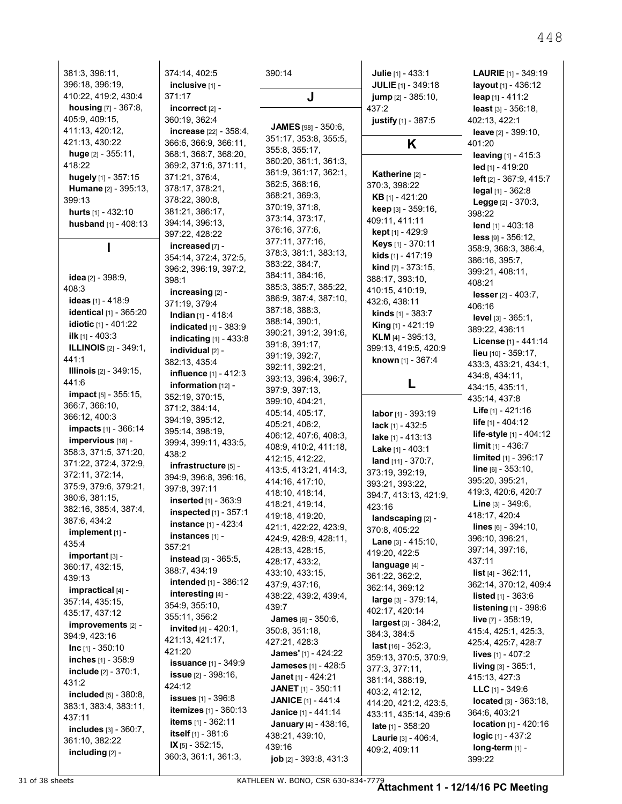| 381:3, 396:11,                               | 374:14, 402:5                                  | 390:14                                      | Julie [1] - 433:1            | <b>LAURIE</b> $[1] - 349.19$    |
|----------------------------------------------|------------------------------------------------|---------------------------------------------|------------------------------|---------------------------------|
| 396:18, 396:19,                              | inclusive [1] -                                |                                             | JULIE [1] - 349:18           | layout [1] - 436:12             |
| 410:22, 419:2, 430:4                         | 371:17                                         | J                                           | jump [2] - 385:10,           | leap [1] - 411:2                |
| <b>housing</b> [7] - 367:8,                  | incorrect $[2]$ -                              |                                             | 437:2                        | least $[3] - 356:18$ ,          |
| 405:9, 409:15,                               | 360:19, 362:4                                  |                                             | justify [1] - 387:5          | 402:13, 422:1                   |
| 411:13, 420:12,                              | <b>increase</b> [22] - 358:4,                  | <b>JAMES</b> [98] - 350:6,                  |                              | leave [2] - 399:10,             |
| 421:13, 430:22                               | 366:6, 366:9, 366:11,                          | 351:17, 353:8, 355:5,                       | K                            | 401:20                          |
| huge $[2] - 355:11$ ,                        | 368:1, 368:7, 368:20,                          | 355:8, 355:17,                              |                              | <b>leaving</b> $[1] - 415.3$    |
| 418:22                                       | 369:2, 371:6, 371:11,                          | 360:20, 361:1, 361:3,                       |                              | $led$ [1] - 419:20              |
| hugely [1] - 357:15                          | 371:21, 376.4,                                 | 361:9, 361:17, 362:1,                       | Katherine [2] -              | left [2] - 367:9, 415:7         |
| <b>Humane</b> [2] - 395:13,                  | 378:17, 378:21,                                | 362:5, 368:16,                              | 370:3, 398:22                | $\text{legal } [1] - 362:8$     |
| 399:13                                       | 378:22, 380:8,                                 | 368:21, 369:3,                              | <b>KB</b> [1] - 421:20       | <b>Legge</b> $[2] - 370:3$ ,    |
| <b>hurts</b> $[1] - 432:10$                  | 381:21, 386:17,                                | 370:19, 371:8,                              | keep [3] - 359:16,           | 398:22                          |
| husband [1] - 408:13                         | 394:14, 396:13,                                | 373:14, 373:17,                             | 409:11, 411:11               | lend $[1] - 403.18$             |
|                                              | 397:22, 428:22                                 | 376:16, 377:6,                              | kept [1] - 429.9             | $less$ [9] $-356:12$ ,          |
|                                              | increased [7] -                                | 377:11, 377:16,                             | Keys [1] - 370:11            | 358.9, 368.3, 386.4,            |
|                                              | 354:14, 372:4, 372:5,                          | 378:3, 381:1, 383:13,<br>383:22, 384:7,     | kids [1] - 417.19            | 386.16, 395.7,                  |
|                                              | 396:2, 396:19, 397:2,                          | 384:11, 384:16,                             | kind [7] - 373:15,           | 399:21, 408:11,                 |
| <b>idea</b> [2] - 398:9,                     | 398:1                                          | 385:3, 385:7, 385:22,                       | 388:17, 393:10,              | 408:21                          |
| 408:3                                        | increasing [2] -                               | 386:9, 387:4, 387:10,                       | 410:15, 410:19,              | lesser [2] - 403:7,             |
| <b>ideas</b> [1] - 418:9                     | 371:19, 379:4                                  | 387:18, 388:3,                              | 432:6, 438:11                | 406:16                          |
| identical [1] - 365:20                       | <b>Indian</b> [1] - 418:4                      | 388:14, 390:1,                              | <b>kinds</b> $[1]$ - 383:7   | <b>level</b> $[3] - 365:1$ ,    |
| <b>idiotic</b> $[1] - 401.22$                | <b>indicated</b> [1] - 383:9                   | 390:21, 391:2, 391:6,                       | <b>King</b> $[1]$ - 421:19   | 389.22, 436.11                  |
| ilk $[1] - 403:3$                            | <b>indicating</b> [1] - 433:8                  | 391:8, 391:17,                              | <b>KLM</b> $[4] - 395:13$    | License [1] - 441:14            |
| <b>ILLINOIS</b> [2] - 349.1,                 | individual [2] -                               | 391:19, 392:7,                              | 399:13, 419:5, 420:9         | <b>lieu</b> $[10] - 359.17$ ,   |
| 441:1                                        | 382:13, 435:4                                  | 392:11, 392:21,                             | known [1] - 367:4            | 433.3, 433.21, 434.1,           |
| <b>Illinois</b> $[2] - 349:15$ ,             | influence [1] - 412:3                          | 393:13, 396:4, 396:7,                       |                              | 434:8, 434:11,                  |
| 441.6                                        | information $[12]$ -                           | 397:9, 397:13,                              |                              | 434:15, 435:11,                 |
| <b>impact</b> [5] - 355:15,                  | 352:19, 370.15,                                | 399:10, 404:21,                             |                              | 435:14, 437:8                   |
| 366:7, 366:10,                               | 371:2, 384:14,                                 | 405:14, 405:17,                             | labor $[1] - 393.19$         | <b>Life</b> $[1] - 421:16$      |
| 366:12, 400:3<br><b>impacts</b> [1] - 366:14 | 394:19, 395:12,                                | 405:21, 406:2,                              | lack [1] - 432:5             | life [1] - 404:12               |
| impervious [18] -                            | 395:14, 398:19,                                | 406:12, 407:6, 408:3,                       | lake [1] - 413:13            | life-style [1] - 404:12         |
| 358:3, 371:5, 371:20,                        | 399:4, 399:11, 433:5,                          | 408:9, 410:2, 411:18,                       | <b>Lake</b> $[1] - 403:1$    | limit $[1] - 436.7$             |
| 371:22, 372:4, 372:9,                        | 438.2                                          | 412:15, 412:22,                             | <b>land</b> $[11] - 370:7$ , | <b>limited</b> $[1] - 396:17$   |
| 372:11, 372:14,                              | infrastructure [5] -                           | 413:5, 413:21, 414:3,                       | 373:19, 392:19,              | line [6] - 353:10,              |
| 375:9, 379:6, 379:21,                        | 394:9, 396:8, 396:16,<br>397:8, 397:11         | 414:16, 417:10,                             | 393:21, 393:22,              | 395:20, 395:21,                 |
| 380.6, 381.15,                               | inserted [1] - 363:9                           | 418:10, 418:14,                             | 394:7, 413:13, 421:9,        | 419:3, 420:6, 420:7             |
| 382:16, 385:4, 387:4,                        | inspected [1] - 357:1                          | 418:21, 419:14,                             | 423:16                       | <b>Line</b> $[3] - 349.6$ ,     |
| 387.6, 434.2                                 |                                                | 419:18, 419:20,                             | landscaping [2] -            | 418:17, 420:4                   |
| implement [1] -                              | <b>instance</b> [1] - 423:4<br>instances [1] - | 421:1, 422:22, 423:9,                       | 370:8, 405:22                | $lines$ [6] - 394:10,           |
| 435:4                                        | 357:21                                         | 424:9, 428:9, 428:11,                       | <b>Lane</b> $[3] - 415:10$ , | 396:10, 396:21,                 |
| $important$ [3] -                            | instead [3] - 365:5,                           | 428:13, 428:15,                             | 419:20, 422:5                | 397:14, 397:16,                 |
| 360:17, 432:15,                              | 388:7, 434:19                                  | 428:17, 433:2,                              | language [4] -               | 437:11                          |
| 439:13                                       | <b>intended</b> [1] - 386:12                   | 433:10, 433:15,                             | 361:22, 362:2,               | <b>list</b> $[4] - 362:11$ ,    |
| impractical [4] -                            | interesting $[4]$ -                            | 437:9, 437:16,                              | 362:14, 369:12               | 362:14, 370:12, 409:4           |
| 357:14, 435:15,                              | 354:9, 355:10,                                 | 438:22, 439:2, 439:4,                       | large [3] - 379:14,          | <b>listed</b> $[1] - 363.6$     |
| 435:17, 437:12                               | 355:11, 356:2                                  | 439.7                                       | 402:17, 420:14               | listening [1] - 398:6           |
| improvements [2] -                           | <b>invited</b> $[4] - 420.1$ ,                 | <b>James</b> [6] - 350:6,<br>350:8, 351:18, | largest [3] - 384:2,         | <b>live</b> $[7] - 358:19$ ,    |
| 394:9, 423:16                                | 421:13, 421:17,                                | 427:21, 428:3                               | 384:3, 384:5                 | 415.4, 425.1, 425.3,            |
| $Inc$ [1] - 350:10                           | 421:20                                         |                                             | last [16] - 352:3,           | 425:4, 425:7, 428:7             |
| <b>inches</b> $[1] - 358.9$                  | <b>issuance</b> [1] - 349:9                    | <b>James'</b> [1] - 424:22                  | 359:13, 370:5, 370:9,        | lives [1] - 407:2               |
| <b>include</b> $[2] - 370:1$ ,               | <b>issue</b> $[2] - 398:16$ ,                  | <b>Jameses</b> [1] - 428:5                  | 377:3, 377:11,               | <b>living</b> $[3] - 365.1$ ,   |
| 431:2                                        | 424:12                                         | <b>Janet</b> [1] - 424:21                   | 381:14, 388:19,              | 415:13, 427:3                   |
| included [5] - 380:8,                        | <b>issues</b> [1] - 396:8                      | <b>JANET</b> $[1]$ - 350:11                 | 403:2, 412:12,               | <b>LLC</b> $[1] - 349.6$        |
| 383:1, 383:4, 383:11,                        | <b>itemizes</b> $[1] - 360:13$                 | <b>JANICE</b> [1] - 441:4                   | 414:20, 421:2, 423:5,        | <b>located</b> $[3] - 363.18$ , |
| 437:11                                       | <b>items</b> $[1] - 362.11$                    | Janice [1] - 441:14                         | 433:11, 435:14, 439:6        | 364:6, 403:21                   |
| includes [3] - 360:7,                        | <b>itself</b> $[1] - 381.6$                    | <b>January</b> [4] - 438:16,                | <b>late</b> $[1] - 358:20$   | location [1] - 420:16           |
| 361:10, 382:22                               | IX $[5]$ - 352:15,                             | 438:21, 439:10,                             | <b>Laurie</b> $[3] - 406:4,$ | $logic$ [1] - 437:2             |
| including [2] -                              | 360:3, 361:1, 361:3,                           | 439:16                                      | 409:2, 409:11                | long-term [1] -                 |
|                                              |                                                | <b>job</b> [2] - 393.8, 431.3               |                              | 399:22                          |

31 of 38 sheets KATHLEEN W. BONO, CSR 630-834-7779 **Attachment 1 - 12/14/16 PC Meeting**

448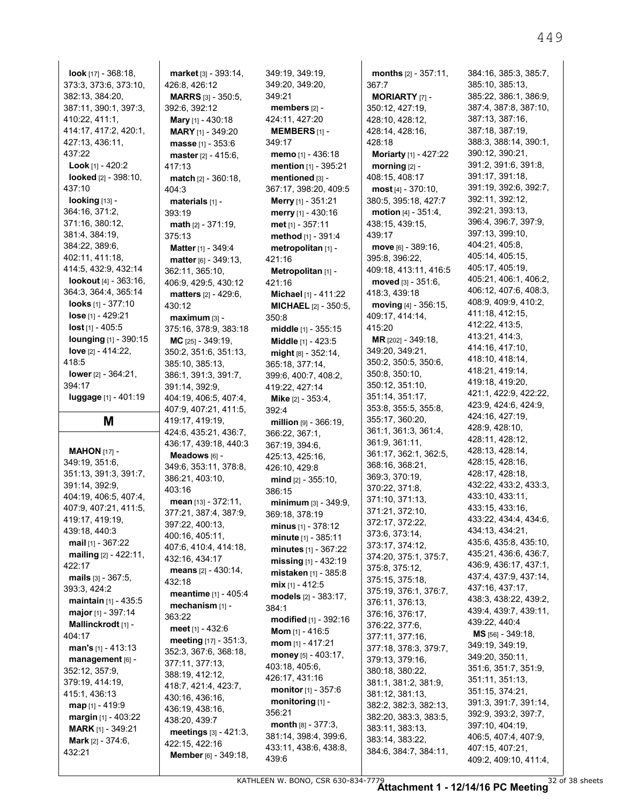**look** [17] - 368:18, 373:3, 373:6, 373:10, 382:13, 384:20, 387:11, 390:1, 397:3, 410:22, 411:1, 414:17, 417:2, 420:1, 427:13, 436:11, 437:22 **Look** [1] - 420:2 **looked** [2] - 398:10, 437:10 **looking** [13] - 364:16, 371:2, 371:16, 380:12, 381:4, 384:19, 384:22, 389:6, 402:11, 411:18, 414:5, 432:9, 432:14 **lookout** [4] - 363:16, 364:3, 364:4, 365:14 **looks** [1] - 377:10 **lose** [1] - 429:21 **lost** [1] - 405:5 **lounging** [1] - 390:15 **love** [2] - 414:22, 418:5 **lower** [2] - 364:21, 394:17 **luggage** [1] - 401:19

#### **M**

**MAHON** [17] - 349:19, 351:6, 351:13, 391:3, 391:7, 391:14, 392:9, 404:19, 406:5, 407:4, 407:9, 407:21, 411:5, 419:17, 419:19, 439:18, 440:3 **mail** [1] - 367:22 **mailing** [2] - 422:11, 422:17 **mails** [3] - 367:5, 393:3, 424:2 **maintain** [1] - 435:5 **major** [1] - 397:14 **Mallinckrodt** [1] - 404:17 **man's** [1] - 413:13 **management** [6] - 352:12, 357:9, 379:19, 414:19, 415:1, 436:13 **map** [1] - 419:9 **margin** [1] - 403:22 **MARK** [1] - 349:21 **Mark** [2] - 374:6, 432:21

**market** [3] - 393:14, 426:8, 426:12 **MARRS** [3] - 350:5, 392:6, 392:12 **Mary** [1] - 430:18 **MARY** [1] - 349:20 **masse** [1] - 353:6 **master** [2] - 415:6, 417:13 **match** [2] - 360:18, 404:3 **materials** [1] - 393:19 **math** [2] - 371:19, 375:13 **Matter** [1] - 349:4 **matter** [6] - 349:13, 362:11, 365:10, 406:9, 429:5, 430:12 **matters** [2] - 429:6, 430:12 **maximum** [3] - 375:16, 378:9, 383:18 **MC** [25] - 349:19, 350:2, 351:6, 351:13, 385:10, 385:13, 386:1, 391:3, 391:7, 391:14, 392:9, 404:19, 406:5, 407:4, 407:9, 407:21, 411:5, 419:17, 419:19, 424:6, 435:21, 436:7, 436:17, 439:18, 440:3 **Meadows** [6] - 349:6, 353:11, 378:8, 386:21, 403:10, 403:16 **mean** [13] - 372:11, 377:21, 387:4, 387:9, 397:22, 400:13, 400:16, 405:11, 407:6, 410:4, 414:18, 432:16, 434:17 **means** [2] - 430:14, 432:18 **meantime** [1] - 405:4 **mechanism** [1] - 363:22 **meet** [1] - 432:6 **meeting** [17] - 351:3, 352:3, 367:6, 368:18, 377:11, 377:13, 388:19, 412:12, 418:7, 421:4, 423:7, 430:16, 436:16, 436:19, 438:16, 438:20, 439:7 **meetings** [3] - 421:3, 422:15, 422:16 **Member** [6] - 349:18, 349:19, 349:19, 349:20, 349:20, 349:21 **members** [2] - 424:11, 427:20 **MEMBERS** [1] - 349:17 **memo** [1] - 436:18 **mention** [1] - 395:21 **mentioned** [3] - 367:17, 398:20, 409:5 **Merry** [1] - 351:21 **merry** [1] - 430:16 **met** [1] - 357:11 **method** [1] - 391:4 **metropolitan** [1] - 421:16 **Metropolitan** [1] - 421:16 **Michael** [1] - 411:22 **MICHAEL** [2] - 350:5, 350:8 **middle** [1] - 355:15 **Middle** [1] - 423:5 **might** [8] - 352:14, 365:18, 377:14, 399:6, 400:7, 408:2, 419:22, 427:14 **Mike** [2] - 353:4, 392:4 **million** [9] - 366:19, 366:22, 367:1, 367:19, 394:6, 425:13, 425:16, 426:10, 429:8 **mind** [2] - 355:10, 386:15 **minimum** [3] - 349:9, 369:18, 378:19 **minus** [1] - 378:12 **minute** [1] - 385:11 **minutes** [1] - 367:22 **missing** [1] - 432:19 **mistaken** [1] - 385:8 **mix** [1] - 412:5 **models** [2] - 383:17, 384:1 **modified** [1] - 392:16 **Mom** [1] - 416:5 **mom** [1] - 417:21 **money** [5] - 403:17, 403:18, 405:6, 426:17, 431:16 **monitor** [1] - 357:6 **monitoring** [1] - 356:21 **month** [8] - 377:3, 381:14, 398:4, 399:6, 433:11, 438:6, 438:8, 439:6

**months** [2] - 357:11, 367:7 **MORIARTY** [7] - 350:12, 427:19, 428:10, 428:12, 428:14, 428:16, 428:18 **Moriarty** [1] - 427:22 **morning** [2] - 408:15, 408:17 **most** [4] - 370:10, 380:5, 395:18, 427:7 **motion** [4] - 351:4, 438:15, 439:15, 439:17 **move** [6] - 389:16, 395:8, 396:22, 409:18, 413:11, 416:5 **moved** [3] - 351:6, 418:3, 439:18 **moving** [4] - 356:15, 409:17, 414:14, 415:20 **MR** [202] - 349:18, 349:20, 349:21, 350:2, 350:5, 350:6, 350:8, 350:10, 350:12, 351:10, 351:14, 351:17, 353:8, 355:5, 355:8, 355:17, 360:20, 361:1, 361:3, 361:4, 361:9, 361:11, 361:17, 362:1, 362:5, 368:16, 368:21, 369:3, 370:19, 370:22, 371:8, 371:10, 371:13, 371:21, 372:10, 372:17, 372:22, 373:6, 373:14, 373:17, 374:12, 374:20, 375:1, 375:7, 375:8, 375:12, 375:15, 375:18, 375:19, 376:1, 376:7, 376:11, 376:13, 376:16, 376:17, 376:22, 377:6, 377:11, 377:16, 377:18, 378:3, 379:7, 379:13, 379:16, 380:18, 380:22, 381:1, 381:2, 381:9, 381:12, 381:13, 382:2, 382:3, 382:13, 382:20, 383:3, 383:5, 383:11, 383:13, 383:14, 383:22, 384:6, 384:7, 384:11,

384:16, 385:3, 385:7, 385:10, 385:13, 385:22, 386:1, 386:9, 387:4, 387:8, 387:10, 387:13, 387:16, 387:18, 387:19, 388:3, 388:14, 390:1, 390:12, 390:21, 391:2, 391:6, 391:8, 391:17, 391:18, 391:19, 392:6, 392:7, 392:11, 392:12, 392:21, 393:13, 396:4, 396:7, 397:9, 397:13, 399:10, 404:21, 405:8, 405:14, 405:15, 405:17, 405:19, 405:21, 406:1, 406:2, 406:12, 407:6, 408:3, 408:9, 409:9, 410:2, 411:18, 412:15, 412:22, 413:5, 413:21, 414:3, 414:16, 417:10, 418:10, 418:14, 418:21, 419:14, 419:18, 419:20, 421:1, 422:9, 422:22, 423:9, 424:6, 424:9, 424:16, 427:19, 428:9, 428:10, 428:11, 428:12, 428:13, 428:14, 428:15, 428:16, 428:17, 428:18, 432:22, 433:2, 433:3, 433:10, 433:11, 433:15, 433:16, 433:22, 434:4, 434:6, 434:13, 434:21, 435:6, 435:8, 435:10, 435:21, 436:6, 436:7, 436:9, 436:17, 437:1, 437:4, 437:9, 437:14, 437:16, 437:17, 438:3, 438:22, 439:2, 439:4, 439:7, 439:11, 439:22, 440:4 **MS** [56] - 349:18, 349:19, 349:19, 349:20, 350:11, 351:6, 351:7, 351:9, 351:11, 351:13, 351:15, 374:21, 391:3, 391:7, 391:14, 392:9, 393:2, 397:7, 397:10, 404:19, 406:5, 407:4, 407:9, 407:15, 407:21, 409:2, 409:10, 411:4,

449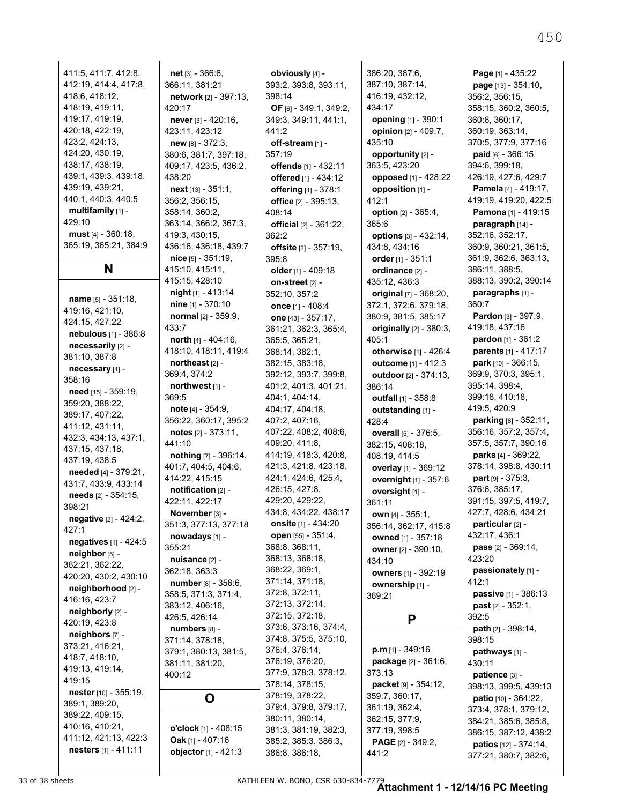411:5, 411:7, 412:8, 412:19, 414:4, 417:8, 418:6, 418:12, 418:19, 419:11, 419:17, 419:19, 420:18, 422:19, 423:2, 424:13, 424:20, 430:19, 438:17, 438:19, 439:1, 439:3, 439:18, 439:19, 439:21, 440:1, 440:3, 440:5 **multifamily** [1] - 429:10 **must** [4] - 360:18, 365:19, 365:21, 384:9 **N name** [5] - 351:18, 419:16, 421:10, 424:15, 427:22 **nebulous** [1] - 386:8 **necessarily** [2] - 381:10, 387:8 **necessary** [1] - 358:16 **need** [15] - 359:19, 359:20, 388:22, 389:17, 407:22, 411:12, 431:11, 432:3, 434:13, 437:1, 437:15, 437:18, 437:19, 438:5 **needed** [4] - 379:21, 431:7, 433:9, 433:14 **needs** [2] - 354:15, 398:21 **negative** [2] - 424:2, 427:1 **negatives** [1] - 424:5 **neighbor** [5] - 362:21, 362:22, 420:20, 430:2, 430:10 **neighborhood** [2] - 416:16, 423:7 **neighborly** [2] - 420:19, 423:8 **neighbors** [7] - 373:21, 416:21, 418:7, 418:10, 419:13, 419:14, 419:15 **nester** [10] - 355:19, 389:1, 389:20, 389:22, 409:15, 410:16, 410:21, 411:12, 421:13, 422:3 **nesters** [1] - 411:11

**net** [3] - 366:6, 366:11, 381:21 **network** [2] - 397:13, 420:17 **never** [3] - 420:16, 423:11, 423:12 **new** [8] - 372:3, 380:6, 381:7, 397:18, 409:17, 423:5, 436:2, 438:20 **next** [13] - 351:1, 356:2, 356:15, 358:14, 360:2, 363:14, 366:2, 367:3, 419:3, 430:15, 436:16, 436:18, 439:7 **nice** [5] - 351:19, 415:10, 415:11, 415:15, 428:10 **night** [1] - 413:14 **nine** [1] - 370:10 **normal** [2] - 359:9, 433:7 **north** [4] - 404:16, 418:10, 418:11, 419:4 **northeast** [2] - 369:4, 374:2 **northwest** [1] - 369:5 **note** [4] - 354:9, 356:22, 360:17, 395:2 **notes** [2] - 373:11, 441:10 **nothing** [7] - 396:14, 401:7, 404:5, 404:6, 414:22, 415:15 **notification** [2] - 422:11, 422:17 **November** [3] - 351:3, 377:13, 377:18 **nowadays** [1] - 355:21 **nuisance** [2] - 362:18, 363:3 **number** [8] - 356:6, 358:5, 371:3, 371:4, 383:12, 406:16, 426:5, 426:14 **numbers** [8] - 371:14, 378:18, 379:1, 380:13, 381:5, 381:11, 381:20, 400:12 **O o'clock** [1] - 408:15 **Oak** [1] - 407:16 **objector** [1] - 421:3

**obviously** [4] - 393:2, 393:8, 393:11, 398:14 **OF** [6] - 349:1, 349:2, 349:3, 349:11, 441:1, 441:2 **off-stream** [1] - 357:19 **offends** [1] - 432:11 **offered** [1] - 434:12 **offering** [1] - 378:1 **office** [2] - 395:13, 408:14 **official** [2] - 361:22, 362:2 **offsite** [2] - 357:19, 395:8 **older** [1] - 409:18 **on-street** [2] - 352:10, 357:2 **once** [1] - 408:4 **one** [43] - 357:17, 361:21, 362:3, 365:4, 365:5, 365:21, 368:14, 382:1, 382:15, 383:18, 392:12, 393:7, 399:8, 401:2, 401:3, 401:21, 404:1, 404:14, 404:17, 404:18, 407:2, 407:16, 407:22, 408:2, 408:6, 409:20, 411:8, 414:19, 418:3, 420:8, 421:3, 421:8, 423:18, 424:1, 424:6, 425:4, 426:15, 427:8, 429:20, 429:22, 434:8, 434:22, 438:17 **onsite** [1] - 434:20 **open** [55] - 351:4, 368:8, 368:11, 368:13, 368:18, 368:22, 369:1, 371:14, 371:18, 372:8, 372:11, 372:13, 372:14, 372:15, 372:18, 373:6, 373:16, 374:4, 374:8, 375:5, 375:10, 376:4, 376:14, 376:19, 376:20, 377:9, 378:3, 378:12, 378:14, 378:15, 378:19, 378:22, 379:4, 379:8, 379:17, 380:11, 380:14, 381:3, 381:19, 382:3, 385:2, 385:3, 386:3, 386:8, 386:18,

386:20, 387:6, 387:10, 387:14, 416:19, 432:12, 434:17 **opening** [1] - 390:1 **opinion** [2] - 409:7, 435:10 **opportunity** [2] - 363:5, 423:20 **opposed** [1] - 428:22 **opposition** [1] - 412:1 **option** [2] - 365:4, 365:6 **options** [3] - 432:14, 434:8, 434:16 **order** [1] - 351:1 **ordinance** [2] - 435:12, 436:3 **original** [7] - 368:20, 372:1, 372:6, 379:18, 380:9, 381:5, 385:17 **originally** [2] - 380:3, 405:1 **otherwise** [1] - 426:4 **outcome** [1] - 412:3 **outdoor** [2] - 374:13, 386:14 **outfall** [1] - 358:8 **outstanding** [1] - 428:4 **overall** [5] - 376:5, 382:15, 408:18, 408:19, 414:5 **overlay** [1] - 369:12 **overnight** [1] - 357:6 **oversight** [1] - 361:11 **own** [4] - 355:1, 356:14, 362:17, 415:8 **owned** [1] - 357:18 **owner** [2] - 390:10, 434:10 **owners** [1] - 392:19 **ownership** [1] - 369:21 **P**

**p.m** [1] - 349:16 **package** [2] - 361:6, 373:13 **packet** [9] - 354:12, 359:7, 360:17, 361:19, 362:4, 362:15, 377:9, 377:19, 398:5 **PAGE** [2] - 349:2, 441:2

**Page** [1] - 435:22 **page** [13] - 354:10, 356:2, 356:15, 358:15, 360:2, 360:5, 360:6, 360:17, 360:19, 363:14, 370:5, 377:9, 377:16 **paid** [6] - 366:15, 394:6, 399:18, 426:19, 427:6, 429:7 **Pamela** [4] - 419:17, 419:19, 419:20, 422:5 **Pamona** [1] - 419:15 **paragraph** [14] - 352:16, 352:17, 360:9, 360:21, 361:5, 361:9, 362:6, 363:13, 386:11, 388:5, 388:13, 390:2, 390:14 **paragraphs** [1] - 360:7 **Pardon** [3] - 397:9, 419:18, 437:16 **pardon** [1] - 361:2 **parents** [1] - 417:17 **park** [10] - 366:15, 369:9, 370:3, 395:1, 395:14, 398:4, 399:18, 410:18, 419:5, 420:9 **parking** [8] - 352:11, 356:16, 357:2, 357:4, 357:5, 357:7, 390:16 **parks** [4] - 369:22, 378:14, 398:8, 430:11 **part** [9] - 375:3, 376:6, 385:17, 391:15, 397:5, 419:7, 427:7, 428:6, 434:21 **particular** [2] - 432:17, 436:1 **pass** [2] - 369:14, 423:20 **passionately** [1] - 412:1 **passive** [1] - 386:13 **past** [2] - 352:1, 392:5 **path** [2] - 398:14, 398:15 **pathways** [1] - 430:11 **patience** [3] - 398:13, 399:5, 439:13 **patio** [10] - 364:22, 373:4, 378:1, 379:12, 384:21, 385:6, 385:8, 386:15, 387:12, 438:2 **patios** [12] - 374:14,

33 of 38 sheets KATHLEEN W. BONO, CSR 630-834-7779 **Attachment 1 - 12/14/16 PC Meeting**

377:21, 380:7, 382:6,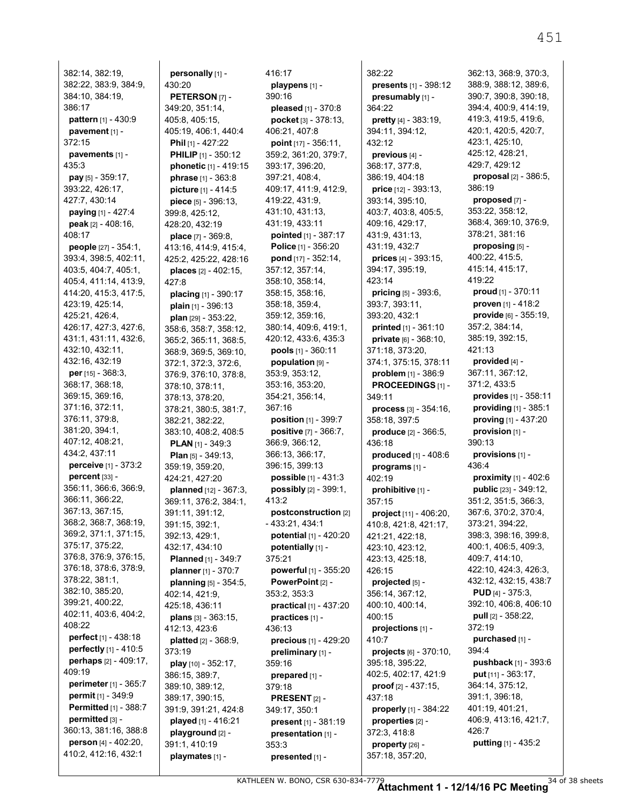382:14, 382:19, 382:22, 383:9, 384:9, 384:10, 384:19, 386:17 **pattern** [1] - 430:9 **pavement** [1] - 372:15 **pavements** [1] - 435:3 **pay** [5] - 359:17, 393:22, 426:17, 427:7, 430:14 **paying** [1] - 427:4 **peak** [2] - 408:16, 408:17 **people** [27] - 354:1, 393:4, 398:5, 402:11, 403:5, 404:7, 405:1, 405:4, 411:14, 413:9, 414:20, 415:3, 417:5, 423:19, 425:14, 425:21, 426:4, 426:17, 427:3, 427:6, 431:1, 431:11, 432:6, 432:10, 432:11, 432:16, 432:19 **per** [15] - 368:3, 368:17, 368:18, 369:15, 369:16, 371:16, 372:11, 376:11, 379:8, 381:20, 394:1, 407:12, 408:21, 434:2, 437:11 **perceive** [1] - 373:2 **percent** [33] - 356:11, 366:6, 366:9, 366:11, 366:22, 367:13, 367:15, 368:2, 368:7, 368:19, 369:2, 371:1, 371:15, 375:17, 375:22, 376:8, 376:9, 376:15, 376:18, 378:6, 378:9, 378:22, 381:1, 382:10, 385:20, 399:21, 400:22, 402:11, 403:6, 404:2, 408:22 **perfect** [1] - 438:18 **perfectly** [1] - 410:5 **perhaps** [2] - 409:17, 409:19 **perimeter** [1] - 365:7 **permit** [1] - 349:9 **Permitted** [1] - 388:7 **permitted** [3] - 360:13, 381:16, 388:8 **person** [4] - 402:20, 410:2, 412:16, 432:1

**personally** [1] - 430:20 **PETERSON** [7] - 349:20, 351:14, 405:8, 405:15, 405:19, 406:1, 440:4 **Phil** [1] - 427:22 **PHILIP** [1] - 350:12 **phonetic** [1] - 419:15 **phrase** [1] - 363:8 **picture** [1] - 414:5 **piece** [5] - 396:13, 399:8, 425:12, 428:20, 432:19 **place** [7] - 369:8, 413:16, 414:9, 415:4, 425:2, 425:22, 428:16 **places** [2] - 402:15, 427:8 **placing** [1] - 390:17 **plain** [1] - 396:13 **plan** [29] - 353:22, 358:6, 358:7, 358:12, 365:2, 365:11, 368:5, 368:9, 369:5, 369:10, 372:1, 372:3, 372:6, 376:9, 376:10, 378:8, 378:10, 378:11, 378:13, 378:20, 378:21, 380:5, 381:7, 382:21, 382:22, 383:10, 408:2, 408:5 **PLAN** [1] - 349:3 **Plan** [5] - 349:13, 359:19, 359:20, 424:21, 427:20 **planned** [12] - 367:3, 369:11, 376:2, 384:1, 391:11, 391:12, 391:15, 392:1, 392:13, 429:1, 432:17, 434:10 **Planned** [1] - 349:7 **planner** [1] - 370:7 **planning** [5] - 354:5, 402:14, 421:9, 425:18, 436:11 **plans** [3] - 363:15, 412:13, 423:6 **platted** [2] - 368:9, 373:19 **play** [10] - 352:17, 386:15, 389:7, 389:10, 389:12, 389:17, 390:15, 391:9, 391:21, 424:8 **played** [1] - 416:21 **playground** [2] - 391:1, 410:19 **playmates** [1] -

416:17 **playpens** [1] - 390:16 **pleased** [1] - 370:8 **pocket** [3] - 378:13, 406:21, 407:8 **point** [17] - 356:11, 359:2, 361:20, 379:7, 393:17, 396:20, 397:21, 408:4, 409:17, 411:9, 412:9, 419:22, 431:9, 431:10, 431:13, 431:19, 433:11 **pointed** [1] - 387:17 **Police** [1] - 356:20 **pond** [17] - 352:14, 357:12, 357:14, 358:10, 358:14, 358:15, 358:16, 358:18, 359:4, 359:12, 359:16, 380:14, 409:6, 419:1, 420:12, 433:6, 435:3 **pools** [1] - 360:11 **population** [9] - 353:9, 353:12, 353:16, 353:20, 354:21, 356:14, 367:16 **position** [1] - 399:7 **positive** [7] - 366:7, 366:9, 366:12, 366:13, 366:17, 396:15, 399:13 **possible** [1] - 431:3 **possibly** [2] - 399:1, 413:2 **postconstruction** [2] - 433:21, 434:1 **potential** [1] - 420:20 **potentially** [1] - 375:21 **powerful** [1] - 355:20 **PowerPoint** [2] - 353:2, 353:3 **practical** [1] - 437:20 **practices** [1] - 436:13 **precious** [1] - 429:20 **preliminary** [1] - 359:16 **prepared** [1] - 379:18 **PRESENT** [2] - 349:17, 350:1 **present** [1] - 381:19 **presentation** [1] - 353:3 **presented** [1] -

382:22 **presents** [1] - 398:12 **presumably** [1] - 364:22 **pretty** [4] - 383:19, 394:11, 394:12, 432:12 **previous** [4] - 368:17, 377:8, 386:19, 404:18 **price** [12] - 393:13, 393:14, 395:10, 403:7, 403:8, 405:5, 409:16, 429:17, 431:9, 431:13, 431:19, 432:7 **prices** [4] - 393:15, 394:17, 395:19, 423:14 **pricing** [5] - 393:6, 393:7, 393:11, 393:20, 432:1 **printed** [1] - 361:10 **private** [6] - 368:10, 371:18, 373:20, 374:1, 375:15, 378:11 **problem** [1] - 386:9 **PROCEEDINGS** [1] - 349:11 **process** [3] - 354:16, 358:18, 397:5 **produce** [2] - 366:5, 436:18 **produced** [1] - 408:6 **programs** [1] - 402:19 **prohibitive** [1] - 357:15 **project** [11] - 406:20, 410:8, 421:8, 421:17, 421:21, 422:18, 423:10, 423:12, 423:13, 425:18, 426:15 **projected** [5] - 356:14, 367:12, 400:10, 400:14, 400:15 **projections** [1] - 410:7 **projects** [6] - 370:10, 395:18, 395:22, 402:5, 402:17, 421:9 **proof** [2] - 437:15, 437:18 **properly** [1] - 384:22 **properties** [2] - 372:3, 418:8 **property** [26] - 357:18, 357:20,

362:13, 368:9, 370:3, 388:9, 388:12, 389:6, 390:7, 390:8, 390:18, 394:4, 400:9, 414:19, 419:3, 419:5, 419:6, 420:1, 420:5, 420:7, 423:1, 425:10, 425:12, 428:21, 429:7, 429:12 **proposal** [2] - 386:5, 386:19 **proposed** [7] - 353:22, 358:12, 368:4, 369:10, 376:9, 378:21, 381:16 **proposing** [5] - 400:22, 415:5, 415:14, 415:17, 419:22 **proud** [1] - 370:11 **proven** [1] - 418:2 **provide** [6] - 355:19, 357:2, 384:14, 385:19, 392:15, 421:13 **provided** [4] - 367:11, 367:12, 371:2, 433:5 **provides** [1] - 358:11 **providing** [1] - 385:1 **proving** [1] - 437:20 **provision** [1] - 390:13 **provisions** [1] - 436:4 **proximity** [1] - 402:6 **public** [23] - 349:12, 351:2, 351:5, 366:3, 367:6, 370:2, 370:4, 373:21, 394:22, 398:3, 398:16, 399:8, 400:1, 406:5, 409:3, 409:7, 414:10, 422:10, 424:3, 426:3, 432:12, 432:15, 438:7 **PUD** [4] - 375:3, 392:10, 406:8, 406:10 **pull** [2] - 358:22, 372:19 **purchased** [1] - 394:4 **pushback** [1] - 393:6 **put** [11] - 363:17, 364:14, 375:12, 391:1, 396:18, 401:19, 401:21, 406:9, 413:16, 421:7, 426:7 **putting** [1] - 435:2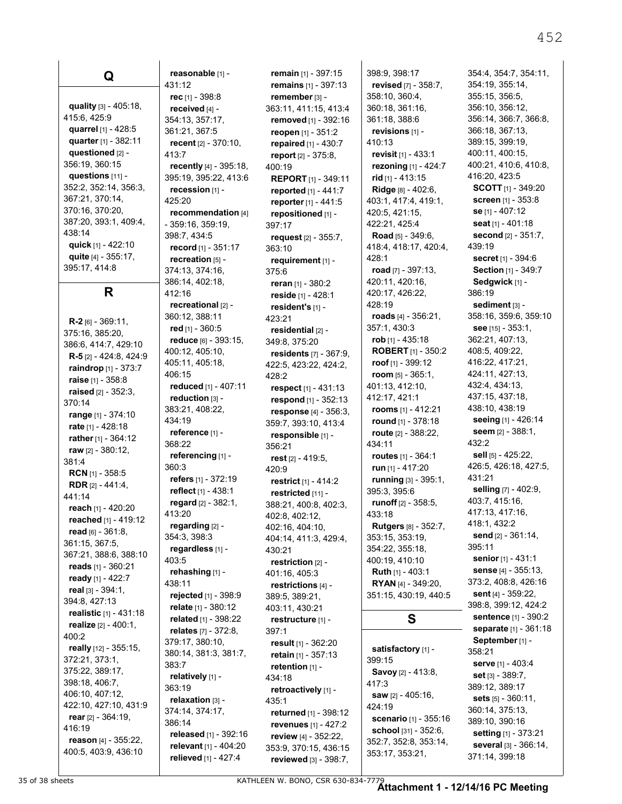**quality** [3] - 405:18, 415:6, 425:9 **quarrel** [1] - 428:5 **quarter** [1] - 382:11 **questioned** [2] - 356:19, 360:15 **questions** [11] - 352:2, 352:14, 356:3, 367:21, 370:14, 370:16, 370:20, 387:20, 393:1, 409:4, 438:14 **quick** [1] - 422:10 **quite** [4] - 355:17, 395:17, 414:8 **R R-2** [6] - 369:11, 375:16, 385:20, 386:6, 414:7, 429:10 **R-5** [2] - 424:8, 424:9 **raindrop** [1] - 373:7 **raise** [1] - 358:8 **raised** [2] - 352:3, 370:14 **range** [1] - 374:10 **rate** [1] - 428:18 **rather** [1] - 364:12 **raw** [2] - 380:12, 381:4 **RCN** [1] - 358:5 **RDR** [2] - 441:4, 441:14 **reach** [1] - 420:20 **reached** [1] - 419:12 **read** [6] - 361:8, 361:15, 367:5, 367:21, 388:6, 388:10 **reads** [1] - 360:21 **ready** [1] - 422:7 **real** [3] - 394:1, 394:8, 427:13 **realistic** [1] - 431:18 **realize** [2] - 400:1, 400:2 **really** [12] - 355:15, 372:21, 373:1, 375:22, 389:17, 398:18, 406:7, 406:10, 407:12, 422:10, 427:10, 431:9 **rear** [2] - 364:19, 416:19 **reason** [4] - 355:22, 400:5, 403:9, 436:10

**Q**

**reasonable** [1] - 431:12 **rec** [1] - 398:8 **received** [4] - 354:13, 357:17, 361:21, 367:5 **recent** [2] - 370:10, 413:7 **recently** [4] - 395:18, 395:19, 395:22, 413:6 **recession** [1] - 425:20 **recommendation** [4] - 359:16, 359:19, 398:7, 434:5 **record** [1] - 351:17 **recreation** [5] - 374:13, 374:16, 386:14, 402:18, 412:16 **recreational** [2] - 360:12, 388:11 **red** [1] - 360:5 **reduce** [6] - 393:15, 400:12, 405:10, 405:11, 405:18, 406:15 **reduced** [1] - 407:11 **reduction** [3] - 383:21, 408:22, 434:19 **reference** [1] - 368:22 **referencing** [1] - 360:3 **refers** [1] - 372:19 **reflect** [1] - 438:1 **regard** [2] - 382:1, 413:20 **regarding** [2] - 354:3, 398:3 **regardless** [1] - 403:5 **rehashing** [1] - 438:11 **rejected** [1] - 398:9 **relate** [1] - 380:12 **related** [1] - 398:22 **relates** [7] - 372:8, 379:17, 380:10, 380:14, 381:3, 381:7, 383:7 **relatively** [1] - 363:19 **relaxation** [3] - 374:14, 374:17, 386:14 **released** [1] - 392:16 **relevant** [1] - 404:20 **relieved** [1] - 427:4

**remain** [1] - 397:15 **remains** [1] - 397:13 **remember** [3] - 363:11, 411:15, 413:4 **removed** [1] - 392:16 **reopen** [1] - 351:2 **repaired** [1] - 430:7 **report** [2] - 375:8, 400:19 **REPORT** [1] - 349:11 **reported** [1] - 441:7 **reporter** [1] - 441:5 **repositioned** [1] - 397:17 **request** [2] - 355:7, 363:10 **requirement** [1] - 375:6 **reran** [1] - 380:2 **reside** [1] - 428:1 **resident's** [1] - 423:21 **residential** [2] - 349:8, 375:20 **residents** [7] - 367:9, 422:5, 423:22, 424:2, 428:2 **respect** [1] - 431:13 **respond** [1] - 352:13 **response** [4] - 356:3, 359:7, 393:10, 413:4 **responsible** [1] - 356:21 **rest** [2] - 419:5, 420:9 **restrict** [1] - 414:2 **restricted** [11] - 388:21, 400:8, 402:3, 402:8, 402:12, 402:16, 404:10, 404:14, 411:3, 429:4, 430:21 **restriction** [2] - 401:16, 405:3 **restrictions** [4] - 389:5, 389:21, 403:11, 430:21 **restructure** [1] - 397:1 **result** [1] - 362:20 **retain** [1] - 357:13 **retention** [1] - 434:18 **retroactively** [1] - 435:1 **returned** [1] - 398:12 **revenues** [1] - 427:2 **review** [4] - 352:22, 353:9, 370:15, 436:15 **reviewed** [3] - 398:7, 398:9, 398:17 **revised** [7] - 358:7, 358:10, 360:4, 360:18, 361:16, 361:18, 388:6 **revisions** [1] - 410:13 **revisit** [1] - 433:1 **rezoning** [1] - 424:7 **rid** [1] - 413:15 **Ridge** [8] - 402:6, 403:1, 417:4, 419:1, 420:5, 421:15, 422:21, 425:4 **Road** [5] - 349:6, 418:4, 418:17, 420:4, 428:1 **road** [7] - 397:13, 420:11, 420:16, 420:17, 426:22, 428:19 **roads** [4] - 356:21, 357:1, 430:3 **rob** [1] - 435:18 **ROBERT** [1] - 350:2 **roof** [1] - 399:12 **room** [5] - 365:1, 401:13, 412:10, 412:17, 421:1 **rooms** [1] - 412:21 **round** [1] - 378:18 **route** [2] - 388:22, 434:11 **routes** [1] - 364:1 **run** [1] - 417:20 **running** [3] - 395:1, 395:3, 395:6 **runoff** [2] - 358:5, 433:18 **Rutgers** [8] - 352:7, 353:15, 353:19, 354:22, 355:18, 400:19, 410:10 **Ruth** [1] - 403:1 **RYAN** [4] - 349:20, 351:15, 430:19, 440:5 **S**

**satisfactory** [1] - 399:15 **Savoy** [2] - 413:8, 417:3 **saw** [2] - 405:16, 424:19 **scenario** [1] - 355:16 **school** [31] - 352:6, 352:7, 352:8, 353:14, 353:17, 353:21,

354:19, 355:14, 355:15, 356:5, 356:10, 356:12, 356:14, 366:7, 366:8, 366:18, 367:13, 389:15, 399:19, 400:11, 400:15, 400:21, 410:6, 410:8, 416:20, 423:5 **SCOTT** [1] - 349:20 **screen** [1] - 353:8 **se** [1] - 407:12 **seat** [1] - 401:18 **second** [2] - 351:7, 439:19 **secret** [1] - 394:6 **Section** [1] - 349:7 **Sedgwick** [1] - 386:19 **sediment** [3] - 358:16, 359:6, 359:10 **see** [15] - 353:1, 362:21, 407:13, 408:5, 409:22, 416:22, 417:21, 424:11, 427:13, 432:4, 434:13, 437:15, 437:18, 438:10, 438:19 **seeing** [1] - 426:14 **seem** [2] - 388:1, 432:2 **sell** [5] - 425:22, 426:5, 426:18, 427:5, 431:21 **selling** [7] - 402:9, 403:7, 415:16, 417:13, 417:16, 418:1, 432:2 **send** [2] - 361:14, 395:11 **senior** [1] - 431:1 **sense** [4] - 355:13, 373:2, 408:8, 426:16 **sent** [4] - 359:22, 398:8, 399:12, 424:2 **sentence** [1] - 390:2 **separate** [1] - 361:18

**September** [1] - 358:21 **serve** [1] - 403:4 **set** [3] - 389:7, 389:12, 389:17 **sets** [5] - 360:11, 360:14, 375:13, 389:10, 390:16 **setting** [1] - 373:21 **several** [3] - 366:14, 371:14, 399:18

354:4, 354:7, 354:11,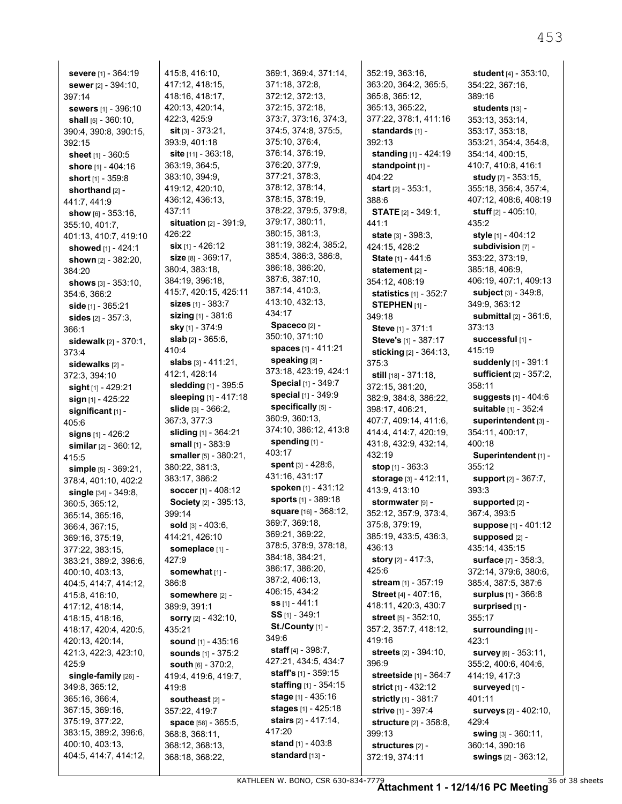| sewer [2] - 394:10,                      |
|------------------------------------------|
| 397:14                                   |
| sewers [1] - 396:10                      |
| shall [5] - 360:10,                      |
| 390:4, 390:8, 390:15,                    |
| 392:15                                   |
| <b>sheet</b> [1] - 360:5                 |
| shore [1] - 404:16                       |
| short [1] - 359:8                        |
|                                          |
| shorthand [2] -                          |
| 441:7, 441:9                             |
| <b>show</b> [6] - 353.16,                |
| 355:10, 401:7,                           |
| 401:13, 410:7, 419:10                    |
| showed [1] - 424:1                       |
| shown [2] - 382:20,                      |
| 384.20                                   |
| <b>shows</b> [3] - 353:10,               |
| 354:6, 366:2                             |
| side [1] - 365:21                        |
| sides [2] - 357:3,                       |
| 366:1                                    |
| sidewalk [2] - 370:1,                    |
| 373:4                                    |
| sidewalks [2] -                          |
| 372:3, 394:10                            |
| sight [1] - 429:21                       |
| sign [1] - 425:22                        |
| significant [1] -                        |
| 405.6                                    |
| <b>signs</b> [1] - 426:2                 |
|                                          |
| similar [2] - 360:12,                    |
| 415:5                                    |
| simple [5] - 369:21,                     |
|                                          |
| 378:4, 401:10, 402:2                     |
| single [34] - 349:8,                     |
| 360:5, 365:12,                           |
| 365:14, 365:16,                          |
| 366:4, 367:15,                           |
| 369:16, 375:19,                          |
| 377:22, 383 <mark>:15</mark> ,           |
| 383:21, 389:2, 396:6,                    |
| 400:10, 403:13,                          |
| 404:5, 414:7, 414:12,                    |
| 415:8, 416:10,                           |
|                                          |
| 417:12, 418:14,                          |
| 418:15, 418:16,                          |
| 418:17, 420:4, 420:5,                    |
| 420:13, 420:14,                          |
| 421:3, 422:3, 423:10,                    |
| 425:9                                    |
| single-family [26] -                     |
| 349:8, 365:12,                           |
| 365:16, 366:4,                           |
| 367:15, 369:16,                          |
| 375:19, 377:22,                          |
| 383:15, 389:2, 396:6,                    |
| 400:10, 403:13,<br>404:5, 414:7, 414:12, |

415:8, 416:10, 417:12, 418:15, 418:16, 418:17, 420:13, 420:14, 422:3, 425:9 **sit** [3] - 373:21, 393:9, 401:18 **site** [11] - 363:18, 363:19, 364:5, 383:10, 394:9, 419:12, 420:10, 436:12, 436:13, 437:11 **situation** [2] - 391:9, 426:22 **six** [1] - 426:12 **size** [8] - 369:17, 380:4, 383:18, 384:19, 396:18, 415:7, 420:15, 425:11 **sizes** [1] - 383:7 **sizing** [1] - 381:6 **sky** [1] - 374:9 **slab** [2] - 365:6, 410:4 **slabs** [3] - 411:21, 412:1, 428:14 **sledding** [1] - 395:5 **sleeping** [1] - 417:18 **slide** [3] - 366:2, 367:3, 377:3 **sliding** [1] - 364:21 **small** [1] - 383:9 **smaller** [5] - 380:21, 380:22, 381:3, 383:17, 386:2 **soccer** [1] - 408:12 **Society** [2] - 395:13, 399:14 **sold** [3] - 403:6, 414:21, 426:10 **someplace** [1] - 427:9 **somewhat** [1] - 386:8 **somewhere** [2] - 389:9, 391:1 **sorry** [2] - 432:10, 435:21 **sound** [1] - 435:16 **sounds** [1] - 375:2 **south** [6] - 370:2, 419:4, 419:6, 419:7, 419:8 **southeast** [2] - 357:22, 419:7 **space** [58] - 365:5, 368:8, 368:11, 368:12, 368:13, 368:18, 368:22,

369:1, 369:4, 371:14, 371:18, 372:8, 372:12, 372:13, 372:15, 372:18, 373:7, 373:16, 374:3, 374:5, 374:8, 375:5, 375:10, 376:4, 376:14, 376:19, 376:20, 377:9, 377:21, 378:3, 378:12, 378:14, 378:15, 378:19, 378:22, 379:5, 379:8, 379:17, 380:11, 380:15, 381:3, 381:19, 382:4, 385:2, 385:4, 386:3, 386:8, 386:18, 386:20, 387:6, 387:10, 387:14, 410:3, 413:10, 432:13, 434:17 **Spaceco** [2] - 350:10, 371:10 **spaces** [1] - 411:21 **speaking** [3] - 373:18, 423:19, 424:1 **Special** [1] - 349:7 **special** [1] - 349:9 **specifically** [5] - 360:9, 360:13, 374:10, 386:12, 413:8 **spending** [1] - 403:17 **spent** [3] - 428:6, 431:16, 431:17 **spoken** [1] - 431:12 **sports** [1] - 389:18 **square** [16] - 368:12, 369:7, 369:18, 369:21, 369:22, 378:5, 378:9, 378:18, 384:18, 384:21, 386:17, 386:20, 387:2, 406:13, 406:15, 434:2 **ss** [1] - 441:1 **SS** [1] - 349:1 **St./County** [1] - 349:6 **staff** [4] - 398:7, 427:21, 434:5, 434:7 **staff's** [1] - 359:15 **staffing** [1] - 354:15 **stage** [1] - 435:16 **stages** [1] - 425:18 **stairs** [2] - 417:14, 417:20 **stand** [1] - 403:8 **standard** [13] -

352:19, 363:16, 363:20, 364:2, 365:5, 365:8, 365:12, 365:13, 365:22, 377:22, 378:1, 411:16 **standards** [1] - 392:13 **standing** [1] - 424:19 **standpoint** [1] - 404:22 **start** [2] - 353:1, 388:6 **STATE** [2] - 349:1, 441:1 **state** [3] - 398:3, 424:15, 428:2 **State** [1] - 441:6 **statement** [2] - 354:12, 408:19 **statistics** [1] - 352:7 **STEPHEN** [1] - 349:18 **Steve** [1] - 371:1 **Steve's** [1] - 387:17 **sticking** [2] - 364:13, 375:3 **still** [18] - 371:18, 372:15, 381:20, 382:9, 384:8, 386:22, 398:17, 406:21, 407:7, 409:14, 411:6, 414:4, 414:7, 420:19, 431:8, 432:9, 432:14, 432:19 **stop** [1] - 363:3 **storage** [3] - 412:11, 413:9, 413:10 **stormwater** [9] - 352:12, 357:9, 373:4, 375:8, 379:19, 385:19, 433:5, 436:3, 436:13 **story** [2] - 417:3, 425:6 **stream** [1] - 357:19 **Street** [4] - 407:16, 418:11, 420:3, 430:7 **street** [5] - 352:10, 357:2, 357:7, 418:12, 419:16 **streets** [2] - 394:10, 396:9 **streetside** [1] - 364:7 **strict** [1] - 432:12 **strictly** [1] - 381:7 **strive** [1] - 397:4 **structure** [2] - 358:8, 399:13 **structures** [2] - 372:19, 374:11

**student** [4] - 353:10, 354:22, 367:16, 389:16 **students** [13] - 353:13, 353:14, 353:17, 353:18, 353:21, 354:4, 354:8, 354:14, 400:15, 410:7, 410:8, 416:1 **study** [7] - 353:15, 355:18, 356:4, 357:4, 407:12, 408:6, 408:19 **stuff** [2] - 405:10, 435:2 **style** [1] - 404:12 **subdivision** [7] - 353:22, 373:19, 385:18, 406:9, 406:19, 407:1, 409:13 **subject** [3] - 349:8, 349:9, 363:12 **submittal** [2] - 361:6, 373:13 **successful** [1] - 415:19 **suddenly** [1] - 391:1 **sufficient** [2] - 357:2, 358:11 **suggests** [1] - 404:6 **suitable** [1] - 352:4 **superintendent** [3] - 354:11, 400:17, 400:18 **Superintendent** [1] - 355:12 **support** [2] - 367:7, 393:3 **supported** [2] - 367:4, 393:5 **suppose** [1] - 401:12 **supposed** [2] - 435:14, 435:15 **surface** [7] - 358:3, 372:14, 379:6, 380:6, 385:4, 387:5, 387:6 **surplus** [1] - 366:8 **surprised** [1] - 355:17 **surrounding** [1] - 423:1 **survey** [6] - 353:11, 355:2, 400:6, 404:6, 414:19, 417:3 **surveyed** [1] - 401:11 **surveys** [2] - 402:10, 429:4 **swing** [3] - 360:11, 360:14, 390:16

**swings** [2] - 363:12,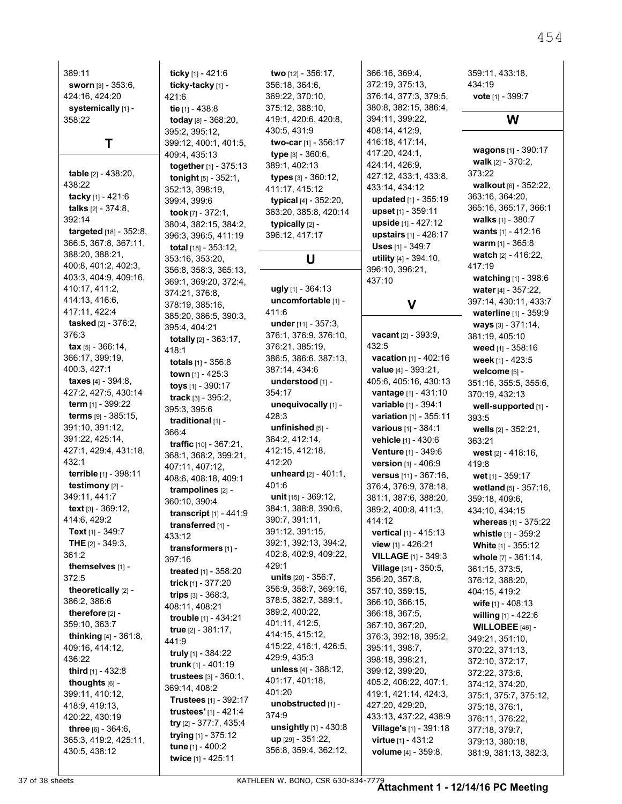| 389:11                                      |
|---------------------------------------------|
| sworn [3] - 353:6,                          |
| 424:16, 424:20                              |
| systemically [1] -                          |
| 358.22                                      |
|                                             |
| Τ                                           |
|                                             |
| table [2] - 438:20,                         |
| 438:22                                      |
| tacky [1] - 421:6                           |
| <b>talks</b> [2] - 374:8,<br>392:14         |
| targeted [18] - 352:8,                      |
| 366:5, 367:8, 367:11,                       |
| 388:20, 388:21,                             |
| 400:8, 401:2, 402:3,                        |
| 403:3, 404:9, 409:16,                       |
| 410:17, 411:2,                              |
| 414:13, 416:6,                              |
| 417:11, 422:4                               |
| tasked [2] - 376:2,                         |
| 376:3                                       |
| <b>tax</b> [5] - 366:14,<br>366:17, 399:19, |
| 400:3, 427:1                                |
| taxes [4] - 394:8,                          |
| 427:2, 427:5, 430:14                        |
| term [1] - 399:22                           |
| terms [9] - 385:15,                         |
| 391:10, 391:12,                             |
| 391:22, 425:14,                             |
| 427:1, 429:4, 431:18,                       |
| 432:1                                       |
| terrible [1] - 398:11                       |
| testimony [2] -                             |
| 349:11, 441:7                               |
| text [3] - 369:12,<br>414:6, 429:2          |
| Text [1] - 349:7                            |
| THE [2] - 349:3,                            |
| 361:2                                       |
| themselves [1] -                            |
| 372:5                                       |
| theoretically [2] -                         |
| 386:2, 386:6                                |
| therefore [2] -                             |
| 359:10, 363:7                               |
| thinking [4] - 361:8,                       |
| 409:16, 414:12,                             |
| 436:22<br>third [1] - 432:8                 |
| thoughts [6] -                              |
| 399:11, 410:12,                             |
| 418:9, 419:13,                              |
| 420:22, 430:19                              |
| three [6] - 364:6,                          |
| 365:3, 419:2, 425:11,                       |
| 430:5, 438:12                               |

**ticky** [1] - 421:6 **ticky-tacky** [1] - 421:6 **tie** [1] - 438:8 **today** [8] - 368:20, 395:2, 395:12, 399:12, 400:1, 401:5, 409:4, 435:13 **together** [1] - 375:13 **tonight** [5] - 352:1, 352:13, 398:19, 399:4, 399:6 **took** [7] - 372:1, 380:4, 382:15, 384:2, 396:3, 396:5, 411:19 **total** [18] - 353:12, 353:16, 353:20, 356:8, 358:3, 365:13, 369:1, 369:20, 372:4, 374:21, 376:8, 378:19, 385:16, 385:20, 386:5, 390:3, 395:4, 404:21 **totally** [2] - 363:17, 418:1 **totals** [1] - 356:8 **town** [1] - 425:3 **toys** [1] - 390:17 **track** [3] - 395:2, 395:3, 395:6 **traditional** [1] - 366:4 **traffic** [10] - 367:21, 368:1, 368:2, 399:21, 407:11, 407:12, 408:6, 408:18, 409:1 **trampolines** [2] - 360:10, 390:4 **transcript** [1] - 441:9 **transferred** [1] - 433:12 **transformers** [1] - 397:16 **treated** [1] - 358:20 **trick** [1] - 377:20 **trips** [3] - 368:3, 408:11, 408:21 **trouble** [1] - 434:21 **true** [2] - 381:17, 441:9 **truly** [1] - 384:22 **trunk** [1] - 401:19 **trustees** [3] - 360:1, 369:14, 408:2 **Trustees** [1] - 392:17 **trustees'** [1] - 421:4 **try** [2] - 377:7, 435:4 **trying** [1] - 375:12 **tune** [1] - 400:2 **twice** [1] - 425:11

356:18, 364:6, 369:22, 370:10, 375:12, 388:10, 419:1, 420:6, 420:8, 430:5, 431:9 **two-car** [1] - 356:17 **type** [3] - 360:6, 389:1, 402:13 **types** [3] - 360:12, 411:17, 415:12 **typical** [4] - 352:20, 363:20, 385:8, 420:14 **typically** [2] - 396:12, 417:17 **U ugly** [1] - 364:13 **uncomfortable** [1] - 411:6 **under** [11] - 357:3, 376:1, 376:9, 376:10, 376:21, 385:19, 386:5, 386:6, 387:13, 387:14, 434:6 **understood** [1] - 354:17 **unequivocally** [1] - 428:3 **unfinished** [5] - 364:2, 412:14, 412:15, 412:18, 412:20 **unheard** [2] - 401:1, 401:6 **unit** [15] - 369:12, 384:1, 388:8, 390:6, 390:7, 391:11, 391:12, 391:15, 392:1, 392:13, 394:2, 402:8, 402:9, 409:22, 429:1 **units** [20] - 356:7, 356:9, 358:7, 369:16, 378:5, 382:7, 389:1, 389:2, 400:22, 401:11, 412:5, 414:15, 415:12, 415:22, 416:1, 426:5, 429:9, 435:3 **unless** [4] - 388:12, 401:17, 401:18, 401:20 **unobstructed** [1] - 374:9 **unsightly** [1] - 430:8 **up** [29] - 351:22, 356:8, 359:4, 362:12,

**two** [12] - 356:17,

```
366:16, 369:4,
372:19, 375:13,
376:14, 377:3, 379:5,
380:8, 382:15, 386:4,
394:11, 399:22,
408:14, 412:9,
416:18, 417:14,
417:20, 424:1,
424:14, 426:9,
427:12, 433:1, 433:8,
433:14, 434:12
 updated [1] - 355:19
 upset [1] - 359:11
 upside [1] - 427:12
 upstairs [1] - 428:17
 Uses [1] - 349:7
 utility [4] - 394:10,
396:10, 396:21,
437:10
```
# **V**

**vacant** [2] - 393:9, 432:5 **vacation** [1] - 402:16 **value** [4] - 393:21, 405:6, 405:16, 430:13 **vantage** [1] - 431:10 **variable** [1] - 394:1 **variation** [1] - 355:11 **various** [1] - 384:1 **vehicle** [1] - 430:6 **Venture** [1] - 349:6 **version** [1] - 406:9 **versus** [11] - 367:16, 376:4, 376:9, 378:18, 381:1, 387:6, 388:20, 389:2, 400:8, 411:3, 414:12 **vertical** [1] - 415:13 **view** [1] - 426:21 **VILLAGE** [1] - 349:3 **Village** [31] - 350:5, 356:20, 357:8, 357:10, 359:15, 366:10, 366:15, 366:18, 367:5, 367:10, 367:20, 376:3, 392:18, 395:2, 395:11, 398:7, 398:18, 398:21, 399:12, 399:20, 405:2, 406:22, 407:1, 419:1, 421:14, 424:3, 427:20, 429:20, 433:13, 437:22, 438:9 **Village's** [1] - 391:18 **virtue** [1] - 431:2 **volume** [4] - 359:8,

#### 359:11, 433:18, 434:19 **vote** [1] - 399:7

# **W**

**wagons** [1] - 390:17 **walk** [2] - 370:2, 373:22 **walkout** [6] - 352:22, 363:16, 364:20, 365:16, 365:17, 366:1 **walks** [1] - 380:7 **wants** [1] - 412:16 **warm** [1] - 365:8 **watch** [2] - 416:22, 417:19 **watching** [1] - 398:6 **water** [4] - 357:22, 397:14, 430:11, 433:7 **waterline** [1] - 359:9 **ways** [3] - 371:14, 381:19, 405:10 **weed** [1] - 358:16 **week** [1] - 423:5 **welcome** [5] - 351:16, 355:5, 355:6, 370:19, 432:13 **well-supported** [1] - 393:5 **wells** [2] - 352:21, 363:21 **west** [2] - 418:16, 419:8 **wet** [1] - 359:17 **wetland** [5] - 357:16, 359:18, 409:6, 434:10, 434:15 **whereas** [1] - 375:22 **whistle** [1] - 359:2 **White** [1] - 355:12 **whole** [7] - 361:14, 361:15, 373:5, 376:12, 388:20, 404:15, 419:2 **wife** [1] - 408:13 **willing** [1] - 422:6 **WILLOBEE** [46] - 349:21, 351:10, 370:22, 371:13, 372:10, 372:17, 372:22, 373:6, 374:12, 374:20, 375:1, 375:7, 375:12, 375:18, 376:1, 376:11, 376:22, 377:18, 379:7, 379:13, 380:18, 381:9, 381:13, 382:3,

454